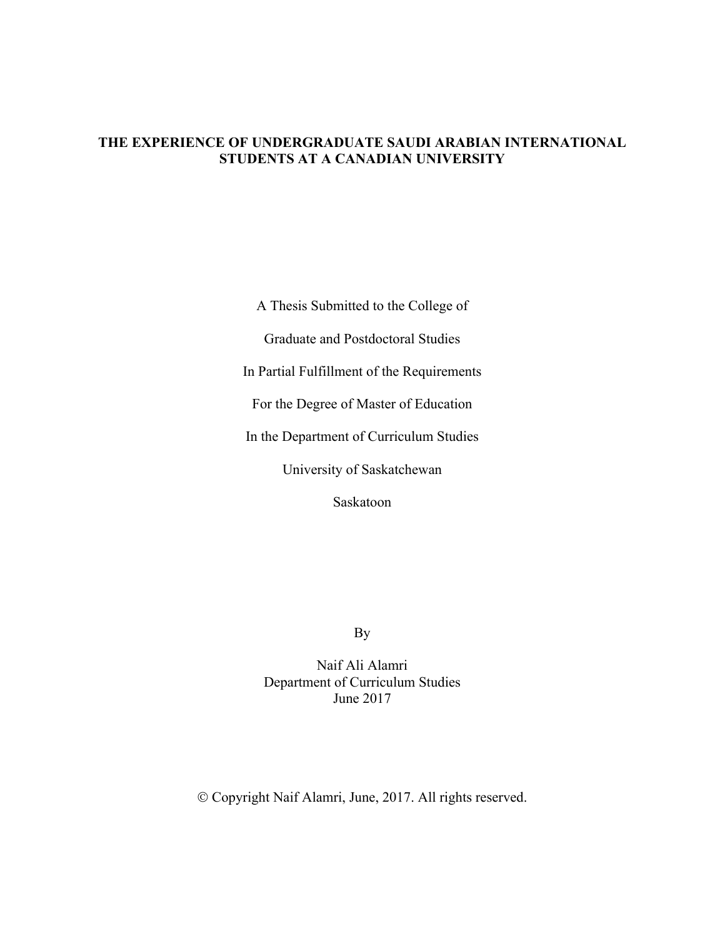# **THE EXPERIENCE OF UNDERGRADUATE SAUDI ARABIAN INTERNATIONAL STUDENTS AT A CANADIAN UNIVERSITY**

A Thesis Submitted to the College of Graduate and Postdoctoral Studies In Partial Fulfillment of the Requirements For the Degree of Master of Education In the Department of Curriculum Studies University of Saskatchewan Saskatoon

By

Naif Ali Alamri Department of Curriculum Studies June 2017

Ó Copyright Naif Alamri, June, 2017. All rights reserved.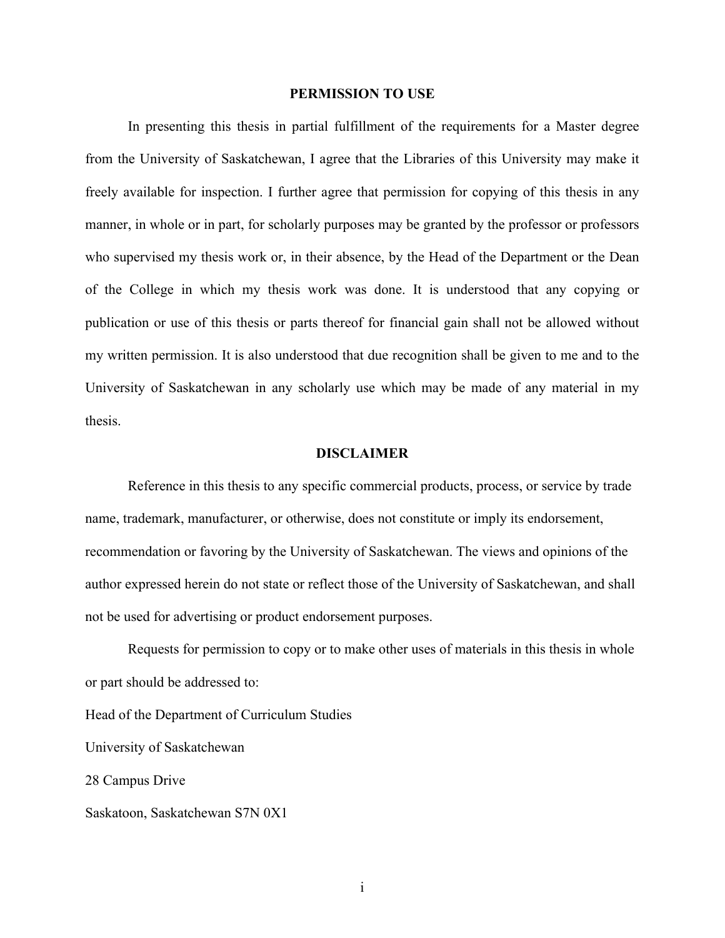#### **PERMISSION TO USE**

In presenting this thesis in partial fulfillment of the requirements for a Master degree from the University of Saskatchewan, I agree that the Libraries of this University may make it freely available for inspection. I further agree that permission for copying of this thesis in any manner, in whole or in part, for scholarly purposes may be granted by the professor or professors who supervised my thesis work or, in their absence, by the Head of the Department or the Dean of the College in which my thesis work was done. It is understood that any copying or publication or use of this thesis or parts thereof for financial gain shall not be allowed without my written permission. It is also understood that due recognition shall be given to me and to the University of Saskatchewan in any scholarly use which may be made of any material in my thesis.

#### **DISCLAIMER**

Reference in this thesis to any specific commercial products, process, or service by trade name, trademark, manufacturer, or otherwise, does not constitute or imply its endorsement, recommendation or favoring by the University of Saskatchewan. The views and opinions of the author expressed herein do not state or reflect those of the University of Saskatchewan, and shall not be used for advertising or product endorsement purposes.

Requests for permission to copy or to make other uses of materials in this thesis in whole or part should be addressed to:

Head of the Department of Curriculum Studies

University of Saskatchewan

28 Campus Drive

Saskatoon, Saskatchewan S7N 0X1

i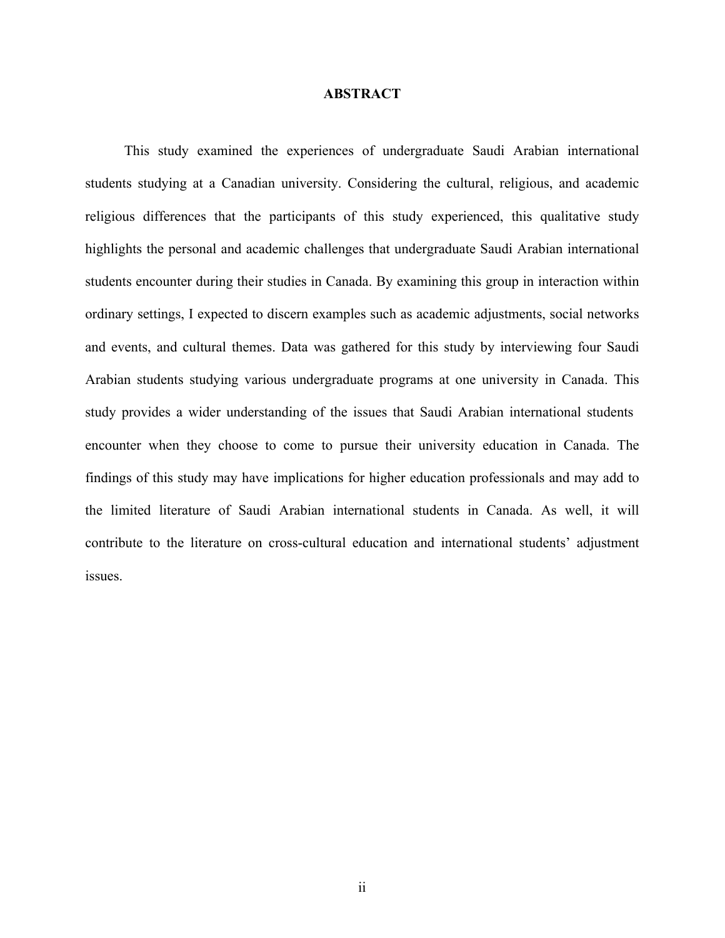# **ABSTRACT**

 This study examined the experiences of undergraduate Saudi Arabian international students studying at a Canadian university. Considering the cultural, religious, and academic religious differences that the participants of this study experienced, this qualitative study highlights the personal and academic challenges that undergraduate Saudi Arabian international students encounter during their studies in Canada. By examining this group in interaction within ordinary settings, I expected to discern examples such as academic adjustments, social networks and events, and cultural themes. Data was gathered for this study by interviewing four Saudi Arabian students studying various undergraduate programs at one university in Canada. This study provides a wider understanding of the issues that Saudi Arabian international students encounter when they choose to come to pursue their university education in Canada. The findings of this study may have implications for higher education professionals and may add to the limited literature of Saudi Arabian international students in Canada. As well, it will contribute to the literature on cross-cultural education and international students' adjustment issues.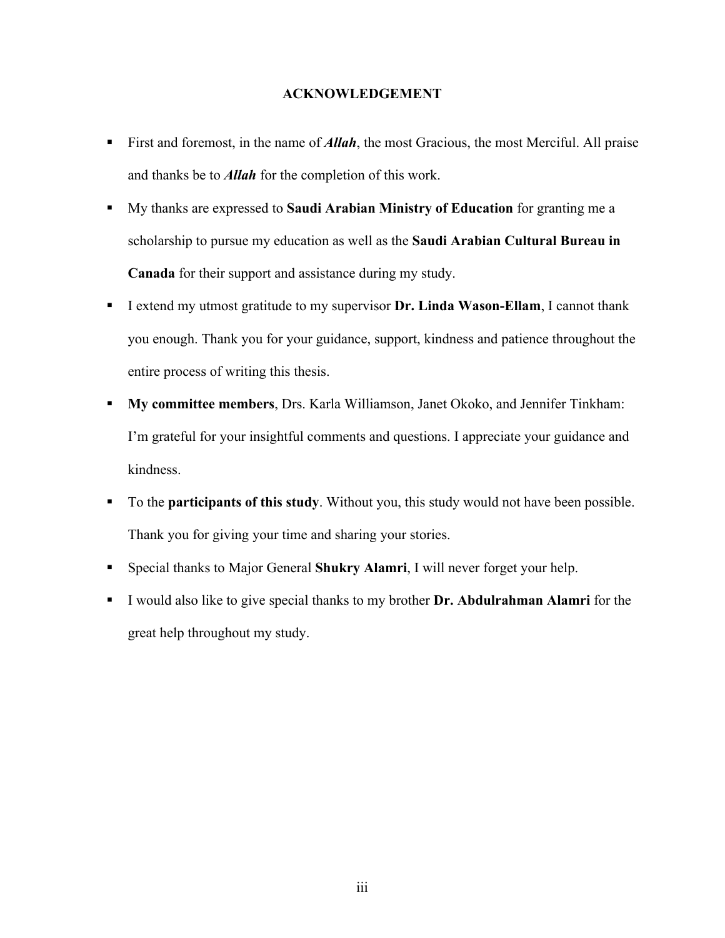# **ACKNOWLEDGEMENT**

- First and foremost, in the name of **Allah**, the most Gracious, the most Merciful. All praise and thanks be to *Allah* for the completion of this work.
- § My thanks are expressed to **Saudi Arabian Ministry of Education** for granting me a scholarship to pursue my education as well as the **Saudi Arabian Cultural Bureau in Canada** for their support and assistance during my study.
- § I extend my utmost gratitude to my supervisor **Dr. Linda Wason-Ellam**, I cannot thank you enough. Thank you for your guidance, support, kindness and patience throughout the entire process of writing this thesis.
- § **My committee members**, Drs. Karla Williamson, Janet Okoko, and Jennifer Tinkham: I'm grateful for your insightful comments and questions. I appreciate your guidance and kindness.
- To the **participants of this study**. Without you, this study would not have been possible. Thank you for giving your time and sharing your stories.
- Special thanks to Major General **Shukry Alamri**, I will never forget your help.
- § I would also like to give special thanks to my brother **Dr. Abdulrahman Alamri** for the great help throughout my study.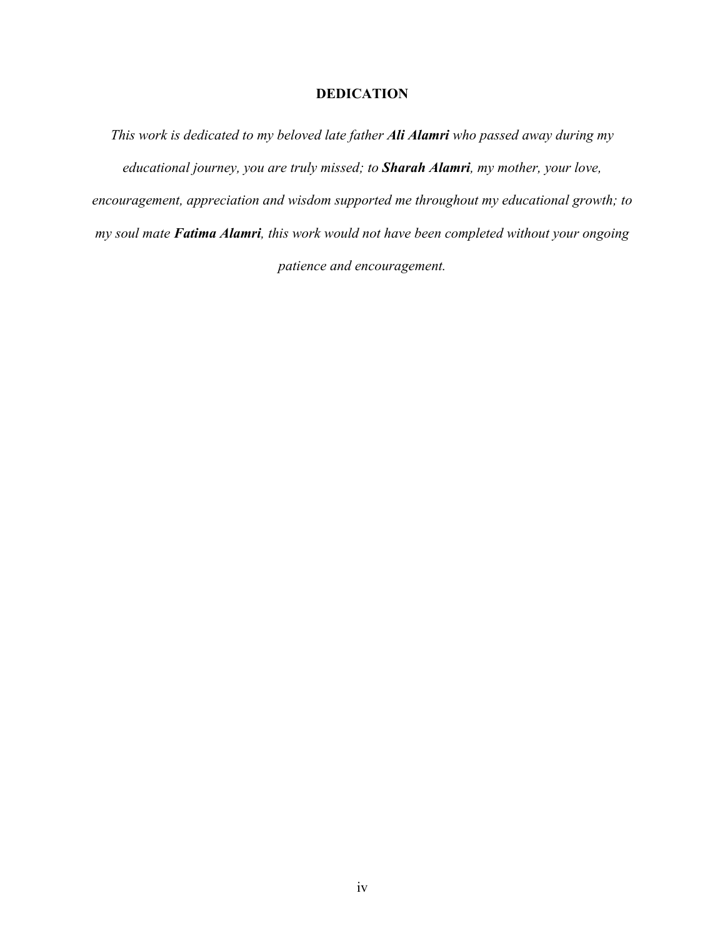# **DEDICATION**

*This work is dedicated to my beloved late father Ali Alamri who passed away during my educational journey, you are truly missed; to Sharah Alamri, my mother, your love, encouragement, appreciation and wisdom supported me throughout my educational growth; to my soul mate Fatima Alamri, this work would not have been completed without your ongoing patience and encouragement.*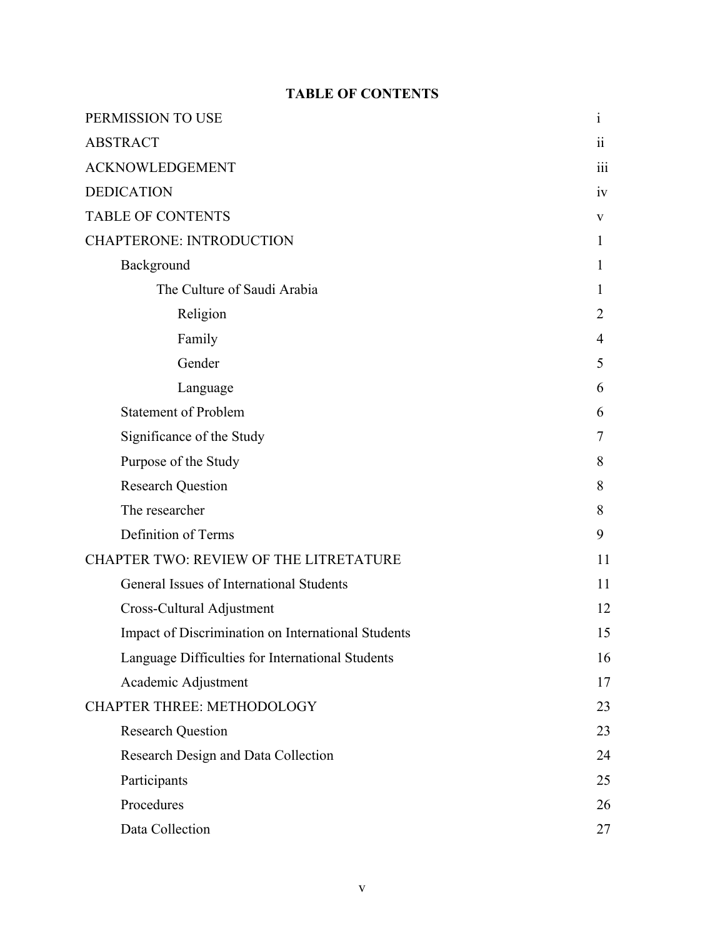# **TABLE OF CONTENTS**

| PERMISSION TO USE                                  | $\mathbf{i}$     |
|----------------------------------------------------|------------------|
| <b>ABSTRACT</b>                                    | $\ddot{\rm{ii}}$ |
| <b>ACKNOWLEDGEMENT</b>                             | iii              |
| <b>DEDICATION</b>                                  | iv               |
| <b>TABLE OF CONTENTS</b>                           | V                |
| <b>CHAPTERONE: INTRODUCTION</b>                    | 1                |
| Background                                         | 1                |
| The Culture of Saudi Arabia                        | 1                |
| Religion                                           | $\overline{2}$   |
| Family                                             | $\overline{4}$   |
| Gender                                             | 5                |
| Language                                           | 6                |
| <b>Statement of Problem</b>                        | 6                |
| Significance of the Study                          | 7                |
| Purpose of the Study                               | 8                |
| <b>Research Question</b>                           | 8                |
| The researcher                                     | 8                |
| Definition of Terms                                | 9                |
| CHAPTER TWO: REVIEW OF THE LITRETATURE             | 11               |
| General Issues of International Students           | 11               |
| Cross-Cultural Adjustment                          | 12               |
| Impact of Discrimination on International Students | 15               |
| Language Difficulties for International Students   | 16               |
| Academic Adjustment                                | 17               |
| <b>CHAPTER THREE: METHODOLOGY</b>                  | 23               |
| <b>Research Question</b>                           | 23               |
| Research Design and Data Collection                | 24               |
| Participants                                       | 25               |
| Procedures                                         | 26               |
| Data Collection                                    | 27               |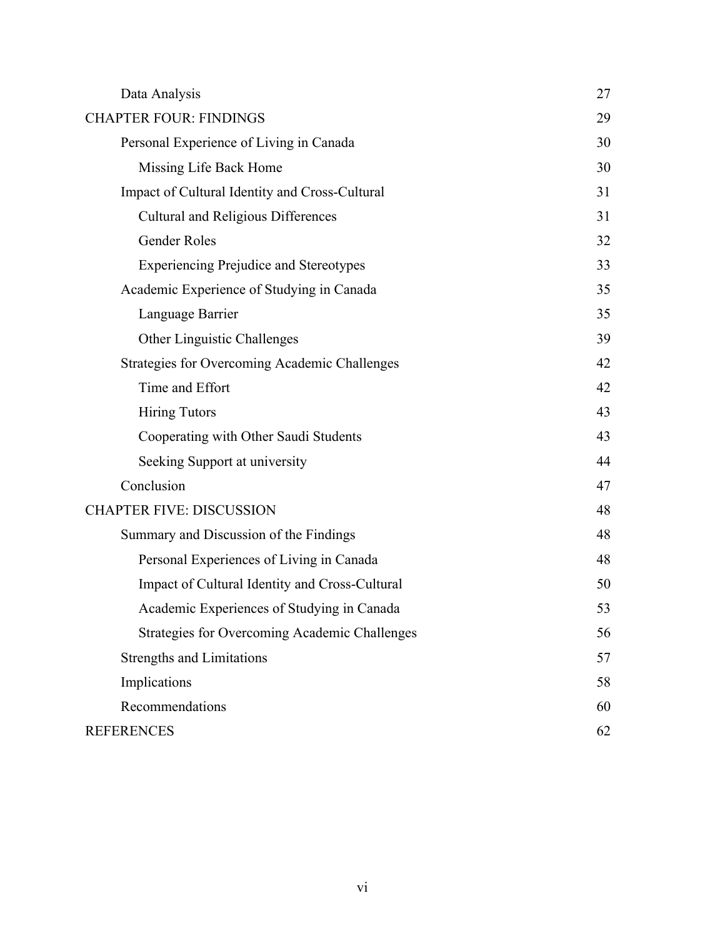| Data Analysis                                        | 27 |
|------------------------------------------------------|----|
| <b>CHAPTER FOUR: FINDINGS</b>                        | 29 |
| Personal Experience of Living in Canada              | 30 |
| Missing Life Back Home                               | 30 |
| Impact of Cultural Identity and Cross-Cultural       | 31 |
| Cultural and Religious Differences                   | 31 |
| Gender Roles                                         | 32 |
| <b>Experiencing Prejudice and Stereotypes</b>        | 33 |
| Academic Experience of Studying in Canada            | 35 |
| Language Barrier                                     | 35 |
| Other Linguistic Challenges                          | 39 |
| <b>Strategies for Overcoming Academic Challenges</b> | 42 |
| Time and Effort                                      | 42 |
| <b>Hiring Tutors</b>                                 | 43 |
| Cooperating with Other Saudi Students                | 43 |
| Seeking Support at university                        | 44 |
| Conclusion                                           | 47 |
| <b>CHAPTER FIVE: DISCUSSION</b>                      | 48 |
| Summary and Discussion of the Findings               | 48 |
| Personal Experiences of Living in Canada             | 48 |
| Impact of Cultural Identity and Cross-Cultural       | 50 |
| Academic Experiences of Studying in Canada           | 53 |
| <b>Strategies for Overcoming Academic Challenges</b> | 56 |
| <b>Strengths and Limitations</b>                     | 57 |
| Implications                                         | 58 |
| Recommendations                                      | 60 |
| <b>REFERENCES</b>                                    | 62 |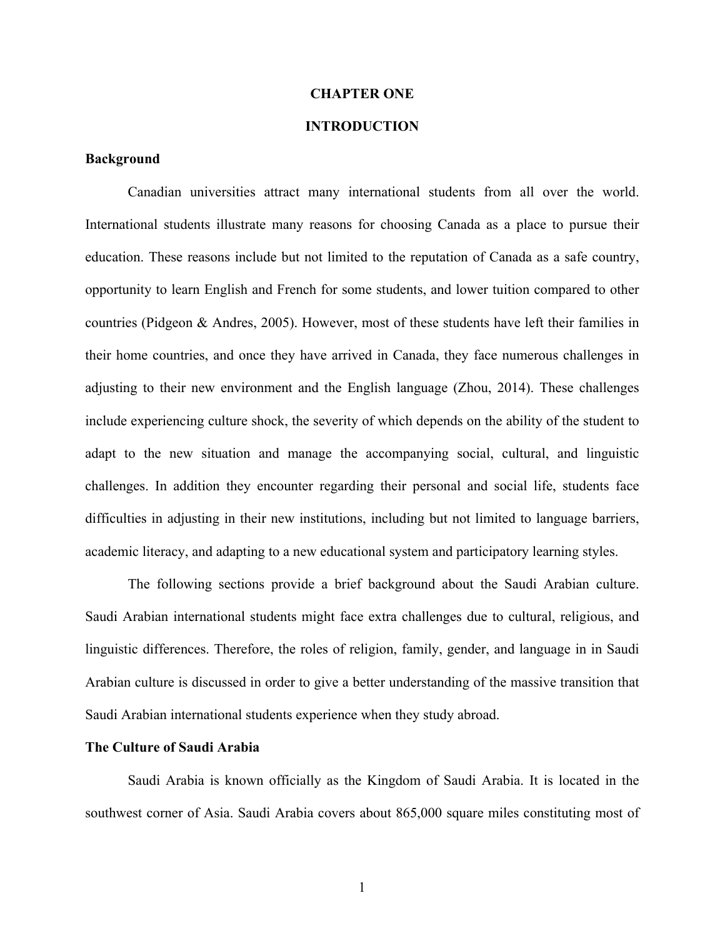#### **CHAPTER ONE**

# **INTRODUCTION**

# **Background**

Canadian universities attract many international students from all over the world. International students illustrate many reasons for choosing Canada as a place to pursue their education. These reasons include but not limited to the reputation of Canada as a safe country, opportunity to learn English and French for some students, and lower tuition compared to other countries (Pidgeon & Andres, 2005). However, most of these students have left their families in their home countries, and once they have arrived in Canada, they face numerous challenges in adjusting to their new environment and the English language (Zhou, 2014). These challenges include experiencing culture shock, the severity of which depends on the ability of the student to adapt to the new situation and manage the accompanying social, cultural, and linguistic challenges. In addition they encounter regarding their personal and social life, students face difficulties in adjusting in their new institutions, including but not limited to language barriers, academic literacy, and adapting to a new educational system and participatory learning styles.

The following sections provide a brief background about the Saudi Arabian culture. Saudi Arabian international students might face extra challenges due to cultural, religious, and linguistic differences. Therefore, the roles of religion, family, gender, and language in in Saudi Arabian culture is discussed in order to give a better understanding of the massive transition that Saudi Arabian international students experience when they study abroad.

# **The Culture of Saudi Arabia**

Saudi Arabia is known officially as the Kingdom of Saudi Arabia. It is located in the southwest corner of Asia. Saudi Arabia covers about 865,000 square miles constituting most of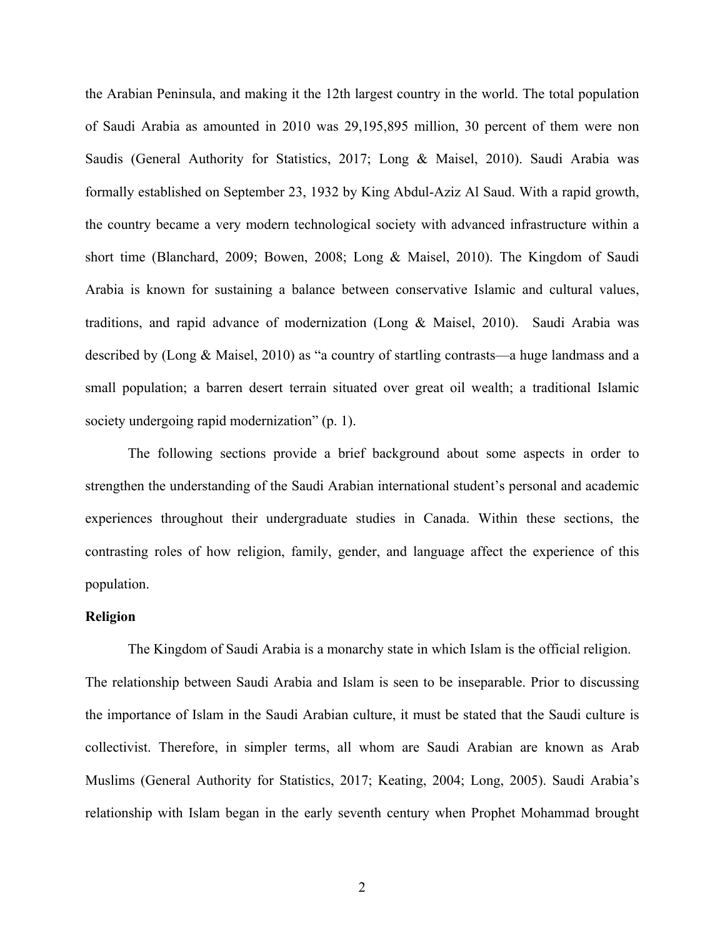the Arabian Peninsula, and making it the 12th largest country in the world. The total population of Saudi Arabia as amounted in 2010 was 29,195,895 million, 30 percent of them were non Saudis (General Authority for Statistics, 2017; Long & Maisel, 2010). Saudi Arabia was formally established on September 23, 1932 by King Abdul-Aziz Al Saud. With a rapid growth, the country became a very modern technological society with advanced infrastructure within a short time (Blanchard, 2009; Bowen, 2008; Long & Maisel, 2010). The Kingdom of Saudi Arabia is known for sustaining a balance between conservative Islamic and cultural values, traditions, and rapid advance of modernization (Long & Maisel, 2010). Saudi Arabia was described by (Long & Maisel, 2010) as "a country of startling contrasts—a huge landmass and a small population; a barren desert terrain situated over great oil wealth; a traditional Islamic society undergoing rapid modernization" (p. 1).

The following sections provide a brief background about some aspects in order to strengthen the understanding of the Saudi Arabian international student's personal and academic experiences throughout their undergraduate studies in Canada. Within these sections, the contrasting roles of how religion, family, gender, and language affect the experience of this population.

## **Religion**

The Kingdom of Saudi Arabia is a monarchy state in which Islam is the official religion.

The relationship between Saudi Arabia and Islam is seen to be inseparable. Prior to discussing the importance of Islam in the Saudi Arabian culture, it must be stated that the Saudi culture is collectivist. Therefore, in simpler terms, all whom are Saudi Arabian are known as Arab Muslims (General Authority for Statistics, 2017; Keating, 2004; Long, 2005). Saudi Arabia's relationship with Islam began in the early seventh century when Prophet Mohammad brought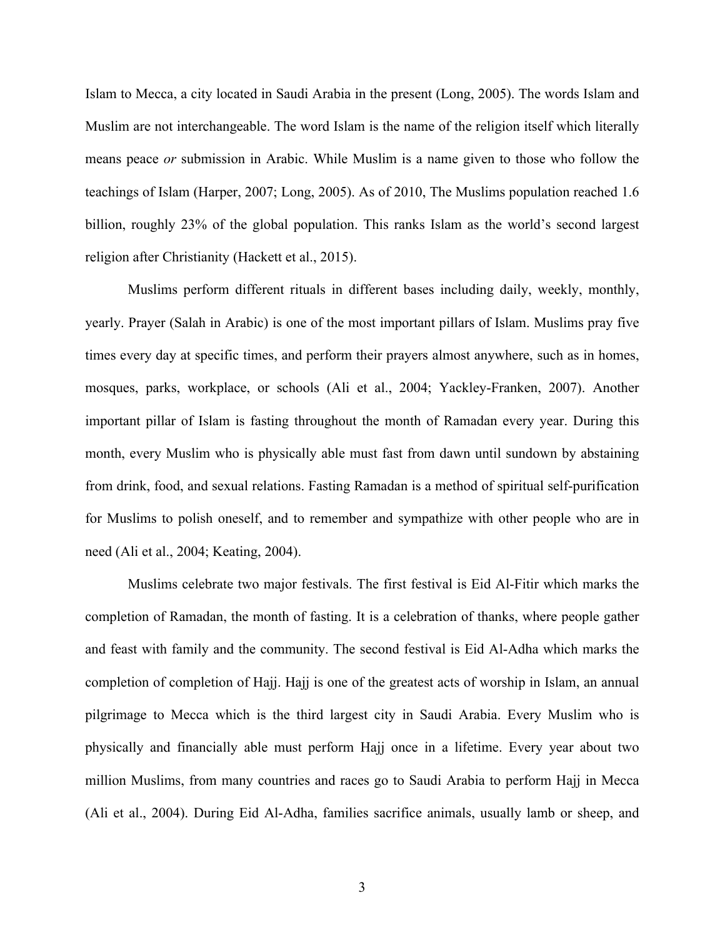Islam to Mecca, a city located in Saudi Arabia in the present (Long, 2005). The words Islam and Muslim are not interchangeable. The word Islam is the name of the religion itself which literally means peace *or* submission in Arabic. While Muslim is a name given to those who follow the teachings of Islam (Harper, 2007; Long, 2005). As of 2010, The Muslims population reached 1.6 billion, roughly 23% of the global population. This ranks Islam as the world's second largest religion after Christianity (Hackett et al., 2015).

Muslims perform different rituals in different bases including daily, weekly, monthly, yearly. Prayer (Salah in Arabic) is one of the most important pillars of Islam. Muslims pray five times every day at specific times, and perform their prayers almost anywhere, such as in homes, mosques, parks, workplace, or schools (Ali et al., 2004; Yackley-Franken, 2007). Another important pillar of Islam is fasting throughout the month of Ramadan every year. During this month, every Muslim who is physically able must fast from dawn until sundown by abstaining from drink, food, and sexual relations. Fasting Ramadan is a method of spiritual self-purification for Muslims to polish oneself, and to remember and sympathize with other people who are in need (Ali et al., 2004; Keating, 2004).

Muslims celebrate two major festivals. The first festival is Eid Al-Fitir which marks the completion of Ramadan, the month of fasting. It is a celebration of thanks, where people gather and feast with family and the community. The second festival is Eid Al-Adha which marks the completion of completion of Hajj. Hajj is one of the greatest acts of worship in Islam, an annual pilgrimage to Mecca which is the third largest city in Saudi Arabia. Every Muslim who is physically and financially able must perform Hajj once in a lifetime. Every year about two million Muslims, from many countries and races go to Saudi Arabia to perform Hajj in Mecca (Ali et al., 2004). During Eid Al-Adha, families sacrifice animals, usually lamb or sheep, and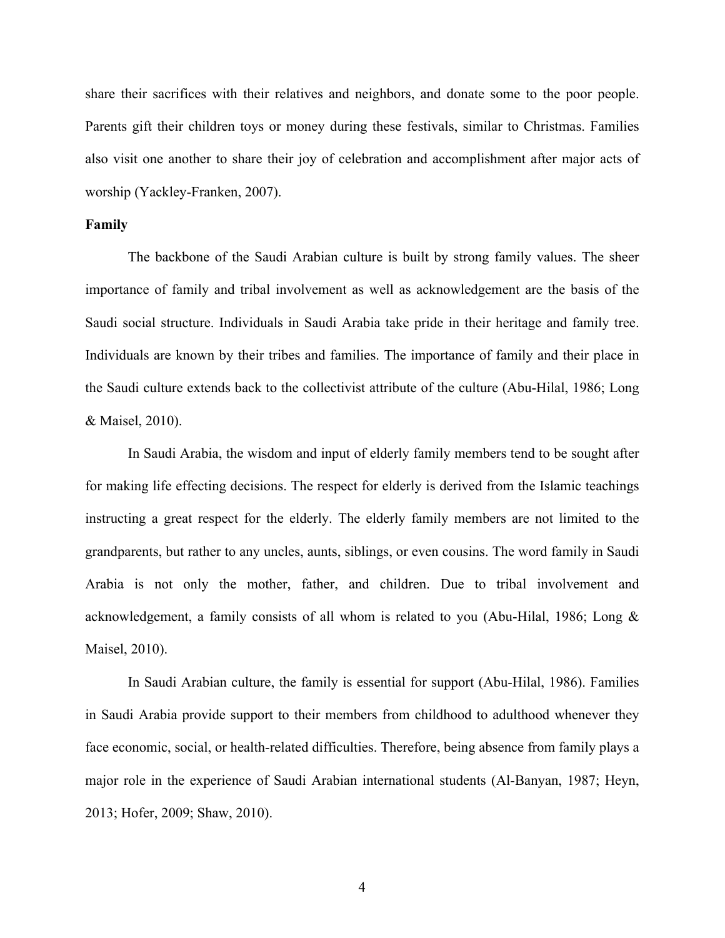share their sacrifices with their relatives and neighbors, and donate some to the poor people. Parents gift their children toys or money during these festivals, similar to Christmas. Families also visit one another to share their joy of celebration and accomplishment after major acts of worship (Yackley-Franken, 2007).

# **Family**

The backbone of the Saudi Arabian culture is built by strong family values. The sheer importance of family and tribal involvement as well as acknowledgement are the basis of the Saudi social structure. Individuals in Saudi Arabia take pride in their heritage and family tree. Individuals are known by their tribes and families. The importance of family and their place in the Saudi culture extends back to the collectivist attribute of the culture (Abu-Hilal, 1986; Long & Maisel, 2010).

In Saudi Arabia, the wisdom and input of elderly family members tend to be sought after for making life effecting decisions. The respect for elderly is derived from the Islamic teachings instructing a great respect for the elderly. The elderly family members are not limited to the grandparents, but rather to any uncles, aunts, siblings, or even cousins. The word family in Saudi Arabia is not only the mother, father, and children. Due to tribal involvement and acknowledgement, a family consists of all whom is related to you (Abu-Hilal, 1986; Long & Maisel, 2010).

In Saudi Arabian culture, the family is essential for support (Abu-Hilal, 1986). Families in Saudi Arabia provide support to their members from childhood to adulthood whenever they face economic, social, or health-related difficulties. Therefore, being absence from family plays a major role in the experience of Saudi Arabian international students (Al-Banyan, 1987; Heyn, 2013; Hofer, 2009; Shaw, 2010).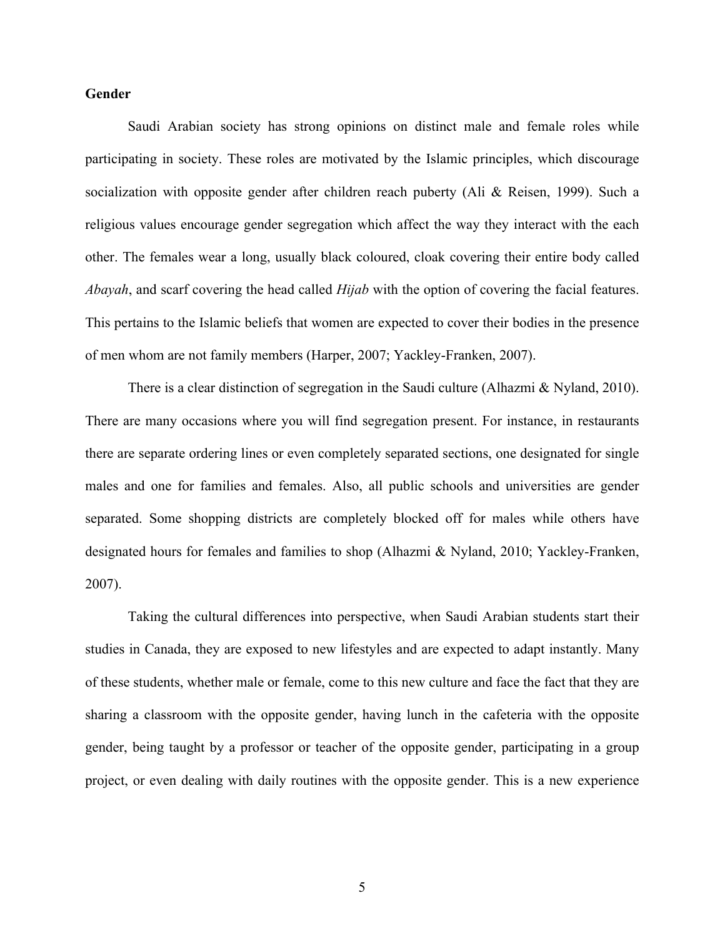# **Gender**

Saudi Arabian society has strong opinions on distinct male and female roles while participating in society. These roles are motivated by the Islamic principles, which discourage socialization with opposite gender after children reach puberty (Ali & Reisen, 1999). Such a religious values encourage gender segregation which affect the way they interact with the each other. The females wear a long, usually black coloured, cloak covering their entire body called *Abayah*, and scarf covering the head called *Hijab* with the option of covering the facial features. This pertains to the Islamic beliefs that women are expected to cover their bodies in the presence of men whom are not family members (Harper, 2007; Yackley-Franken, 2007).

There is a clear distinction of segregation in the Saudi culture (Alhazmi & Nyland, 2010). There are many occasions where you will find segregation present. For instance, in restaurants there are separate ordering lines or even completely separated sections, one designated for single males and one for families and females. Also, all public schools and universities are gender separated. Some shopping districts are completely blocked off for males while others have designated hours for females and families to shop (Alhazmi & Nyland, 2010; Yackley-Franken, 2007).

Taking the cultural differences into perspective, when Saudi Arabian students start their studies in Canada, they are exposed to new lifestyles and are expected to adapt instantly. Many of these students, whether male or female, come to this new culture and face the fact that they are sharing a classroom with the opposite gender, having lunch in the cafeteria with the opposite gender, being taught by a professor or teacher of the opposite gender, participating in a group project, or even dealing with daily routines with the opposite gender. This is a new experience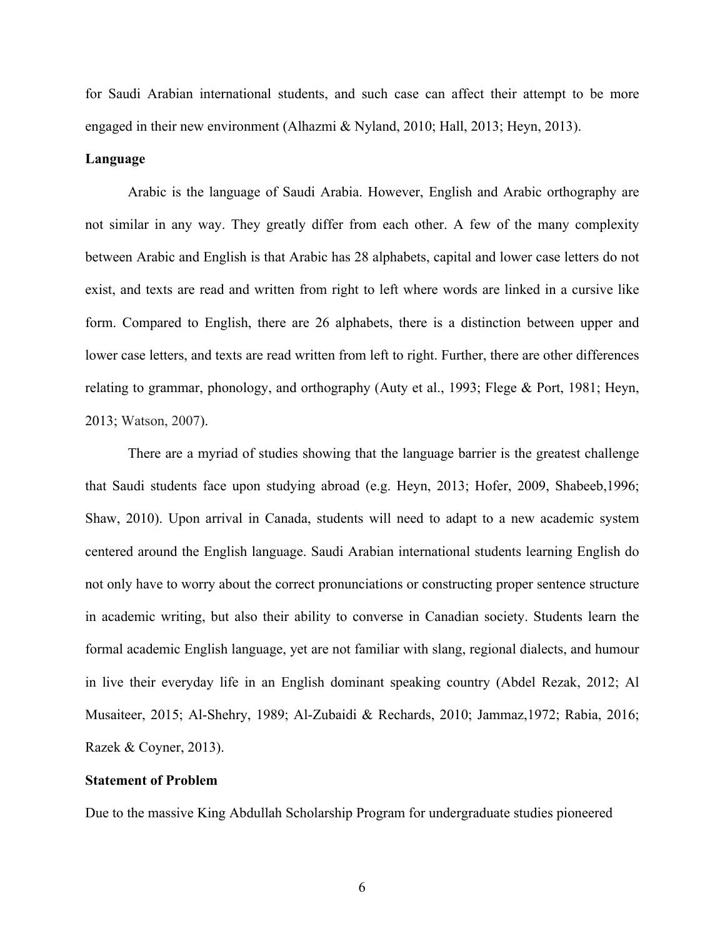for Saudi Arabian international students, and such case can affect their attempt to be more engaged in their new environment (Alhazmi & Nyland, 2010; Hall, 2013; Heyn, 2013).

#### **Language**

Arabic is the language of Saudi Arabia. However, English and Arabic orthography are not similar in any way. They greatly differ from each other. A few of the many complexity between Arabic and English is that Arabic has 28 alphabets, capital and lower case letters do not exist, and texts are read and written from right to left where words are linked in a cursive like form. Compared to English, there are 26 alphabets, there is a distinction between upper and lower case letters, and texts are read written from left to right. Further, there are other differences relating to grammar, phonology, and orthography (Auty et al., 1993; Flege & Port, 1981; Heyn, 2013; Watson, 2007).

There are a myriad of studies showing that the language barrier is the greatest challenge that Saudi students face upon studying abroad (e.g. Heyn, 2013; Hofer, 2009, Shabeeb,1996; Shaw, 2010). Upon arrival in Canada, students will need to adapt to a new academic system centered around the English language. Saudi Arabian international students learning English do not only have to worry about the correct pronunciations or constructing proper sentence structure in academic writing, but also their ability to converse in Canadian society. Students learn the formal academic English language, yet are not familiar with slang, regional dialects, and humour in live their everyday life in an English dominant speaking country (Abdel Rezak, 2012; Al Musaiteer, 2015; Al-Shehry, 1989; Al-Zubaidi & Rechards, 2010; Jammaz,1972; Rabia, 2016; Razek & Coyner, 2013).

## **Statement of Problem**

Due to the massive King Abdullah Scholarship Program for undergraduate studies pioneered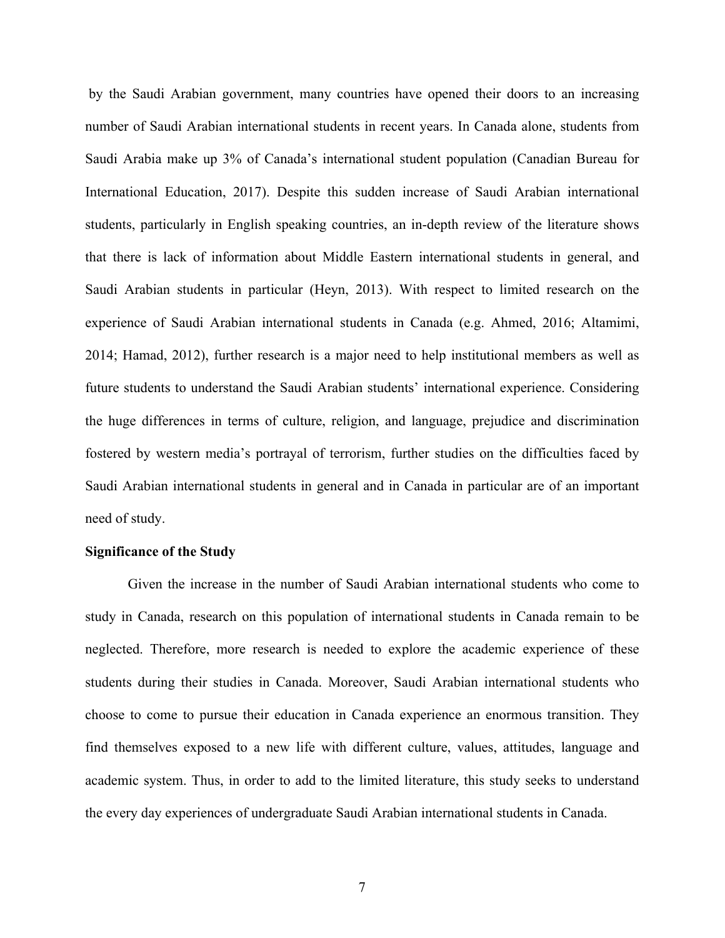by the Saudi Arabian government, many countries have opened their doors to an increasing number of Saudi Arabian international students in recent years. In Canada alone, students from Saudi Arabia make up 3% of Canada's international student population (Canadian Bureau for International Education, 2017). Despite this sudden increase of Saudi Arabian international students, particularly in English speaking countries, an in-depth review of the literature shows that there is lack of information about Middle Eastern international students in general, and Saudi Arabian students in particular (Heyn, 2013). With respect to limited research on the experience of Saudi Arabian international students in Canada (e.g. Ahmed, 2016; Altamimi, 2014; Hamad, 2012), further research is a major need to help institutional members as well as future students to understand the Saudi Arabian students' international experience. Considering the huge differences in terms of culture, religion, and language, prejudice and discrimination fostered by western media's portrayal of terrorism, further studies on the difficulties faced by Saudi Arabian international students in general and in Canada in particular are of an important need of study.

## **Significance of the Study**

Given the increase in the number of Saudi Arabian international students who come to study in Canada, research on this population of international students in Canada remain to be neglected. Therefore, more research is needed to explore the academic experience of these students during their studies in Canada. Moreover, Saudi Arabian international students who choose to come to pursue their education in Canada experience an enormous transition. They find themselves exposed to a new life with different culture, values, attitudes, language and academic system. Thus, in order to add to the limited literature, this study seeks to understand the every day experiences of undergraduate Saudi Arabian international students in Canada.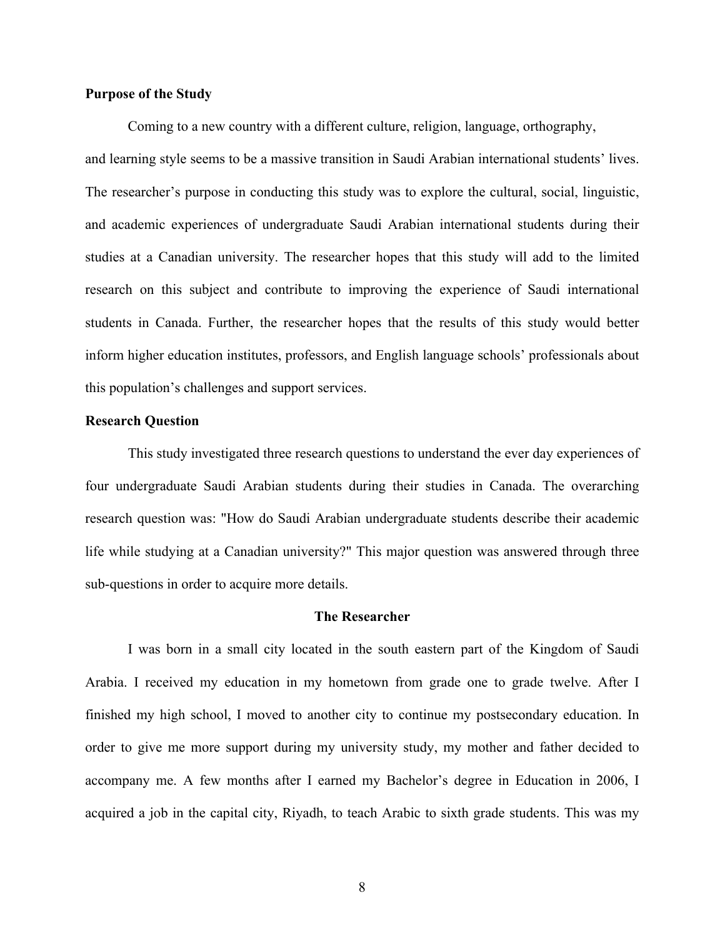## **Purpose of the Study**

Coming to a new country with a different culture, religion, language, orthography, and learning style seems to be a massive transition in Saudi Arabian international students' lives. The researcher's purpose in conducting this study was to explore the cultural, social, linguistic, and academic experiences of undergraduate Saudi Arabian international students during their studies at a Canadian university. The researcher hopes that this study will add to the limited research on this subject and contribute to improving the experience of Saudi international students in Canada. Further, the researcher hopes that the results of this study would better inform higher education institutes, professors, and English language schools' professionals about this population's challenges and support services.

#### **Research Question**

This study investigated three research questions to understand the ever day experiences of four undergraduate Saudi Arabian students during their studies in Canada. The overarching research question was: "How do Saudi Arabian undergraduate students describe their academic life while studying at a Canadian university?" This major question was answered through three sub-questions in order to acquire more details.

#### **The Researcher**

I was born in a small city located in the south eastern part of the Kingdom of Saudi Arabia. I received my education in my hometown from grade one to grade twelve. After I finished my high school, I moved to another city to continue my postsecondary education. In order to give me more support during my university study, my mother and father decided to accompany me. A few months after I earned my Bachelor's degree in Education in 2006, I acquired a job in the capital city, Riyadh, to teach Arabic to sixth grade students. This was my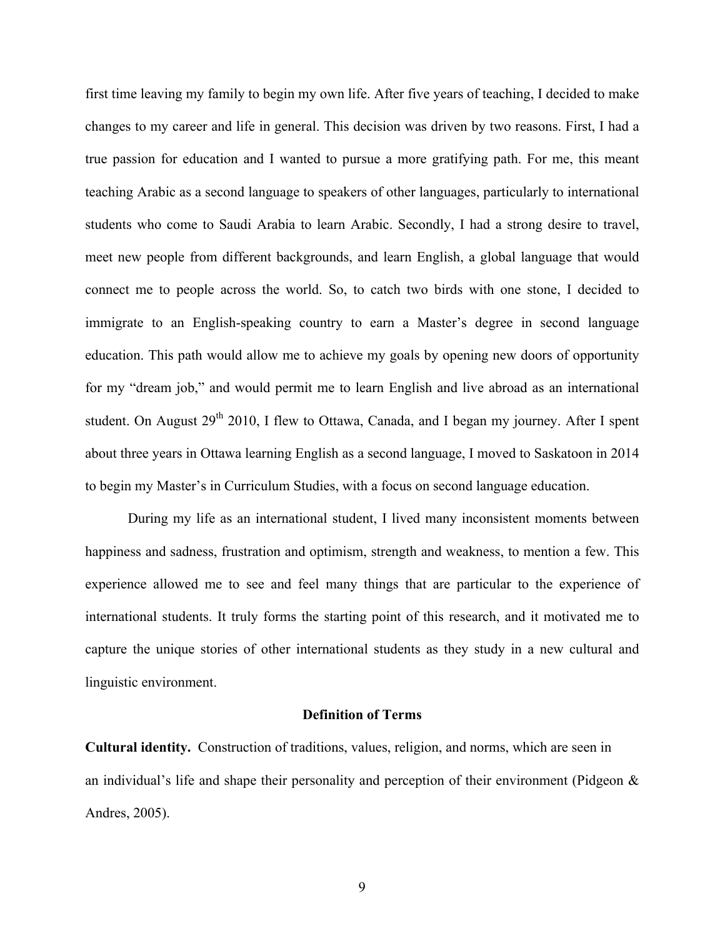first time leaving my family to begin my own life. After five years of teaching, I decided to make changes to my career and life in general. This decision was driven by two reasons. First, I had a true passion for education and I wanted to pursue a more gratifying path. For me, this meant teaching Arabic as a second language to speakers of other languages, particularly to international students who come to Saudi Arabia to learn Arabic. Secondly, I had a strong desire to travel, meet new people from different backgrounds, and learn English, a global language that would connect me to people across the world. So, to catch two birds with one stone, I decided to immigrate to an English-speaking country to earn a Master's degree in second language education. This path would allow me to achieve my goals by opening new doors of opportunity for my "dream job," and would permit me to learn English and live abroad as an international student. On August 29<sup>th</sup> 2010, I flew to Ottawa, Canada, and I began my journey. After I spent about three years in Ottawa learning English as a second language, I moved to Saskatoon in 2014 to begin my Master's in Curriculum Studies, with a focus on second language education.

During my life as an international student, I lived many inconsistent moments between happiness and sadness, frustration and optimism, strength and weakness, to mention a few. This experience allowed me to see and feel many things that are particular to the experience of international students. It truly forms the starting point of this research, and it motivated me to capture the unique stories of other international students as they study in a new cultural and linguistic environment.

#### **Definition of Terms**

**Cultural identity.** Construction of traditions, values, religion, and norms, which are seen in an individual's life and shape their personality and perception of their environment (Pidgeon & Andres, 2005).

9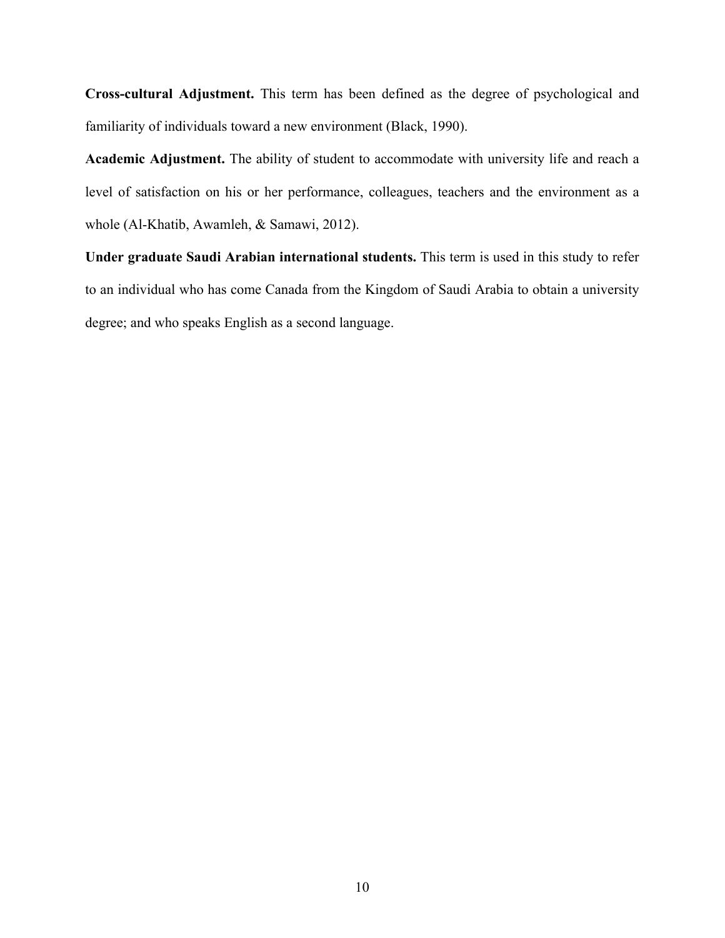**Cross-cultural Adjustment.** This term has been defined as the degree of psychological and familiarity of individuals toward a new environment (Black, 1990).

**Academic Adjustment.** The ability of student to accommodate with university life and reach a level of satisfaction on his or her performance, colleagues, teachers and the environment as a whole (Al-Khatib, Awamleh, & Samawi, 2012).

**Under graduate Saudi Arabian international students.** This term is used in this study to refer to an individual who has come Canada from the Kingdom of Saudi Arabia to obtain a university degree; and who speaks English as a second language.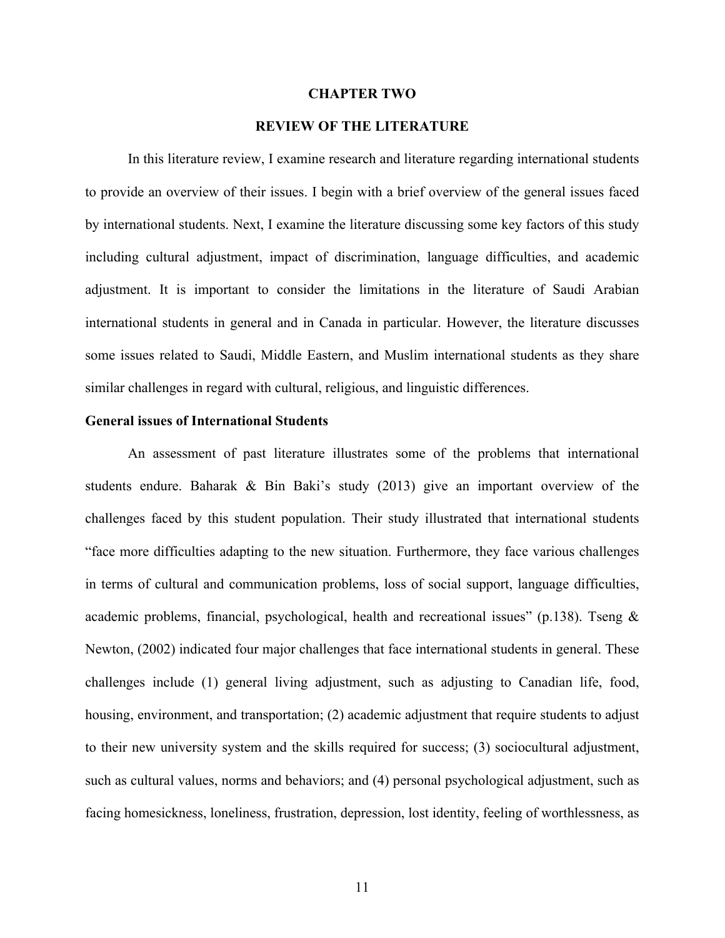#### **CHAPTER TWO**

# **REVIEW OF THE LITERATURE**

In this literature review, I examine research and literature regarding international students to provide an overview of their issues. I begin with a brief overview of the general issues faced by international students. Next, I examine the literature discussing some key factors of this study including cultural adjustment, impact of discrimination, language difficulties, and academic adjustment. It is important to consider the limitations in the literature of Saudi Arabian international students in general and in Canada in particular. However, the literature discusses some issues related to Saudi, Middle Eastern, and Muslim international students as they share similar challenges in regard with cultural, religious, and linguistic differences.

#### **General issues of International Students**

An assessment of past literature illustrates some of the problems that international students endure. Baharak & Bin Baki's study (2013) give an important overview of the challenges faced by this student population. Their study illustrated that international students "face more difficulties adapting to the new situation. Furthermore, they face various challenges in terms of cultural and communication problems, loss of social support, language difficulties, academic problems, financial, psychological, health and recreational issues" (p.138). Tseng  $\&$ Newton, (2002) indicated four major challenges that face international students in general. These challenges include (1) general living adjustment, such as adjusting to Canadian life, food, housing, environment, and transportation; (2) academic adjustment that require students to adjust to their new university system and the skills required for success; (3) sociocultural adjustment, such as cultural values, norms and behaviors; and (4) personal psychological adjustment, such as facing homesickness, loneliness, frustration, depression, lost identity, feeling of worthlessness, as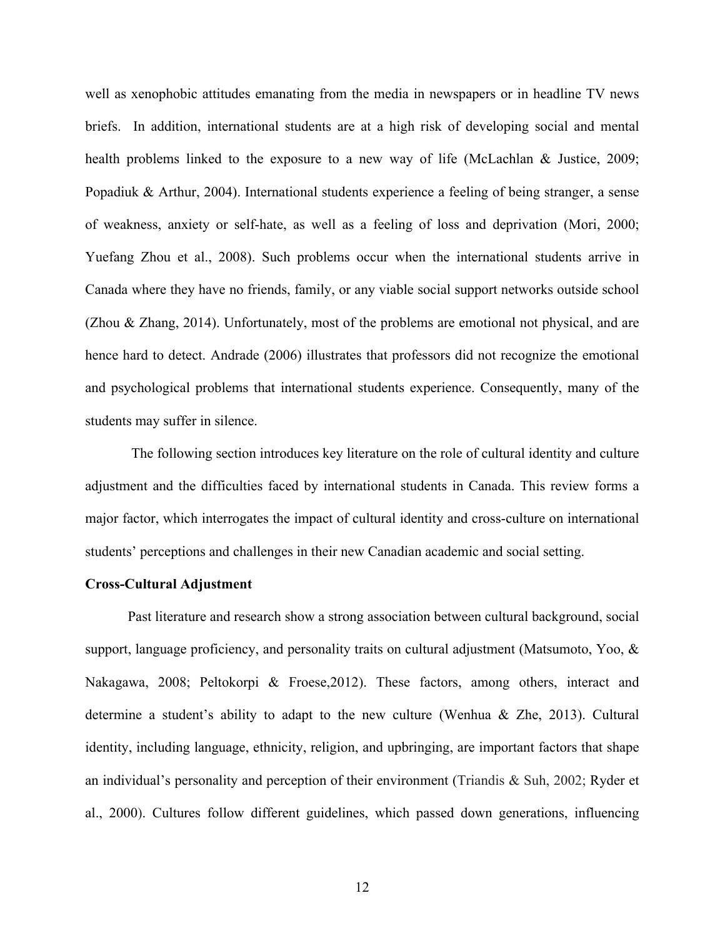well as xenophobic attitudes emanating from the media in newspapers or in headline TV news briefs. In addition, international students are at a high risk of developing social and mental health problems linked to the exposure to a new way of life (McLachlan & Justice, 2009; Popadiuk & Arthur, 2004). International students experience a feeling of being stranger, a sense of weakness, anxiety or self-hate, as well as a feeling of loss and deprivation (Mori, 2000; Yuefang Zhou et al., 2008). Such problems occur when the international students arrive in Canada where they have no friends, family, or any viable social support networks outside school (Zhou & Zhang, 2014). Unfortunately, most of the problems are emotional not physical, and are hence hard to detect. Andrade (2006) illustrates that professors did not recognize the emotional and psychological problems that international students experience. Consequently, many of the students may suffer in silence.

The following section introduces key literature on the role of cultural identity and culture adjustment and the difficulties faced by international students in Canada. This review forms a major factor, which interrogates the impact of cultural identity and cross-culture on international students' perceptions and challenges in their new Canadian academic and social setting.

#### **Cross-Cultural Adjustment**

Past literature and research show a strong association between cultural background, social support, language proficiency, and personality traits on cultural adjustment (Matsumoto, Yoo, & Nakagawa, 2008; Peltokorpi & Froese,2012). These factors, among others, interact and determine a student's ability to adapt to the new culture (Wenhua & Zhe, 2013). Cultural identity, including language, ethnicity, religion, and upbringing, are important factors that shape an individual's personality and perception of their environment (Triandis & Suh, 2002; Ryder et al., 2000). Cultures follow different guidelines, which passed down generations, influencing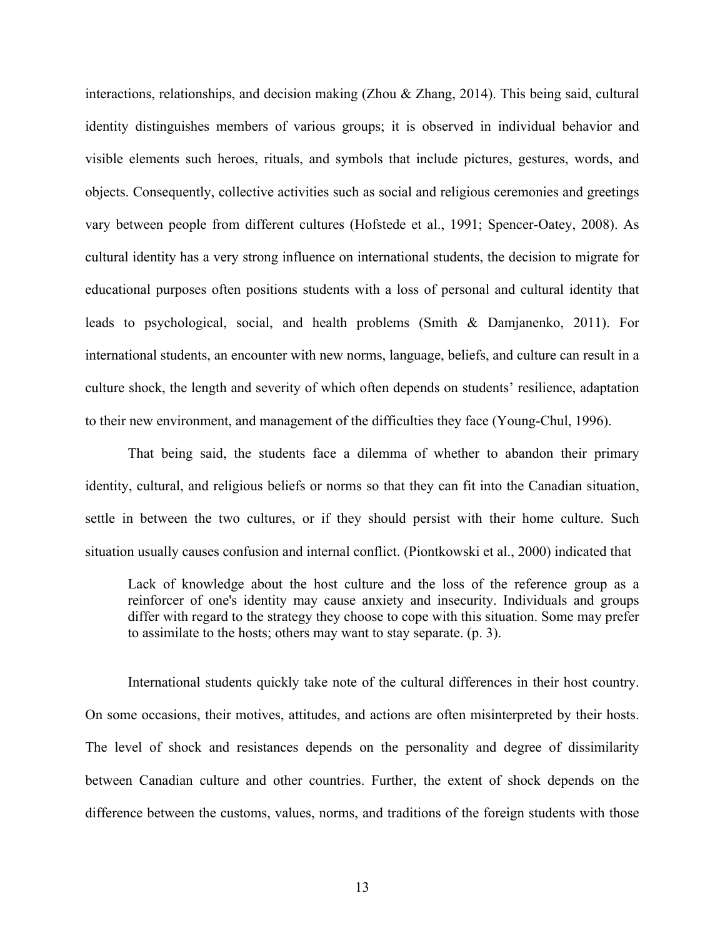interactions, relationships, and decision making (Zhou & Zhang, 2014). This being said, cultural identity distinguishes members of various groups; it is observed in individual behavior and visible elements such heroes, rituals, and symbols that include pictures, gestures, words, and objects. Consequently, collective activities such as social and religious ceremonies and greetings vary between people from different cultures (Hofstede et al., 1991; Spencer-Oatey, 2008). As cultural identity has a very strong influence on international students, the decision to migrate for educational purposes often positions students with a loss of personal and cultural identity that leads to psychological, social, and health problems (Smith & Damjanenko, 2011). For international students, an encounter with new norms, language, beliefs, and culture can result in a culture shock, the length and severity of which often depends on students' resilience, adaptation to their new environment, and management of the difficulties they face (Young-Chul, 1996).

That being said, the students face a dilemma of whether to abandon their primary identity, cultural, and religious beliefs or norms so that they can fit into the Canadian situation, settle in between the two cultures, or if they should persist with their home culture. Such situation usually causes confusion and internal conflict. (Piontkowski et al., 2000) indicated that

Lack of knowledge about the host culture and the loss of the reference group as a reinforcer of one's identity may cause anxiety and insecurity. Individuals and groups differ with regard to the strategy they choose to cope with this situation. Some may prefer to assimilate to the hosts; others may want to stay separate. (p. 3).

International students quickly take note of the cultural differences in their host country. On some occasions, their motives, attitudes, and actions are often misinterpreted by their hosts. The level of shock and resistances depends on the personality and degree of dissimilarity between Canadian culture and other countries. Further, the extent of shock depends on the difference between the customs, values, norms, and traditions of the foreign students with those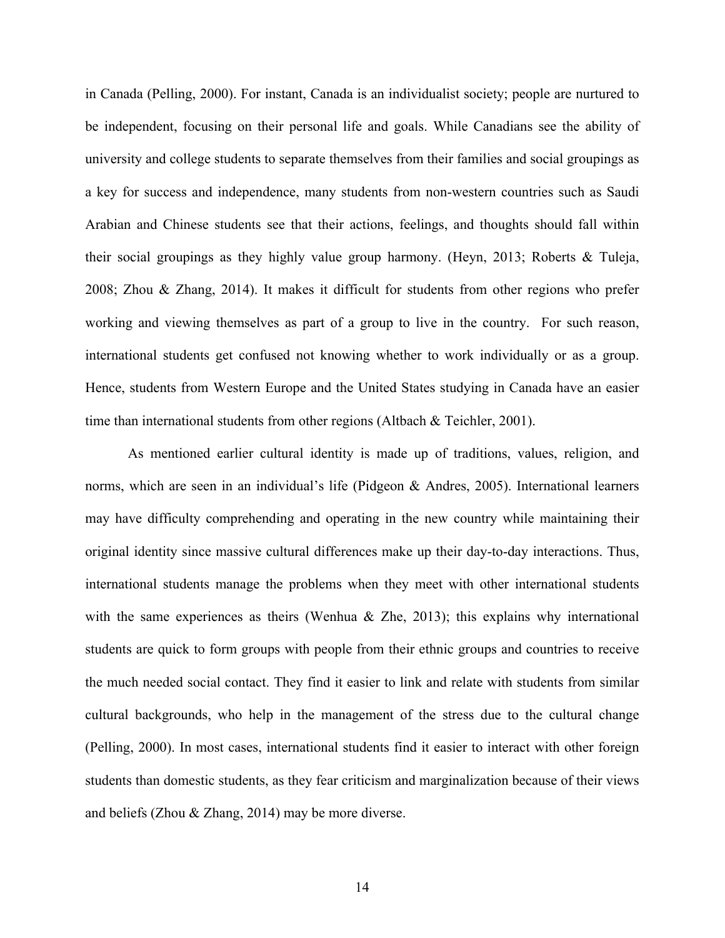in Canada (Pelling, 2000). For instant, Canada is an individualist society; people are nurtured to be independent, focusing on their personal life and goals. While Canadians see the ability of university and college students to separate themselves from their families and social groupings as a key for success and independence, many students from non-western countries such as Saudi Arabian and Chinese students see that their actions, feelings, and thoughts should fall within their social groupings as they highly value group harmony. (Heyn, 2013; Roberts & Tuleja, 2008; Zhou & Zhang, 2014). It makes it difficult for students from other regions who prefer working and viewing themselves as part of a group to live in the country. For such reason, international students get confused not knowing whether to work individually or as a group. Hence, students from Western Europe and the United States studying in Canada have an easier time than international students from other regions (Altbach & Teichler, 2001).

As mentioned earlier cultural identity is made up of traditions, values, religion, and norms, which are seen in an individual's life (Pidgeon & Andres, 2005). International learners may have difficulty comprehending and operating in the new country while maintaining their original identity since massive cultural differences make up their day-to-day interactions. Thus, international students manage the problems when they meet with other international students with the same experiences as theirs (Wenhua  $\&$  Zhe, 2013); this explains why international students are quick to form groups with people from their ethnic groups and countries to receive the much needed social contact. They find it easier to link and relate with students from similar cultural backgrounds, who help in the management of the stress due to the cultural change (Pelling, 2000). In most cases, international students find it easier to interact with other foreign students than domestic students, as they fear criticism and marginalization because of their views and beliefs (Zhou & Zhang, 2014) may be more diverse.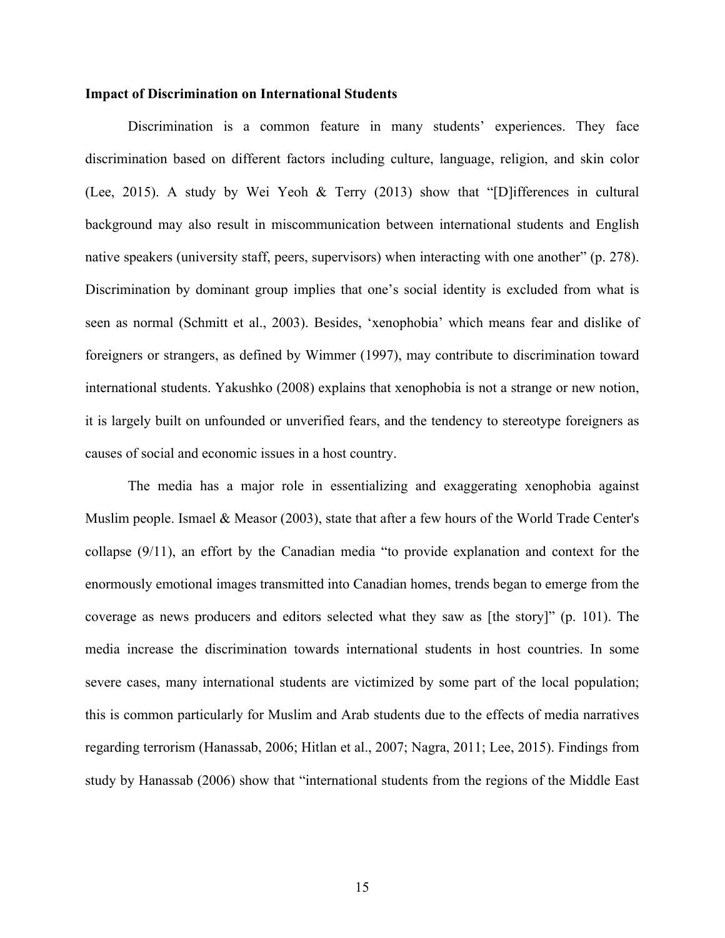#### **Impact of Discrimination on International Students**

Discrimination is a common feature in many students' experiences. They face discrimination based on different factors including culture, language, religion, and skin color (Lee, 2015). A study by Wei Yeoh & Terry (2013) show that "[D]ifferences in cultural background may also result in miscommunication between international students and English native speakers (university staff, peers, supervisors) when interacting with one another" (p. 278). Discrimination by dominant group implies that one's social identity is excluded from what is seen as normal (Schmitt et al., 2003). Besides, 'xenophobia' which means fear and dislike of foreigners or strangers, as defined by Wimmer (1997), may contribute to discrimination toward international students. Yakushko (2008) explains that xenophobia is not a strange or new notion, it is largely built on unfounded or unverified fears, and the tendency to stereotype foreigners as causes of social and economic issues in a host country.

The media has a major role in essentializing and exaggerating xenophobia against Muslim people. Ismael & Measor (2003), state that after a few hours of the World Trade Center's collapse (9/11), an effort by the Canadian media "to provide explanation and context for the enormously emotional images transmitted into Canadian homes, trends began to emerge from the coverage as news producers and editors selected what they saw as [the story]" (p. 101). The media increase the discrimination towards international students in host countries. In some severe cases, many international students are victimized by some part of the local population; this is common particularly for Muslim and Arab students due to the effects of media narratives regarding terrorism (Hanassab, 2006; Hitlan et al., 2007; Nagra, 2011; Lee, 2015). Findings from study by Hanassab (2006) show that "international students from the regions of the Middle East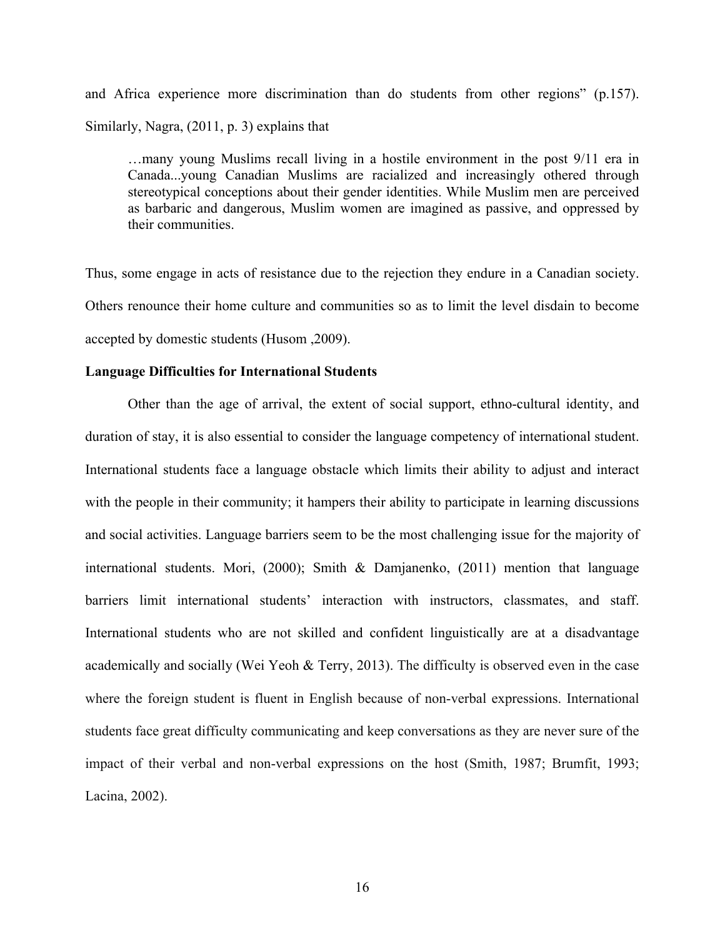and Africa experience more discrimination than do students from other regions" (p.157). Similarly, Nagra, (2011, p. 3) explains that

…many young Muslims recall living in a hostile environment in the post 9/11 era in Canada...young Canadian Muslims are racialized and increasingly othered through stereotypical conceptions about their gender identities. While Muslim men are perceived as barbaric and dangerous, Muslim women are imagined as passive, and oppressed by their communities.

Thus, some engage in acts of resistance due to the rejection they endure in a Canadian society. Others renounce their home culture and communities so as to limit the level disdain to become accepted by domestic students (Husom ,2009).

## **Language Difficulties for International Students**

Other than the age of arrival, the extent of social support, ethno-cultural identity, and duration of stay, it is also essential to consider the language competency of international student. International students face a language obstacle which limits their ability to adjust and interact with the people in their community; it hampers their ability to participate in learning discussions and social activities. Language barriers seem to be the most challenging issue for the majority of international students. Mori, (2000); Smith & Damjanenko, (2011) mention that language barriers limit international students' interaction with instructors, classmates, and staff. International students who are not skilled and confident linguistically are at a disadvantage academically and socially (Wei Yeoh & Terry, 2013). The difficulty is observed even in the case where the foreign student is fluent in English because of non-verbal expressions. International students face great difficulty communicating and keep conversations as they are never sure of the impact of their verbal and non-verbal expressions on the host (Smith, 1987; Brumfit, 1993; Lacina, 2002).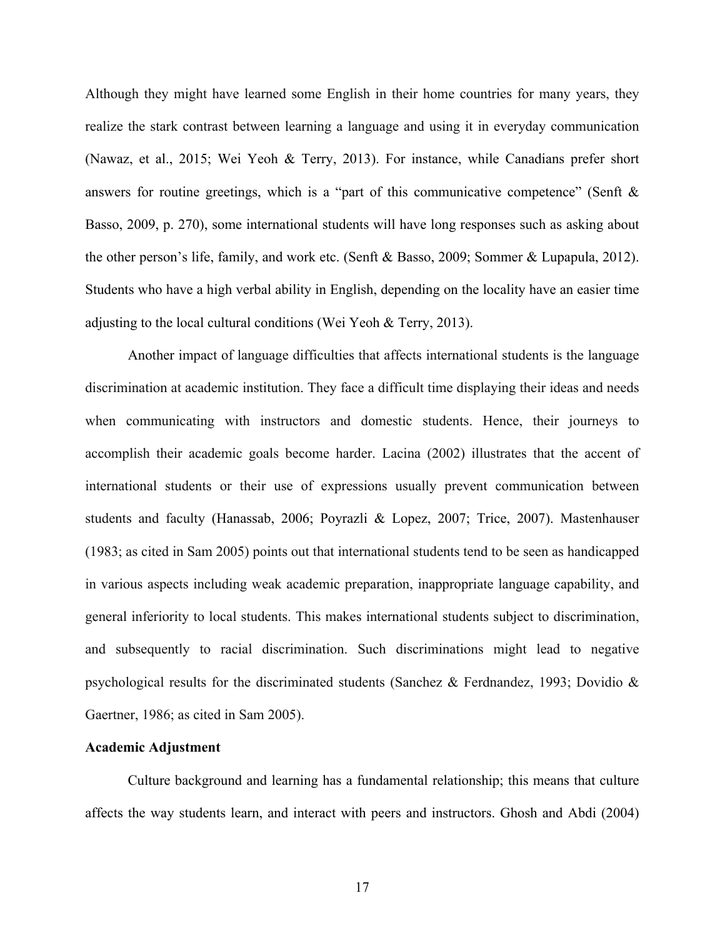Although they might have learned some English in their home countries for many years, they realize the stark contrast between learning a language and using it in everyday communication (Nawaz, et al., 2015; Wei Yeoh & Terry, 2013). For instance, while Canadians prefer short answers for routine greetings, which is a "part of this communicative competence" (Senft & Basso, 2009, p. 270), some international students will have long responses such as asking about the other person's life, family, and work etc. (Senft & Basso, 2009; Sommer & Lupapula, 2012). Students who have a high verbal ability in English, depending on the locality have an easier time adjusting to the local cultural conditions (Wei Yeoh & Terry, 2013).

Another impact of language difficulties that affects international students is the language discrimination at academic institution. They face a difficult time displaying their ideas and needs when communicating with instructors and domestic students. Hence, their journeys to accomplish their academic goals become harder. Lacina (2002) illustrates that the accent of international students or their use of expressions usually prevent communication between students and faculty (Hanassab, 2006; Poyrazli & Lopez, 2007; Trice, 2007). Mastenhauser (1983; as cited in Sam 2005) points out that international students tend to be seen as handicapped in various aspects including weak academic preparation, inappropriate language capability, and general inferiority to local students. This makes international students subject to discrimination, and subsequently to racial discrimination. Such discriminations might lead to negative psychological results for the discriminated students (Sanchez & Ferdnandez, 1993; Dovidio & Gaertner, 1986; as cited in Sam 2005).

# **Academic Adjustment**

Culture background and learning has a fundamental relationship; this means that culture affects the way students learn, and interact with peers and instructors. Ghosh and Abdi (2004)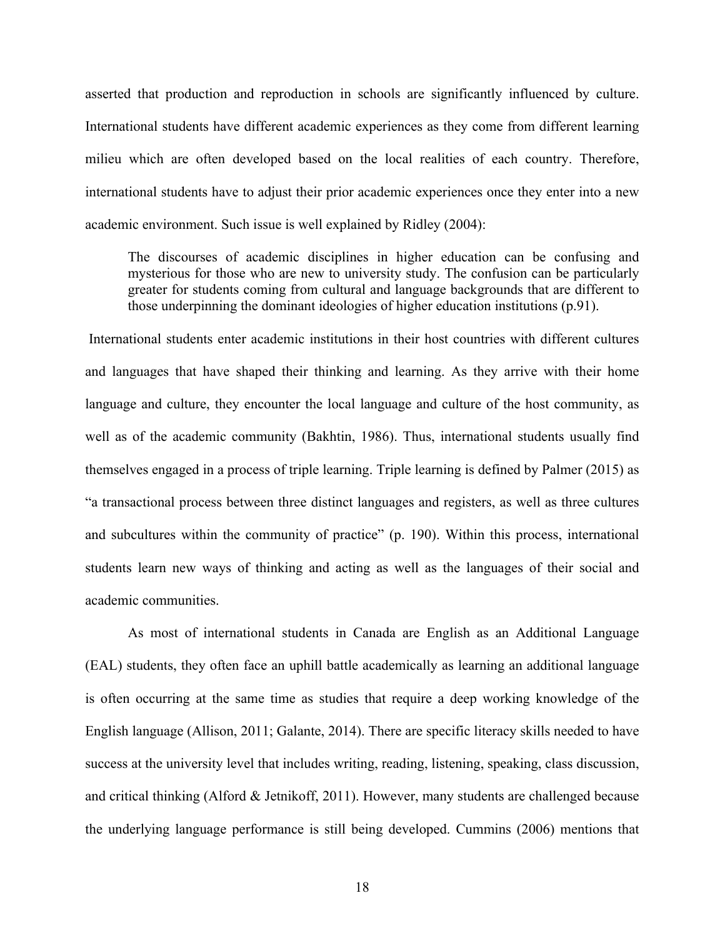asserted that production and reproduction in schools are significantly influenced by culture. International students have different academic experiences as they come from different learning milieu which are often developed based on the local realities of each country. Therefore, international students have to adjust their prior academic experiences once they enter into a new academic environment. Such issue is well explained by Ridley (2004):

The discourses of academic disciplines in higher education can be confusing and mysterious for those who are new to university study. The confusion can be particularly greater for students coming from cultural and language backgrounds that are different to those underpinning the dominant ideologies of higher education institutions (p.91).

International students enter academic institutions in their host countries with different cultures and languages that have shaped their thinking and learning. As they arrive with their home language and culture, they encounter the local language and culture of the host community, as well as of the academic community (Bakhtin, 1986). Thus, international students usually find themselves engaged in a process of triple learning. Triple learning is defined by Palmer (2015) as "a transactional process between three distinct languages and registers, as well as three cultures and subcultures within the community of practice" (p. 190). Within this process, international students learn new ways of thinking and acting as well as the languages of their social and academic communities.

As most of international students in Canada are English as an Additional Language (EAL) students, they often face an uphill battle academically as learning an additional language is often occurring at the same time as studies that require a deep working knowledge of the English language (Allison, 2011; Galante, 2014). There are specific literacy skills needed to have success at the university level that includes writing, reading, listening, speaking, class discussion, and critical thinking (Alford & Jetnikoff, 2011). However, many students are challenged because the underlying language performance is still being developed. Cummins (2006) mentions that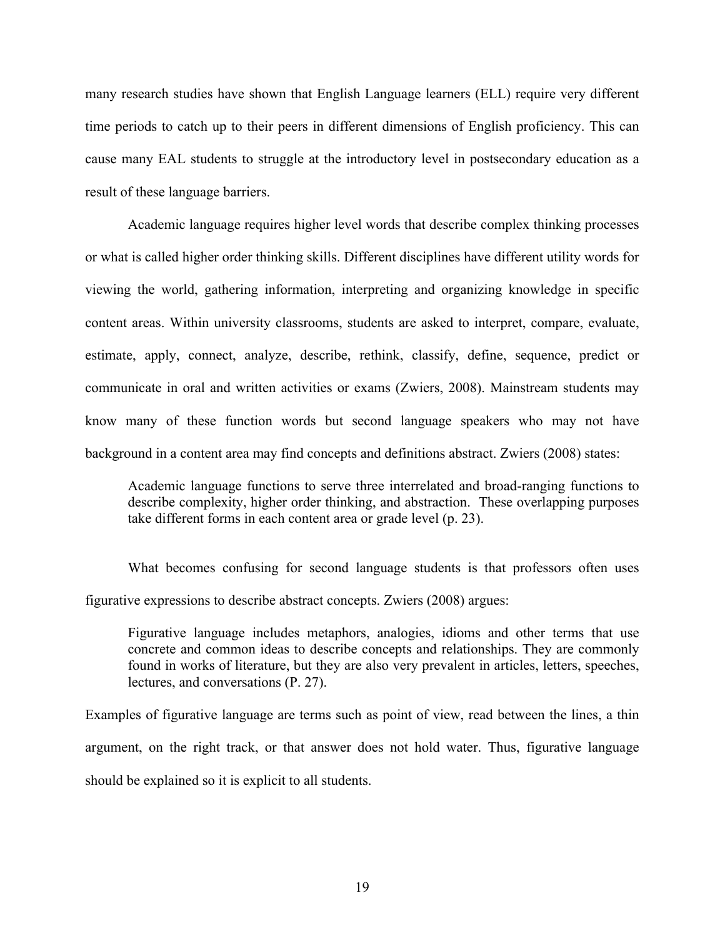many research studies have shown that English Language learners (ELL) require very different time periods to catch up to their peers in different dimensions of English proficiency. This can cause many EAL students to struggle at the introductory level in postsecondary education as a result of these language barriers.

Academic language requires higher level words that describe complex thinking processes or what is called higher order thinking skills. Different disciplines have different utility words for viewing the world, gathering information, interpreting and organizing knowledge in specific content areas. Within university classrooms, students are asked to interpret, compare, evaluate, estimate, apply, connect, analyze, describe, rethink, classify, define, sequence, predict or communicate in oral and written activities or exams (Zwiers, 2008). Mainstream students may know many of these function words but second language speakers who may not have background in a content area may find concepts and definitions abstract. Zwiers (2008) states:

Academic language functions to serve three interrelated and broad-ranging functions to describe complexity, higher order thinking, and abstraction. These overlapping purposes take different forms in each content area or grade level (p. 23).

What becomes confusing for second language students is that professors often uses figurative expressions to describe abstract concepts. Zwiers (2008) argues:

Figurative language includes metaphors, analogies, idioms and other terms that use concrete and common ideas to describe concepts and relationships. They are commonly found in works of literature, but they are also very prevalent in articles, letters, speeches, lectures, and conversations (P. 27).

Examples of figurative language are terms such as point of view, read between the lines, a thin argument, on the right track, or that answer does not hold water. Thus, figurative language should be explained so it is explicit to all students.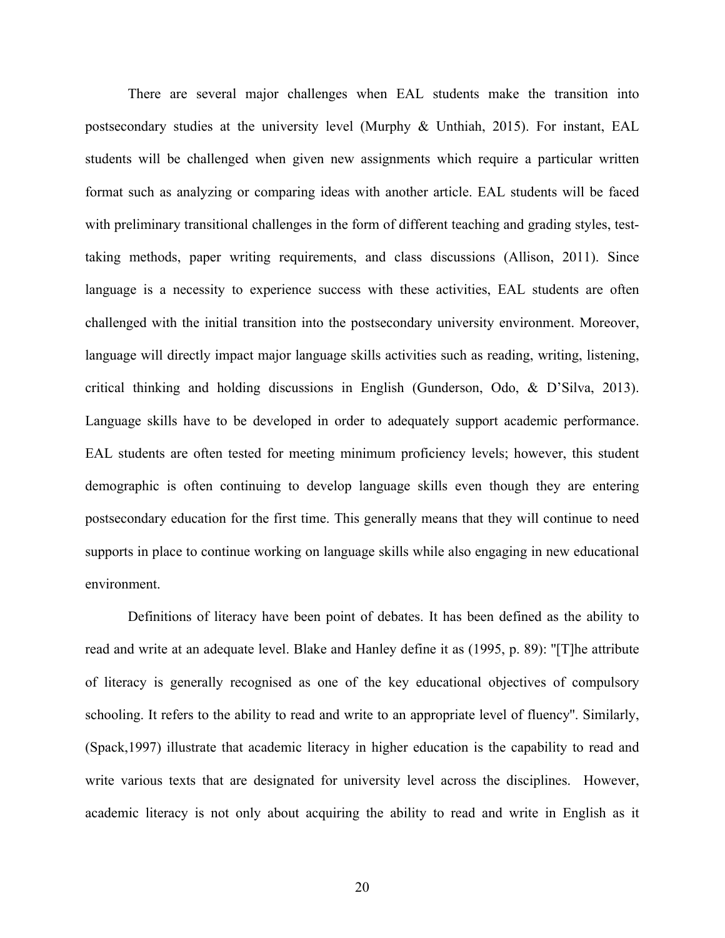There are several major challenges when EAL students make the transition into postsecondary studies at the university level (Murphy & Unthiah, 2015). For instant, EAL students will be challenged when given new assignments which require a particular written format such as analyzing or comparing ideas with another article. EAL students will be faced with preliminary transitional challenges in the form of different teaching and grading styles, testtaking methods, paper writing requirements, and class discussions (Allison, 2011). Since language is a necessity to experience success with these activities, EAL students are often challenged with the initial transition into the postsecondary university environment. Moreover, language will directly impact major language skills activities such as reading, writing, listening, critical thinking and holding discussions in English (Gunderson, Odo, & D'Silva, 2013). Language skills have to be developed in order to adequately support academic performance. EAL students are often tested for meeting minimum proficiency levels; however, this student demographic is often continuing to develop language skills even though they are entering postsecondary education for the first time. This generally means that they will continue to need supports in place to continue working on language skills while also engaging in new educational environment.

Definitions of literacy have been point of debates. It has been defined as the ability to read and write at an adequate level. Blake and Hanley define it as (1995, p. 89): ''[T]he attribute of literacy is generally recognised as one of the key educational objectives of compulsory schooling. It refers to the ability to read and write to an appropriate level of fluency''. Similarly, (Spack,1997) illustrate that academic literacy in higher education is the capability to read and write various texts that are designated for university level across the disciplines. However, academic literacy is not only about acquiring the ability to read and write in English as it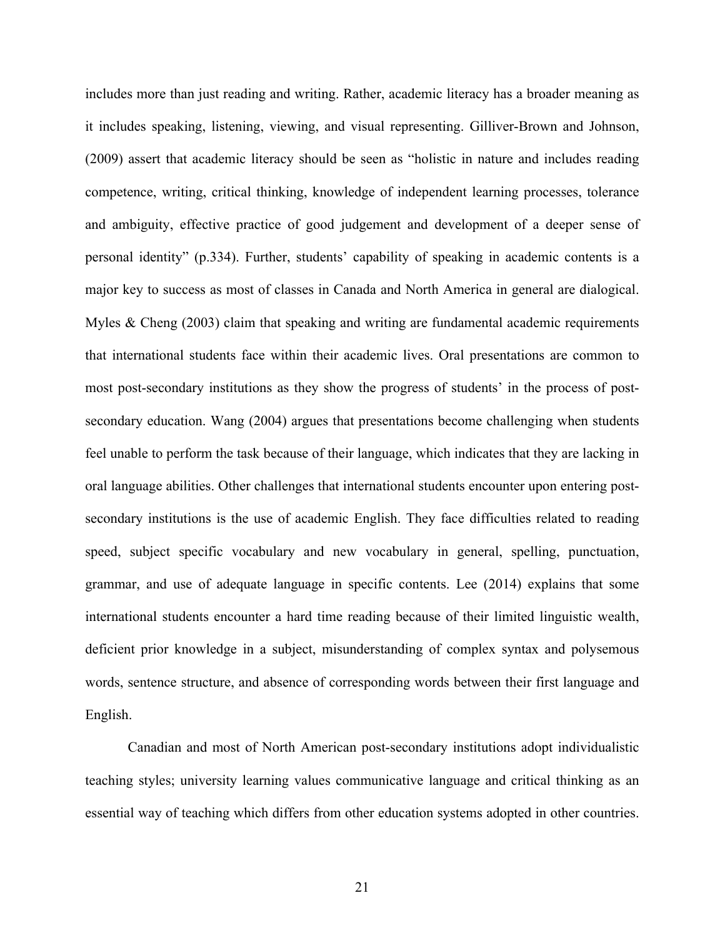includes more than just reading and writing. Rather, academic literacy has a broader meaning as it includes speaking, listening, viewing, and visual representing. Gilliver-Brown and Johnson, (2009) assert that academic literacy should be seen as "holistic in nature and includes reading competence, writing, critical thinking, knowledge of independent learning processes, tolerance and ambiguity, effective practice of good judgement and development of a deeper sense of personal identity" (p.334). Further, students' capability of speaking in academic contents is a major key to success as most of classes in Canada and North America in general are dialogical. Myles & Cheng (2003) claim that speaking and writing are fundamental academic requirements that international students face within their academic lives. Oral presentations are common to most post-secondary institutions as they show the progress of students' in the process of postsecondary education. Wang (2004) argues that presentations become challenging when students feel unable to perform the task because of their language, which indicates that they are lacking in oral language abilities. Other challenges that international students encounter upon entering postsecondary institutions is the use of academic English. They face difficulties related to reading speed, subject specific vocabulary and new vocabulary in general, spelling, punctuation, grammar, and use of adequate language in specific contents. Lee (2014) explains that some international students encounter a hard time reading because of their limited linguistic wealth, deficient prior knowledge in a subject, misunderstanding of complex syntax and polysemous words, sentence structure, and absence of corresponding words between their first language and English.

Canadian and most of North American post-secondary institutions adopt individualistic teaching styles; university learning values communicative language and critical thinking as an essential way of teaching which differs from other education systems adopted in other countries.

21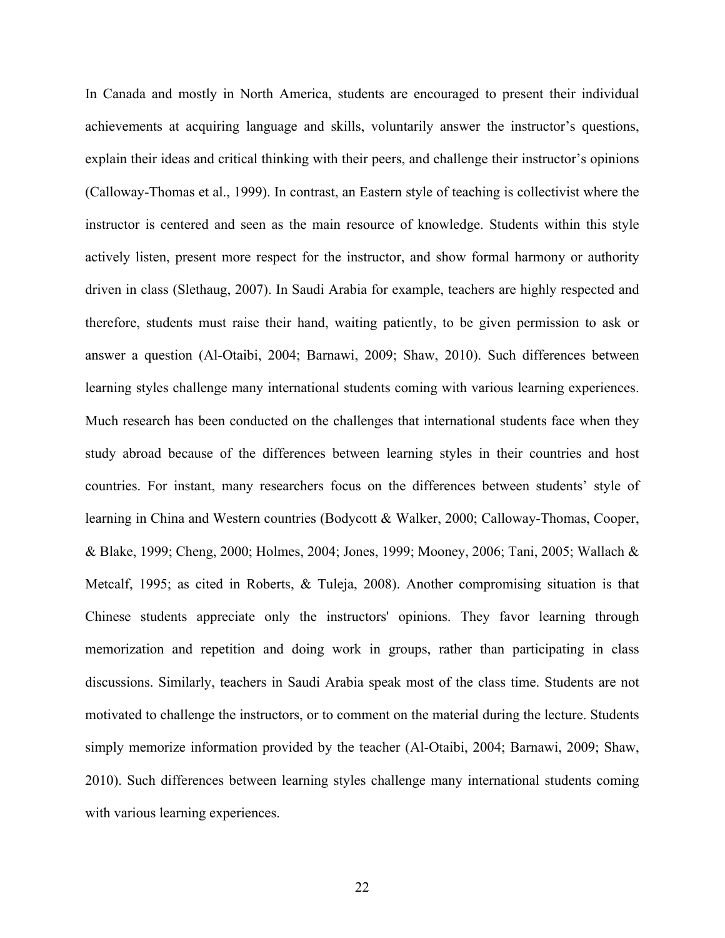In Canada and mostly in North America, students are encouraged to present their individual achievements at acquiring language and skills, voluntarily answer the instructor's questions, explain their ideas and critical thinking with their peers, and challenge their instructor's opinions (Calloway-Thomas et al., 1999). In contrast, an Eastern style of teaching is collectivist where the instructor is centered and seen as the main resource of knowledge. Students within this style actively listen, present more respect for the instructor, and show formal harmony or authority driven in class (Slethaug, 2007). In Saudi Arabia for example, teachers are highly respected and therefore, students must raise their hand, waiting patiently, to be given permission to ask or answer a question (Al-Otaibi, 2004; Barnawi, 2009; Shaw, 2010). Such differences between learning styles challenge many international students coming with various learning experiences. Much research has been conducted on the challenges that international students face when they study abroad because of the differences between learning styles in their countries and host countries. For instant, many researchers focus on the differences between students' style of learning in China and Western countries (Bodycott & Walker, 2000; Calloway-Thomas, Cooper, & Blake, 1999; Cheng, 2000; Holmes, 2004; Jones, 1999; Mooney, 2006; Tani, 2005; Wallach & Metcalf, 1995; as cited in Roberts, & Tuleja, 2008). Another compromising situation is that Chinese students appreciate only the instructors' opinions. They favor learning through memorization and repetition and doing work in groups, rather than participating in class discussions. Similarly, teachers in Saudi Arabia speak most of the class time. Students are not motivated to challenge the instructors, or to comment on the material during the lecture. Students simply memorize information provided by the teacher (Al-Otaibi, 2004; Barnawi, 2009; Shaw, 2010). Such differences between learning styles challenge many international students coming with various learning experiences.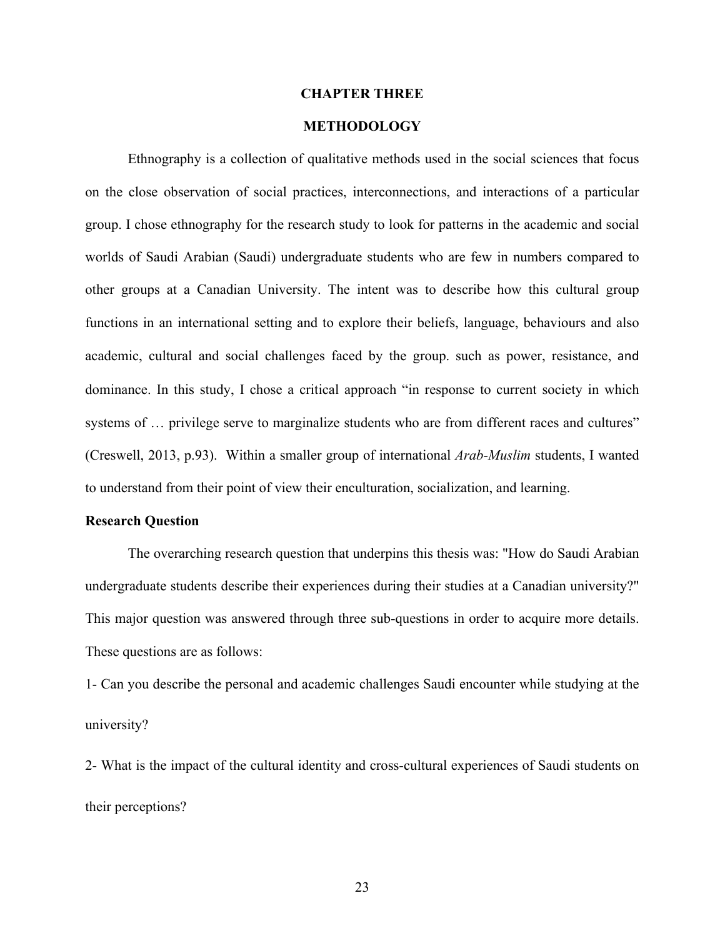#### **CHAPTER THREE**

# **METHODOLOGY**

Ethnography is a collection of qualitative methods used in the social sciences that focus on the close observation of social practices, interconnections, and interactions of a particular group. I chose ethnography for the research study to look for patterns in the academic and social worlds of Saudi Arabian (Saudi) undergraduate students who are few in numbers compared to other groups at a Canadian University. The intent was to describe how this cultural group functions in an international setting and to explore their beliefs, language, behaviours and also academic, cultural and social challenges faced by the group. such as power, resistance, and dominance. In this study, I chose a critical approach "in response to current society in which systems of ... privilege serve to marginalize students who are from different races and cultures" (Creswell, 2013, p.93). Within a smaller group of international *Arab-Muslim* students, I wanted to understand from their point of view their enculturation, socialization, and learning.

#### **Research Question**

The overarching research question that underpins this thesis was: "How do Saudi Arabian undergraduate students describe their experiences during their studies at a Canadian university?" This major question was answered through three sub-questions in order to acquire more details. These questions are as follows:

1- Can you describe the personal and academic challenges Saudi encounter while studying at the university?

2- What is the impact of the cultural identity and cross-cultural experiences of Saudi students on their perceptions?

23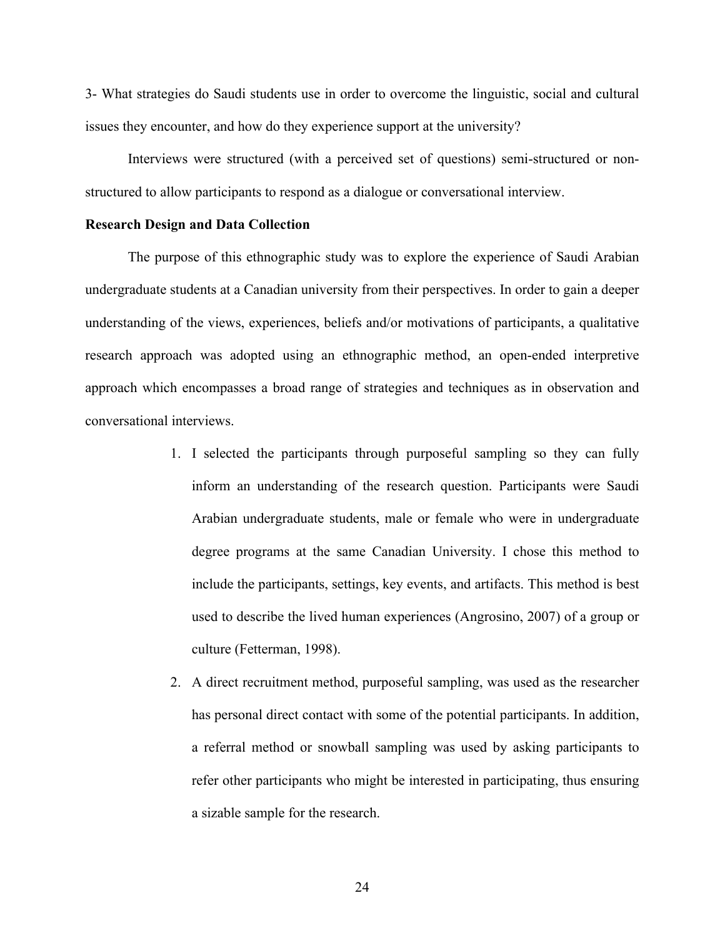3- What strategies do Saudi students use in order to overcome the linguistic, social and cultural issues they encounter, and how do they experience support at the university?

Interviews were structured (with a perceived set of questions) semi-structured or nonstructured to allow participants to respond as a dialogue or conversational interview.

## **Research Design and Data Collection**

The purpose of this ethnographic study was to explore the experience of Saudi Arabian undergraduate students at a Canadian university from their perspectives. In order to gain a deeper understanding of the views, experiences, beliefs and/or motivations of participants, a qualitative research approach was adopted using an ethnographic method, an open-ended interpretive approach which encompasses a broad range of strategies and techniques as in observation and conversational interviews.

- 1. I selected the participants through purposeful sampling so they can fully inform an understanding of the research question. Participants were Saudi Arabian undergraduate students, male or female who were in undergraduate degree programs at the same Canadian University. I chose this method to include the participants, settings, key events, and artifacts. This method is best used to describe the lived human experiences (Angrosino, 2007) of a group or culture (Fetterman, 1998).
- 2. A direct recruitment method, purposeful sampling, was used as the researcher has personal direct contact with some of the potential participants. In addition, a referral method or snowball sampling was used by asking participants to refer other participants who might be interested in participating, thus ensuring a sizable sample for the research.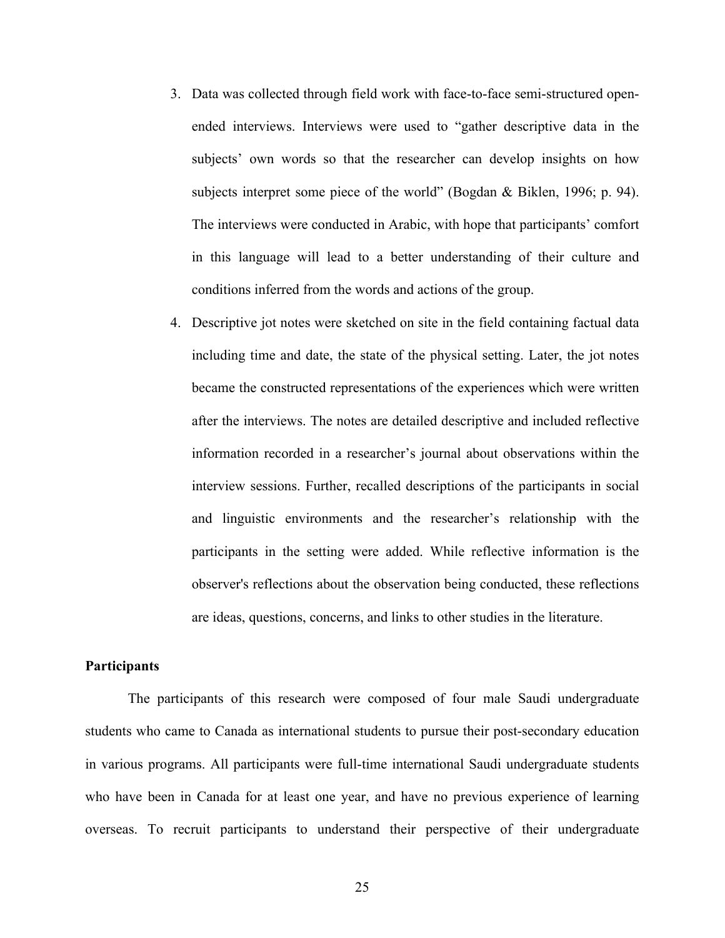- 3. Data was collected through field work with face-to-face semi-structured openended interviews. Interviews were used to "gather descriptive data in the subjects' own words so that the researcher can develop insights on how subjects interpret some piece of the world" (Bogdan & Biklen, 1996; p. 94). The interviews were conducted in Arabic, with hope that participants' comfort in this language will lead to a better understanding of their culture and conditions inferred from the words and actions of the group.
- 4. Descriptive jot notes were sketched on site in the field containing factual data including time and date, the state of the physical setting. Later, the jot notes became the constructed representations of the experiences which were written after the interviews. The notes are detailed descriptive and included reflective information recorded in a researcher's journal about observations within the interview sessions. Further, recalled descriptions of the participants in social and linguistic environments and the researcher's relationship with the participants in the setting were added. While reflective information is the observer's reflections about the observation being conducted, these reflections are ideas, questions, concerns, and links to other studies in the literature.

## **Participants**

The participants of this research were composed of four male Saudi undergraduate students who came to Canada as international students to pursue their post-secondary education in various programs. All participants were full-time international Saudi undergraduate students who have been in Canada for at least one year, and have no previous experience of learning overseas. To recruit participants to understand their perspective of their undergraduate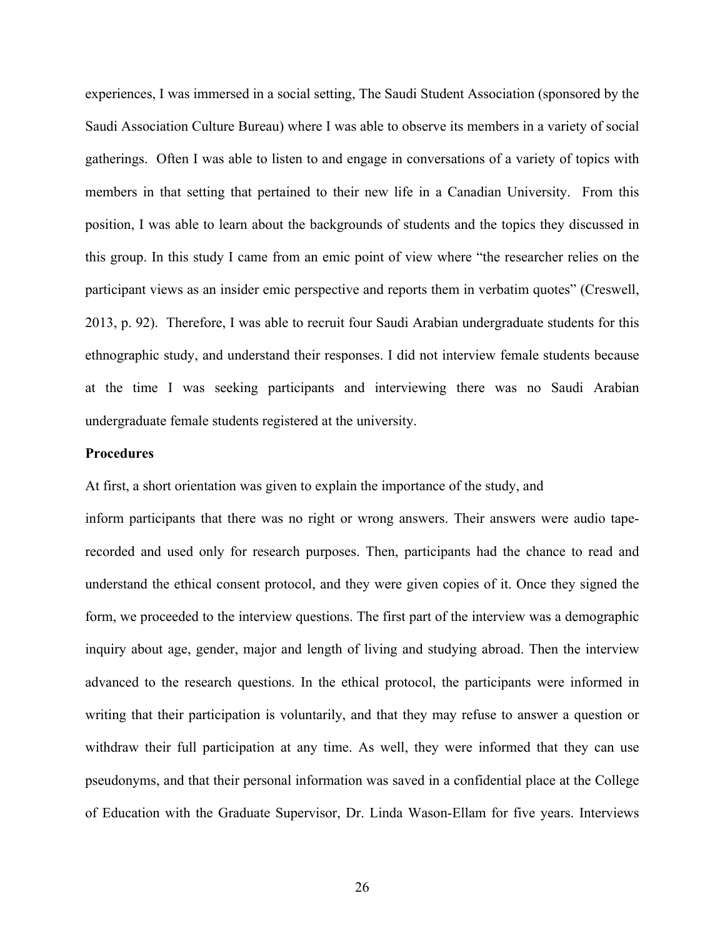experiences, I was immersed in a social setting, The Saudi Student Association (sponsored by the Saudi Association Culture Bureau) where I was able to observe its members in a variety of social gatherings. Often I was able to listen to and engage in conversations of a variety of topics with members in that setting that pertained to their new life in a Canadian University. From this position, I was able to learn about the backgrounds of students and the topics they discussed in this group. In this study I came from an emic point of view where "the researcher relies on the participant views as an insider emic perspective and reports them in verbatim quotes" (Creswell, 2013, p. 92). Therefore, I was able to recruit four Saudi Arabian undergraduate students for this ethnographic study, and understand their responses. I did not interview female students because at the time I was seeking participants and interviewing there was no Saudi Arabian undergraduate female students registered at the university.

## **Procedures**

At first, a short orientation was given to explain the importance of the study, and

inform participants that there was no right or wrong answers. Their answers were audio taperecorded and used only for research purposes. Then, participants had the chance to read and understand the ethical consent protocol, and they were given copies of it. Once they signed the form, we proceeded to the interview questions. The first part of the interview was a demographic inquiry about age, gender, major and length of living and studying abroad. Then the interview advanced to the research questions. In the ethical protocol, the participants were informed in writing that their participation is voluntarily, and that they may refuse to answer a question or withdraw their full participation at any time. As well, they were informed that they can use pseudonyms, and that their personal information was saved in a confidential place at the College of Education with the Graduate Supervisor, Dr. Linda Wason-Ellam for five years. Interviews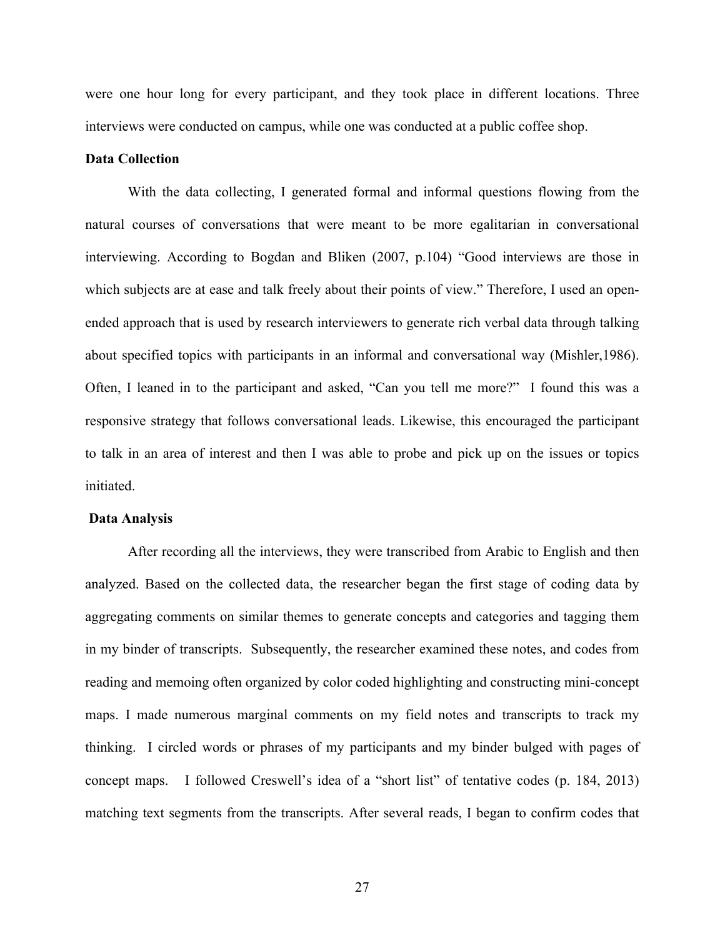were one hour long for every participant, and they took place in different locations. Three interviews were conducted on campus, while one was conducted at a public coffee shop.

# **Data Collection**

With the data collecting, I generated formal and informal questions flowing from the natural courses of conversations that were meant to be more egalitarian in conversational interviewing. According to Bogdan and Bliken (2007, p.104) "Good interviews are those in which subjects are at ease and talk freely about their points of view." Therefore, I used an openended approach that is used by research interviewers to generate rich verbal data through talking about specified topics with participants in an informal and conversational way (Mishler,1986). Often, I leaned in to the participant and asked, "Can you tell me more?" I found this was a responsive strategy that follows conversational leads. Likewise, this encouraged the participant to talk in an area of interest and then I was able to probe and pick up on the issues or topics initiated.

#### **Data Analysis**

After recording all the interviews, they were transcribed from Arabic to English and then analyzed. Based on the collected data, the researcher began the first stage of coding data by aggregating comments on similar themes to generate concepts and categories and tagging them in my binder of transcripts. Subsequently, the researcher examined these notes, and codes from reading and memoing often organized by color coded highlighting and constructing mini-concept maps. I made numerous marginal comments on my field notes and transcripts to track my thinking. I circled words or phrases of my participants and my binder bulged with pages of concept maps. I followed Creswell's idea of a "short list" of tentative codes (p. 184, 2013) matching text segments from the transcripts. After several reads, I began to confirm codes that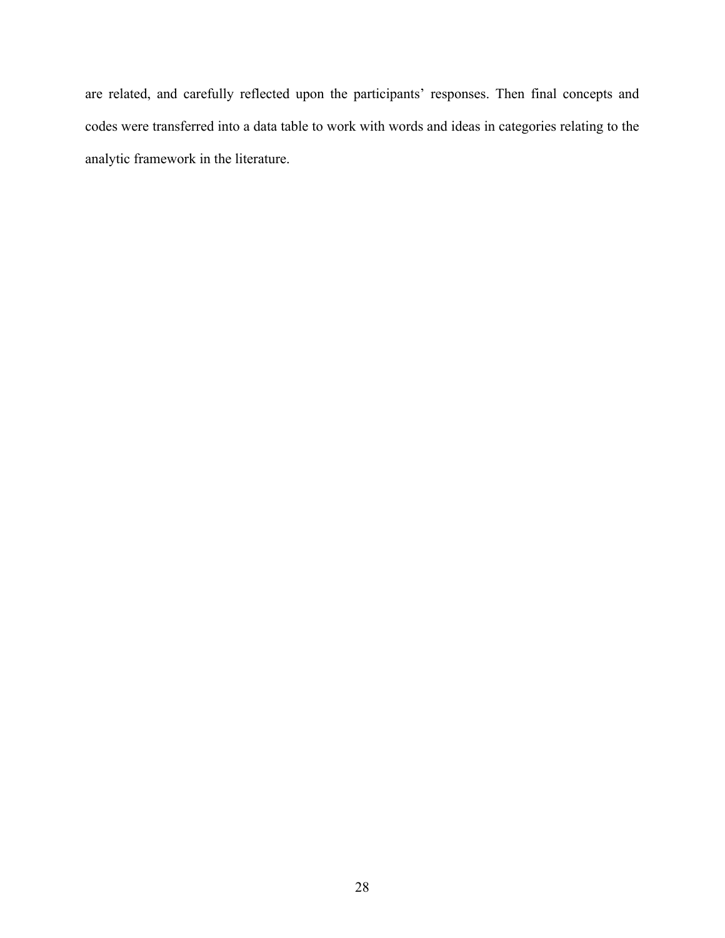are related, and carefully reflected upon the participants' responses. Then final concepts and codes were transferred into a data table to work with words and ideas in categories relating to the analytic framework in the literature.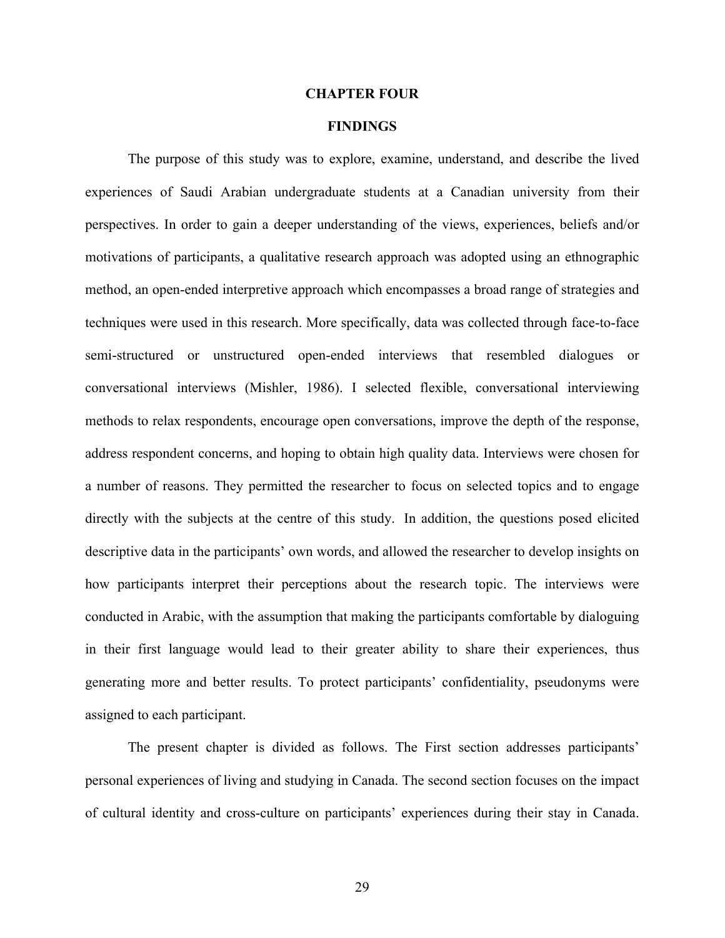#### **CHAPTER FOUR**

# **FINDINGS**

The purpose of this study was to explore, examine, understand, and describe the lived experiences of Saudi Arabian undergraduate students at a Canadian university from their perspectives. In order to gain a deeper understanding of the views, experiences, beliefs and/or motivations of participants, a qualitative research approach was adopted using an ethnographic method, an open-ended interpretive approach which encompasses a broad range of strategies and techniques were used in this research. More specifically, data was collected through face-to-face semi-structured or unstructured open-ended interviews that resembled dialogues or conversational interviews (Mishler, 1986). I selected flexible, conversational interviewing methods to relax respondents, encourage open conversations, improve the depth of the response, address respondent concerns, and hoping to obtain high quality data. Interviews were chosen for a number of reasons. They permitted the researcher to focus on selected topics and to engage directly with the subjects at the centre of this study. In addition, the questions posed elicited descriptive data in the participants' own words, and allowed the researcher to develop insights on how participants interpret their perceptions about the research topic. The interviews were conducted in Arabic, with the assumption that making the participants comfortable by dialoguing in their first language would lead to their greater ability to share their experiences, thus generating more and better results. To protect participants' confidentiality, pseudonyms were assigned to each participant.

The present chapter is divided as follows. The First section addresses participants' personal experiences of living and studying in Canada. The second section focuses on the impact of cultural identity and cross-culture on participants' experiences during their stay in Canada.

29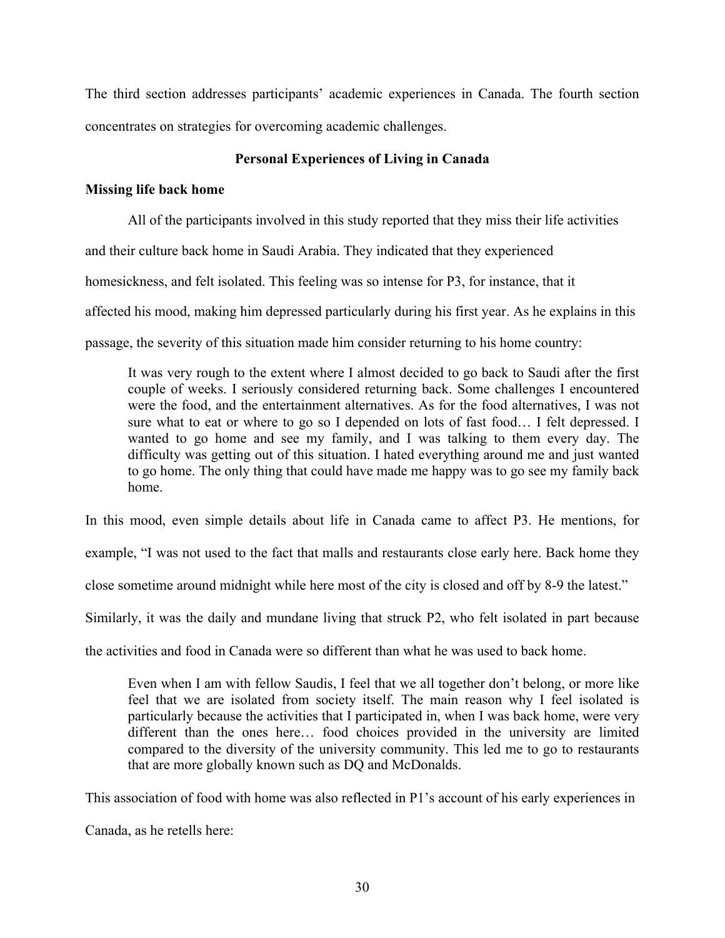The third section addresses participants' academic experiences in Canada. The fourth section concentrates on strategies for overcoming academic challenges.

# **Personal Experiences of Living in Canada**

# **Missing life back home**

All of the participants involved in this study reported that they miss their life activities and their culture back home in Saudi Arabia. They indicated that they experienced homesickness, and felt isolated. This feeling was so intense for P3, for instance, that it affected his mood, making him depressed particularly during his first year. As he explains in this passage, the severity of this situation made him consider returning to his home country:

It was very rough to the extent where I almost decided to go back to Saudi after the first couple of weeks. I seriously considered returning back. Some challenges I encountered were the food, and the entertainment alternatives. As for the food alternatives, I was not sure what to eat or where to go so I depended on lots of fast food… I felt depressed. I wanted to go home and see my family, and I was talking to them every day. The difficulty was getting out of this situation. I hated everything around me and just wanted to go home. The only thing that could have made me happy was to go see my family back home.

In this mood, even simple details about life in Canada came to affect P3. He mentions, for

example, "I was not used to the fact that malls and restaurants close early here. Back home they

close sometime around midnight while here most of the city is closed and off by 8-9 the latest."

Similarly, it was the daily and mundane living that struck P2, who felt isolated in part because

the activities and food in Canada were so different than what he was used to back home.

Even when I am with fellow Saudis, I feel that we all together don't belong, or more like feel that we are isolated from society itself. The main reason why I feel isolated is particularly because the activities that I participated in, when I was back home, were very different than the ones here… food choices provided in the university are limited compared to the diversity of the university community. This led me to go to restaurants that are more globally known such as DQ and McDonalds.

This association of food with home was also reflected in P1's account of his early experiences in

Canada, as he retells here: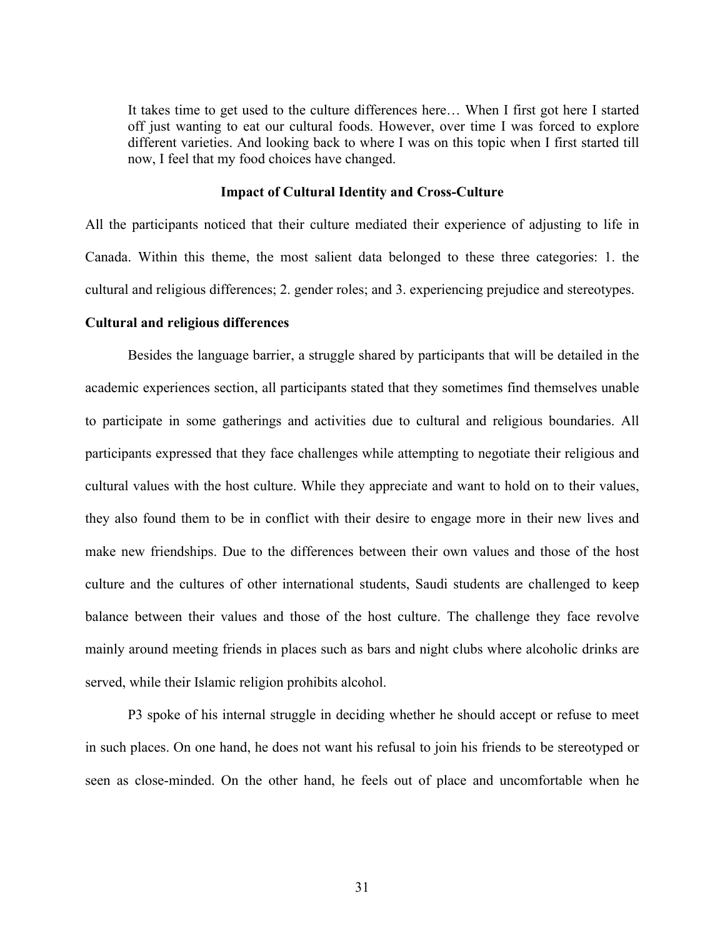It takes time to get used to the culture differences here… When I first got here I started off just wanting to eat our cultural foods. However, over time I was forced to explore different varieties. And looking back to where I was on this topic when I first started till now, I feel that my food choices have changed.

### **Impact of Cultural Identity and Cross-Culture**

All the participants noticed that their culture mediated their experience of adjusting to life in Canada. Within this theme, the most salient data belonged to these three categories: 1. the cultural and religious differences; 2. gender roles; and 3. experiencing prejudice and stereotypes.

## **Cultural and religious differences**

Besides the language barrier, a struggle shared by participants that will be detailed in the academic experiences section, all participants stated that they sometimes find themselves unable to participate in some gatherings and activities due to cultural and religious boundaries. All participants expressed that they face challenges while attempting to negotiate their religious and cultural values with the host culture. While they appreciate and want to hold on to their values, they also found them to be in conflict with their desire to engage more in their new lives and make new friendships. Due to the differences between their own values and those of the host culture and the cultures of other international students, Saudi students are challenged to keep balance between their values and those of the host culture. The challenge they face revolve mainly around meeting friends in places such as bars and night clubs where alcoholic drinks are served, while their Islamic religion prohibits alcohol.

P3 spoke of his internal struggle in deciding whether he should accept or refuse to meet in such places. On one hand, he does not want his refusal to join his friends to be stereotyped or seen as close-minded. On the other hand, he feels out of place and uncomfortable when he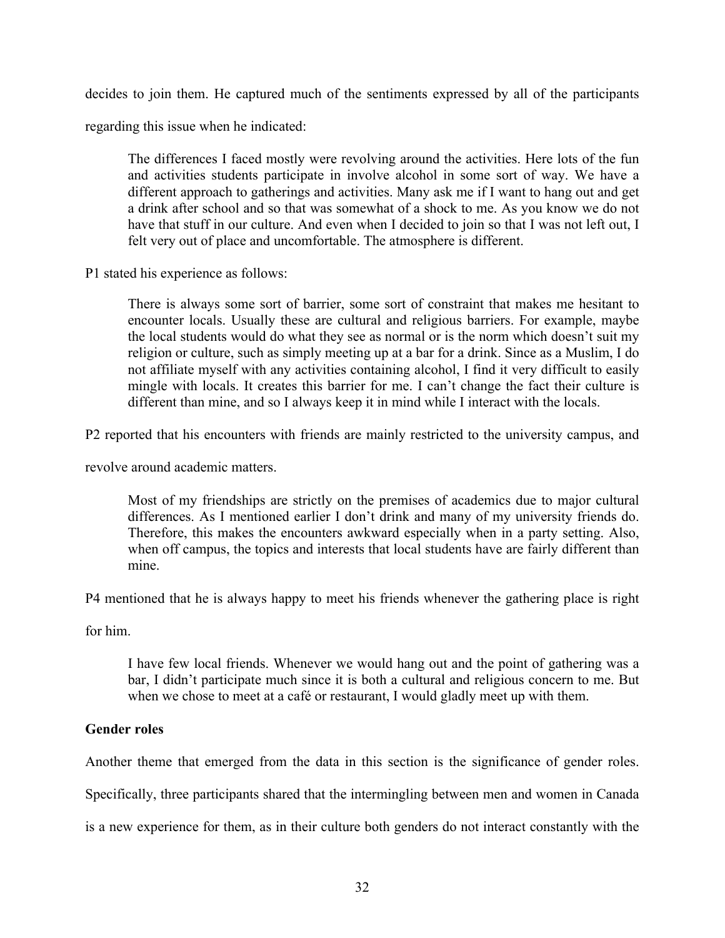decides to join them. He captured much of the sentiments expressed by all of the participants

regarding this issue when he indicated:

The differences I faced mostly were revolving around the activities. Here lots of the fun and activities students participate in involve alcohol in some sort of way. We have a different approach to gatherings and activities. Many ask me if I want to hang out and get a drink after school and so that was somewhat of a shock to me. As you know we do not have that stuff in our culture. And even when I decided to join so that I was not left out, I felt very out of place and uncomfortable. The atmosphere is different.

P1 stated his experience as follows:

There is always some sort of barrier, some sort of constraint that makes me hesitant to encounter locals. Usually these are cultural and religious barriers. For example, maybe the local students would do what they see as normal or is the norm which doesn't suit my religion or culture, such as simply meeting up at a bar for a drink. Since as a Muslim, I do not affiliate myself with any activities containing alcohol, I find it very difficult to easily mingle with locals. It creates this barrier for me. I can't change the fact their culture is different than mine, and so I always keep it in mind while I interact with the locals.

P2 reported that his encounters with friends are mainly restricted to the university campus, and

revolve around academic matters.

Most of my friendships are strictly on the premises of academics due to major cultural differences. As I mentioned earlier I don't drink and many of my university friends do. Therefore, this makes the encounters awkward especially when in a party setting. Also, when off campus, the topics and interests that local students have are fairly different than mine.

P4 mentioned that he is always happy to meet his friends whenever the gathering place is right

for him.

I have few local friends. Whenever we would hang out and the point of gathering was a bar, I didn't participate much since it is both a cultural and religious concern to me. But when we chose to meet at a café or restaurant, I would gladly meet up with them.

# **Gender roles**

Another theme that emerged from the data in this section is the significance of gender roles.

Specifically, three participants shared that the intermingling between men and women in Canada

is a new experience for them, as in their culture both genders do not interact constantly with the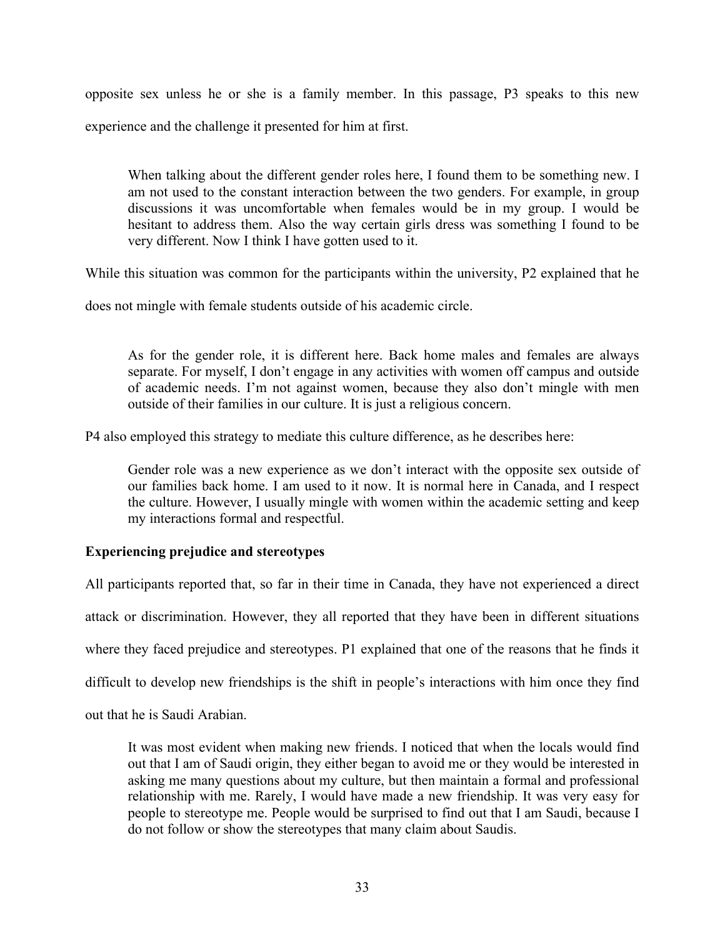opposite sex unless he or she is a family member. In this passage, P3 speaks to this new experience and the challenge it presented for him at first.

When talking about the different gender roles here, I found them to be something new. I am not used to the constant interaction between the two genders. For example, in group discussions it was uncomfortable when females would be in my group. I would be hesitant to address them. Also the way certain girls dress was something I found to be very different. Now I think I have gotten used to it.

While this situation was common for the participants within the university, P2 explained that he

does not mingle with female students outside of his academic circle.

As for the gender role, it is different here. Back home males and females are always separate. For myself, I don't engage in any activities with women off campus and outside of academic needs. I'm not against women, because they also don't mingle with men outside of their families in our culture. It is just a religious concern.

P4 also employed this strategy to mediate this culture difference, as he describes here:

Gender role was a new experience as we don't interact with the opposite sex outside of our families back home. I am used to it now. It is normal here in Canada, and I respect the culture. However, I usually mingle with women within the academic setting and keep my interactions formal and respectful.

# **Experiencing prejudice and stereotypes**

All participants reported that, so far in their time in Canada, they have not experienced a direct

attack or discrimination. However, they all reported that they have been in different situations

where they faced prejudice and stereotypes. P1 explained that one of the reasons that he finds it

difficult to develop new friendships is the shift in people's interactions with him once they find

out that he is Saudi Arabian.

It was most evident when making new friends. I noticed that when the locals would find out that I am of Saudi origin, they either began to avoid me or they would be interested in asking me many questions about my culture, but then maintain a formal and professional relationship with me. Rarely, I would have made a new friendship. It was very easy for people to stereotype me. People would be surprised to find out that I am Saudi, because I do not follow or show the stereotypes that many claim about Saudis.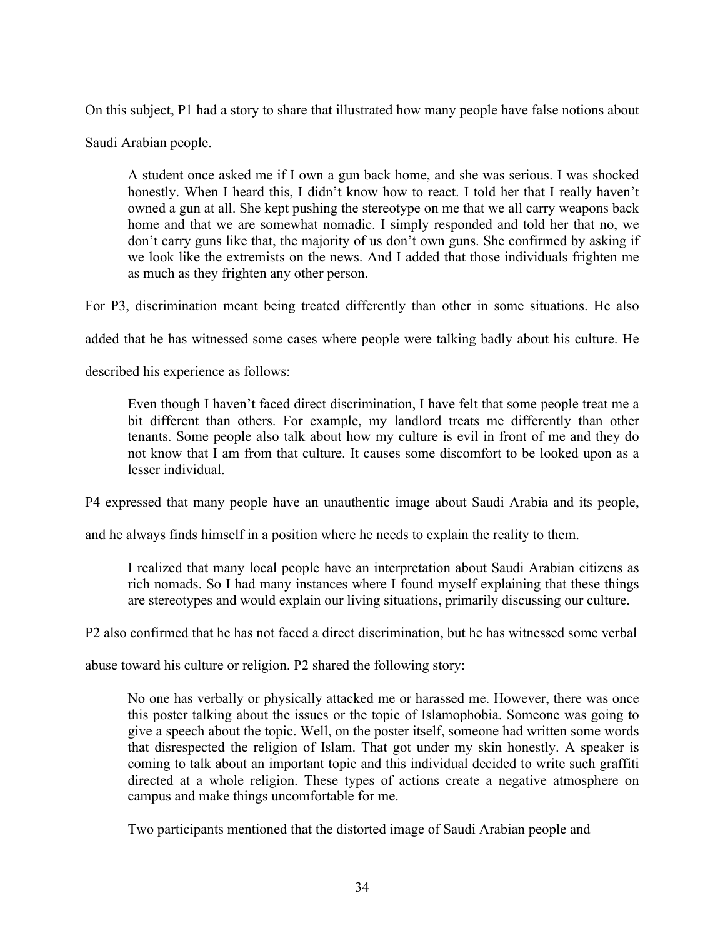On this subject, P1 had a story to share that illustrated how many people have false notions about

Saudi Arabian people.

A student once asked me if I own a gun back home, and she was serious. I was shocked honestly. When I heard this, I didn't know how to react. I told her that I really haven't owned a gun at all. She kept pushing the stereotype on me that we all carry weapons back home and that we are somewhat nomadic. I simply responded and told her that no, we don't carry guns like that, the majority of us don't own guns. She confirmed by asking if we look like the extremists on the news. And I added that those individuals frighten me as much as they frighten any other person.

For P3, discrimination meant being treated differently than other in some situations. He also

added that he has witnessed some cases where people were talking badly about his culture. He

described his experience as follows:

Even though I haven't faced direct discrimination, I have felt that some people treat me a bit different than others. For example, my landlord treats me differently than other tenants. Some people also talk about how my culture is evil in front of me and they do not know that I am from that culture. It causes some discomfort to be looked upon as a lesser individual.

P4 expressed that many people have an unauthentic image about Saudi Arabia and its people,

and he always finds himself in a position where he needs to explain the reality to them.

I realized that many local people have an interpretation about Saudi Arabian citizens as rich nomads. So I had many instances where I found myself explaining that these things are stereotypes and would explain our living situations, primarily discussing our culture.

P2 also confirmed that he has not faced a direct discrimination, but he has witnessed some verbal

abuse toward his culture or religion. P2 shared the following story:

No one has verbally or physically attacked me or harassed me. However, there was once this poster talking about the issues or the topic of Islamophobia. Someone was going to give a speech about the topic. Well, on the poster itself, someone had written some words that disrespected the religion of Islam. That got under my skin honestly. A speaker is coming to talk about an important topic and this individual decided to write such graffiti directed at a whole religion. These types of actions create a negative atmosphere on campus and make things uncomfortable for me.

Two participants mentioned that the distorted image of Saudi Arabian people and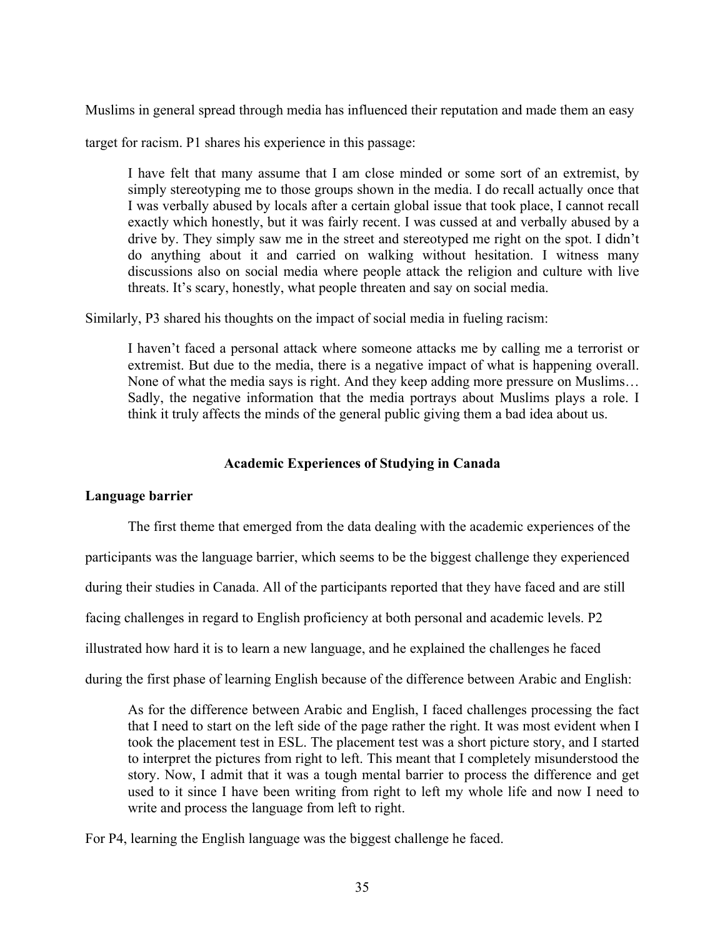Muslims in general spread through media has influenced their reputation and made them an easy

target for racism. P1 shares his experience in this passage:

I have felt that many assume that I am close minded or some sort of an extremist, by simply stereotyping me to those groups shown in the media. I do recall actually once that I was verbally abused by locals after a certain global issue that took place, I cannot recall exactly which honestly, but it was fairly recent. I was cussed at and verbally abused by a drive by. They simply saw me in the street and stereotyped me right on the spot. I didn't do anything about it and carried on walking without hesitation. I witness many discussions also on social media where people attack the religion and culture with live threats. It's scary, honestly, what people threaten and say on social media.

Similarly, P3 shared his thoughts on the impact of social media in fueling racism:

I haven't faced a personal attack where someone attacks me by calling me a terrorist or extremist. But due to the media, there is a negative impact of what is happening overall. None of what the media says is right. And they keep adding more pressure on Muslims… Sadly, the negative information that the media portrays about Muslims plays a role. I think it truly affects the minds of the general public giving them a bad idea about us.

# **Academic Experiences of Studying in Canada**

# **Language barrier**

The first theme that emerged from the data dealing with the academic experiences of the participants was the language barrier, which seems to be the biggest challenge they experienced during their studies in Canada. All of the participants reported that they have faced and are still facing challenges in regard to English proficiency at both personal and academic levels. P2 illustrated how hard it is to learn a new language, and he explained the challenges he faced during the first phase of learning English because of the difference between Arabic and English:

As for the difference between Arabic and English, I faced challenges processing the fact that I need to start on the left side of the page rather the right. It was most evident when I took the placement test in ESL. The placement test was a short picture story, and I started to interpret the pictures from right to left. This meant that I completely misunderstood the story. Now, I admit that it was a tough mental barrier to process the difference and get used to it since I have been writing from right to left my whole life and now I need to write and process the language from left to right.

For P4, learning the English language was the biggest challenge he faced.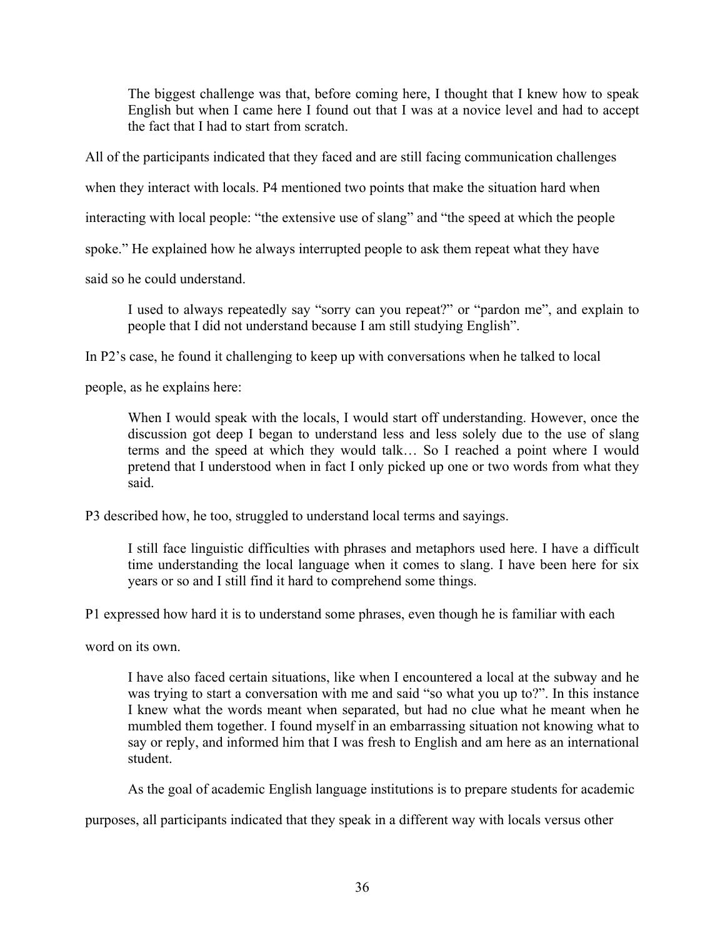The biggest challenge was that, before coming here, I thought that I knew how to speak English but when I came here I found out that I was at a novice level and had to accept the fact that I had to start from scratch.

All of the participants indicated that they faced and are still facing communication challenges

when they interact with locals. P4 mentioned two points that make the situation hard when

interacting with local people: "the extensive use of slang" and "the speed at which the people

spoke." He explained how he always interrupted people to ask them repeat what they have

said so he could understand.

I used to always repeatedly say "sorry can you repeat?" or "pardon me", and explain to people that I did not understand because I am still studying English".

In P2's case, he found it challenging to keep up with conversations when he talked to local

people, as he explains here:

When I would speak with the locals, I would start off understanding. However, once the discussion got deep I began to understand less and less solely due to the use of slang terms and the speed at which they would talk… So I reached a point where I would pretend that I understood when in fact I only picked up one or two words from what they said.

P3 described how, he too, struggled to understand local terms and sayings.

I still face linguistic difficulties with phrases and metaphors used here. I have a difficult time understanding the local language when it comes to slang. I have been here for six years or so and I still find it hard to comprehend some things.

P1 expressed how hard it is to understand some phrases, even though he is familiar with each

word on its own.

I have also faced certain situations, like when I encountered a local at the subway and he was trying to start a conversation with me and said "so what you up to?". In this instance I knew what the words meant when separated, but had no clue what he meant when he mumbled them together. I found myself in an embarrassing situation not knowing what to say or reply, and informed him that I was fresh to English and am here as an international student.

As the goal of academic English language institutions is to prepare students for academic

purposes, all participants indicated that they speak in a different way with locals versus other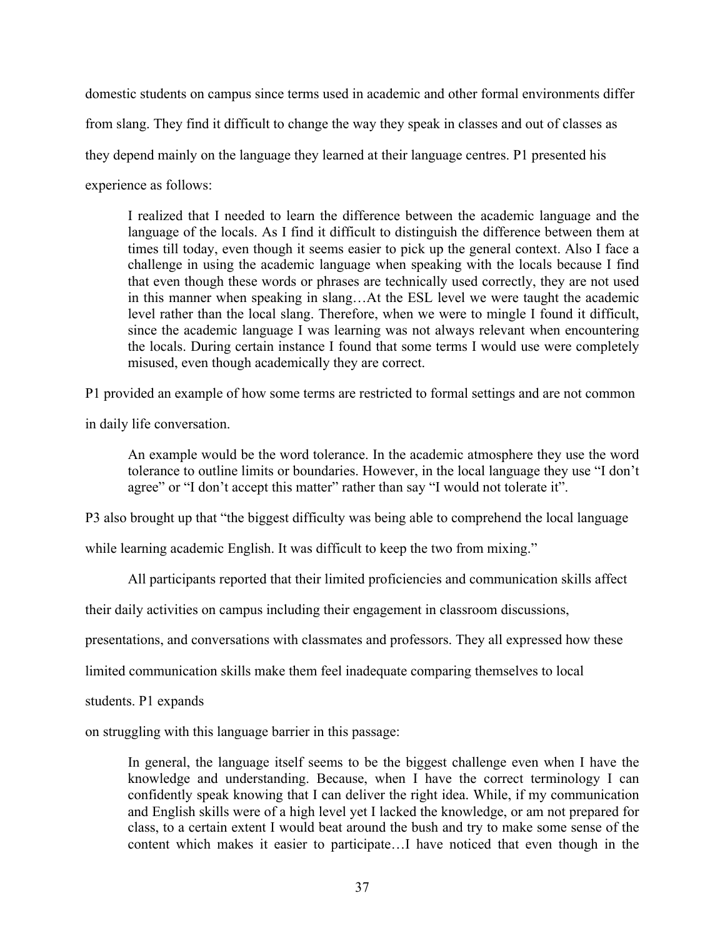domestic students on campus since terms used in academic and other formal environments differ from slang. They find it difficult to change the way they speak in classes and out of classes as they depend mainly on the language they learned at their language centres. P1 presented his experience as follows:

I realized that I needed to learn the difference between the academic language and the language of the locals. As I find it difficult to distinguish the difference between them at times till today, even though it seems easier to pick up the general context. Also I face a challenge in using the academic language when speaking with the locals because I find that even though these words or phrases are technically used correctly, they are not used in this manner when speaking in slang…At the ESL level we were taught the academic level rather than the local slang. Therefore, when we were to mingle I found it difficult, since the academic language I was learning was not always relevant when encountering the locals. During certain instance I found that some terms I would use were completely misused, even though academically they are correct.

P1 provided an example of how some terms are restricted to formal settings and are not common

in daily life conversation.

An example would be the word tolerance. In the academic atmosphere they use the word tolerance to outline limits or boundaries. However, in the local language they use "I don't agree" or "I don't accept this matter" rather than say "I would not tolerate it".

P3 also brought up that "the biggest difficulty was being able to comprehend the local language

while learning academic English. It was difficult to keep the two from mixing."

All participants reported that their limited proficiencies and communication skills affect

their daily activities on campus including their engagement in classroom discussions,

presentations, and conversations with classmates and professors. They all expressed how these

limited communication skills make them feel inadequate comparing themselves to local

students. P1 expands

on struggling with this language barrier in this passage:

In general, the language itself seems to be the biggest challenge even when I have the knowledge and understanding. Because, when I have the correct terminology I can confidently speak knowing that I can deliver the right idea. While, if my communication and English skills were of a high level yet I lacked the knowledge, or am not prepared for class, to a certain extent I would beat around the bush and try to make some sense of the content which makes it easier to participate…I have noticed that even though in the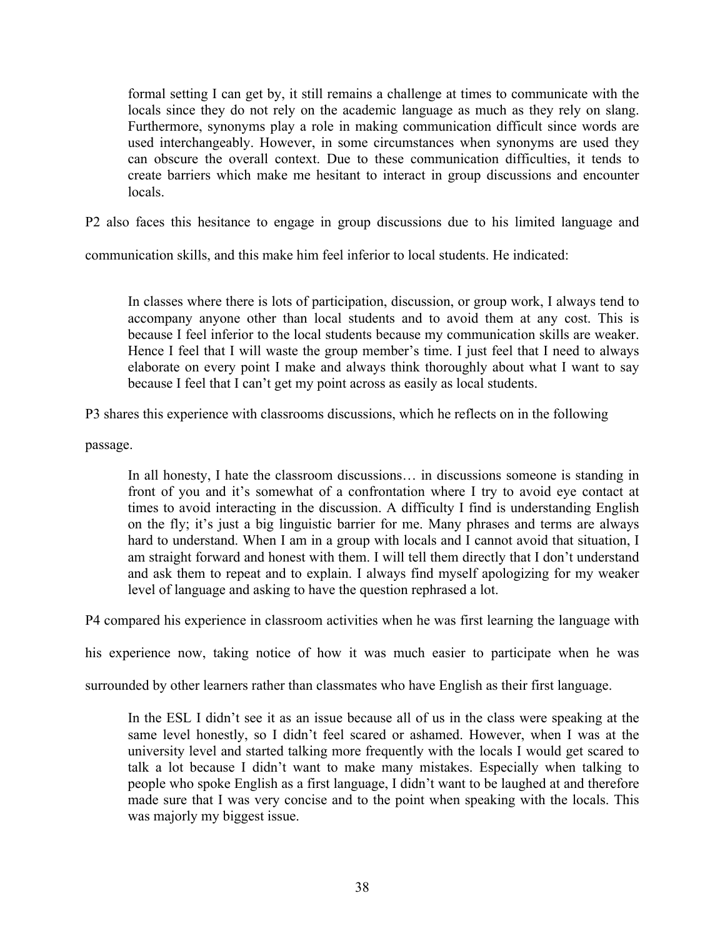formal setting I can get by, it still remains a challenge at times to communicate with the locals since they do not rely on the academic language as much as they rely on slang. Furthermore, synonyms play a role in making communication difficult since words are used interchangeably. However, in some circumstances when synonyms are used they can obscure the overall context. Due to these communication difficulties, it tends to create barriers which make me hesitant to interact in group discussions and encounter locals.

P2 also faces this hesitance to engage in group discussions due to his limited language and

communication skills, and this make him feel inferior to local students. He indicated:

In classes where there is lots of participation, discussion, or group work, I always tend to accompany anyone other than local students and to avoid them at any cost. This is because I feel inferior to the local students because my communication skills are weaker. Hence I feel that I will waste the group member's time. I just feel that I need to always elaborate on every point I make and always think thoroughly about what I want to say because I feel that I can't get my point across as easily as local students.

P3 shares this experience with classrooms discussions, which he reflects on in the following

passage.

In all honesty, I hate the classroom discussions… in discussions someone is standing in front of you and it's somewhat of a confrontation where I try to avoid eye contact at times to avoid interacting in the discussion. A difficulty I find is understanding English on the fly; it's just a big linguistic barrier for me. Many phrases and terms are always hard to understand. When I am in a group with locals and I cannot avoid that situation, I am straight forward and honest with them. I will tell them directly that I don't understand and ask them to repeat and to explain. I always find myself apologizing for my weaker level of language and asking to have the question rephrased a lot.

P4 compared his experience in classroom activities when he was first learning the language with

his experience now, taking notice of how it was much easier to participate when he was

surrounded by other learners rather than classmates who have English as their first language.

In the ESL I didn't see it as an issue because all of us in the class were speaking at the same level honestly, so I didn't feel scared or ashamed. However, when I was at the university level and started talking more frequently with the locals I would get scared to talk a lot because I didn't want to make many mistakes. Especially when talking to people who spoke English as a first language, I didn't want to be laughed at and therefore made sure that I was very concise and to the point when speaking with the locals. This was majorly my biggest issue.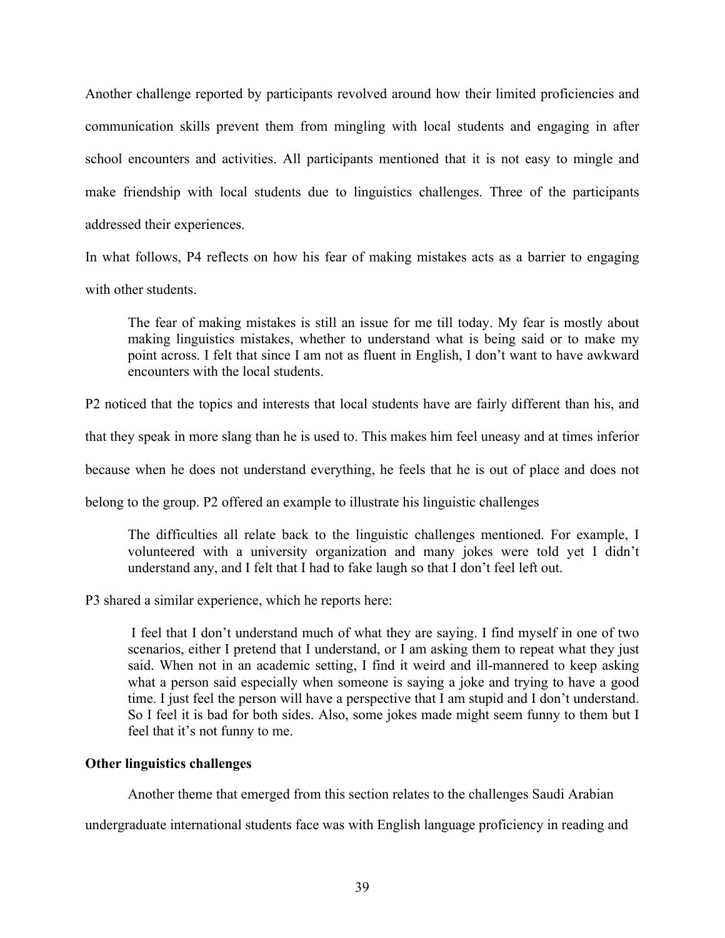Another challenge reported by participants revolved around how their limited proficiencies and communication skills prevent them from mingling with local students and engaging in after school encounters and activities. All participants mentioned that it is not easy to mingle and make friendship with local students due to linguistics challenges. Three of the participants addressed their experiences.

In what follows, P4 reflects on how his fear of making mistakes acts as a barrier to engaging with other students.

The fear of making mistakes is still an issue for me till today. My fear is mostly about making linguistics mistakes, whether to understand what is being said or to make my point across. I felt that since I am not as fluent in English, I don't want to have awkward encounters with the local students.

P2 noticed that the topics and interests that local students have are fairly different than his, and

that they speak in more slang than he is used to. This makes him feel uneasy and at times inferior

because when he does not understand everything, he feels that he is out of place and does not

belong to the group. P2 offered an example to illustrate his linguistic challenges

The difficulties all relate back to the linguistic challenges mentioned. For example, I volunteered with a university organization and many jokes were told yet I didn't understand any, and I felt that I had to fake laugh so that I don't feel left out.

P3 shared a similar experience, which he reports here:

I feel that I don't understand much of what they are saying. I find myself in one of two scenarios, either I pretend that I understand, or I am asking them to repeat what they just said. When not in an academic setting, I find it weird and ill-mannered to keep asking what a person said especially when someone is saying a joke and trying to have a good time. I just feel the person will have a perspective that I am stupid and I don't understand. So I feel it is bad for both sides. Also, some jokes made might seem funny to them but I feel that it's not funny to me.

## **Other linguistics challenges**

Another theme that emerged from this section relates to the challenges Saudi Arabian

undergraduate international students face was with English language proficiency in reading and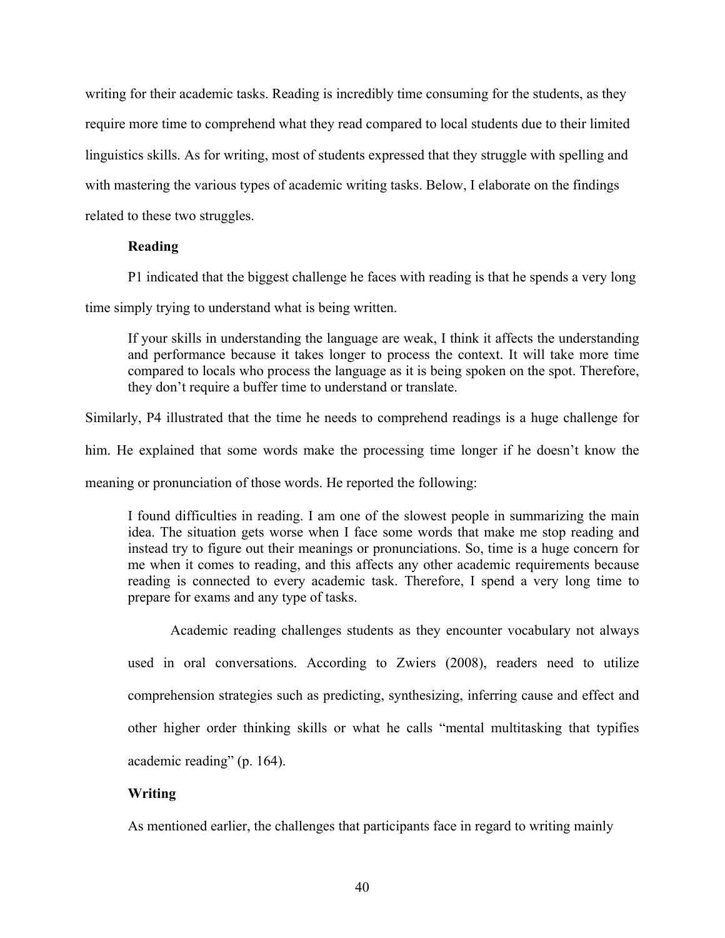writing for their academic tasks. Reading is incredibly time consuming for the students, as they require more time to comprehend what they read compared to local students due to their limited linguistics skills. As for writing, most of students expressed that they struggle with spelling and with mastering the various types of academic writing tasks. Below, I elaborate on the findings related to these two struggles.

## **Reading**

P1 indicated that the biggest challenge he faces with reading is that he spends a very long

time simply trying to understand what is being written.

If your skills in understanding the language are weak, I think it affects the understanding and performance because it takes longer to process the context. It will take more time compared to locals who process the language as it is being spoken on the spot. Therefore, they don't require a buffer time to understand or translate.

Similarly, P4 illustrated that the time he needs to comprehend readings is a huge challenge for

him. He explained that some words make the processing time longer if he doesn't know the

meaning or pronunciation of those words. He reported the following:

I found difficulties in reading. I am one of the slowest people in summarizing the main idea. The situation gets worse when I face some words that make me stop reading and instead try to figure out their meanings or pronunciations. So, time is a huge concern for me when it comes to reading, and this affects any other academic requirements because reading is connected to every academic task. Therefore, I spend a very long time to prepare for exams and any type of tasks.

Academic reading challenges students as they encounter vocabulary not always used in oral conversations. According to Zwiers (2008), readers need to utilize comprehension strategies such as predicting, synthesizing, inferring cause and effect and other higher order thinking skills or what he calls "mental multitasking that typifies academic reading" (p. 164).

# **Writing**

As mentioned earlier, the challenges that participants face in regard to writing mainly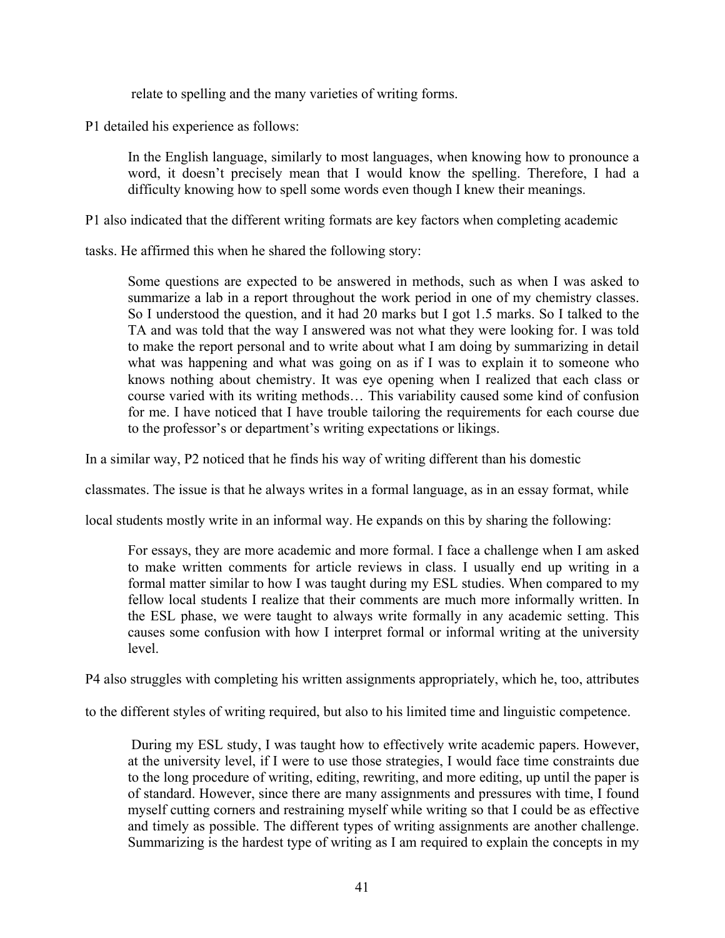relate to spelling and the many varieties of writing forms.

P1 detailed his experience as follows:

In the English language, similarly to most languages, when knowing how to pronounce a word, it doesn't precisely mean that I would know the spelling. Therefore, I had a difficulty knowing how to spell some words even though I knew their meanings.

P1 also indicated that the different writing formats are key factors when completing academic

tasks. He affirmed this when he shared the following story:

Some questions are expected to be answered in methods, such as when I was asked to summarize a lab in a report throughout the work period in one of my chemistry classes. So I understood the question, and it had 20 marks but I got 1.5 marks. So I talked to the TA and was told that the way I answered was not what they were looking for. I was told to make the report personal and to write about what I am doing by summarizing in detail what was happening and what was going on as if I was to explain it to someone who knows nothing about chemistry. It was eye opening when I realized that each class or course varied with its writing methods… This variability caused some kind of confusion for me. I have noticed that I have trouble tailoring the requirements for each course due to the professor's or department's writing expectations or likings.

In a similar way, P2 noticed that he finds his way of writing different than his domestic

classmates. The issue is that he always writes in a formal language, as in an essay format, while

local students mostly write in an informal way. He expands on this by sharing the following:

For essays, they are more academic and more formal. I face a challenge when I am asked to make written comments for article reviews in class. I usually end up writing in a formal matter similar to how I was taught during my ESL studies. When compared to my fellow local students I realize that their comments are much more informally written. In the ESL phase, we were taught to always write formally in any academic setting. This causes some confusion with how I interpret formal or informal writing at the university level.

P4 also struggles with completing his written assignments appropriately, which he, too, attributes

to the different styles of writing required, but also to his limited time and linguistic competence.

During my ESL study, I was taught how to effectively write academic papers. However, at the university level, if I were to use those strategies, I would face time constraints due to the long procedure of writing, editing, rewriting, and more editing, up until the paper is of standard. However, since there are many assignments and pressures with time, I found myself cutting corners and restraining myself while writing so that I could be as effective and timely as possible. The different types of writing assignments are another challenge. Summarizing is the hardest type of writing as I am required to explain the concepts in my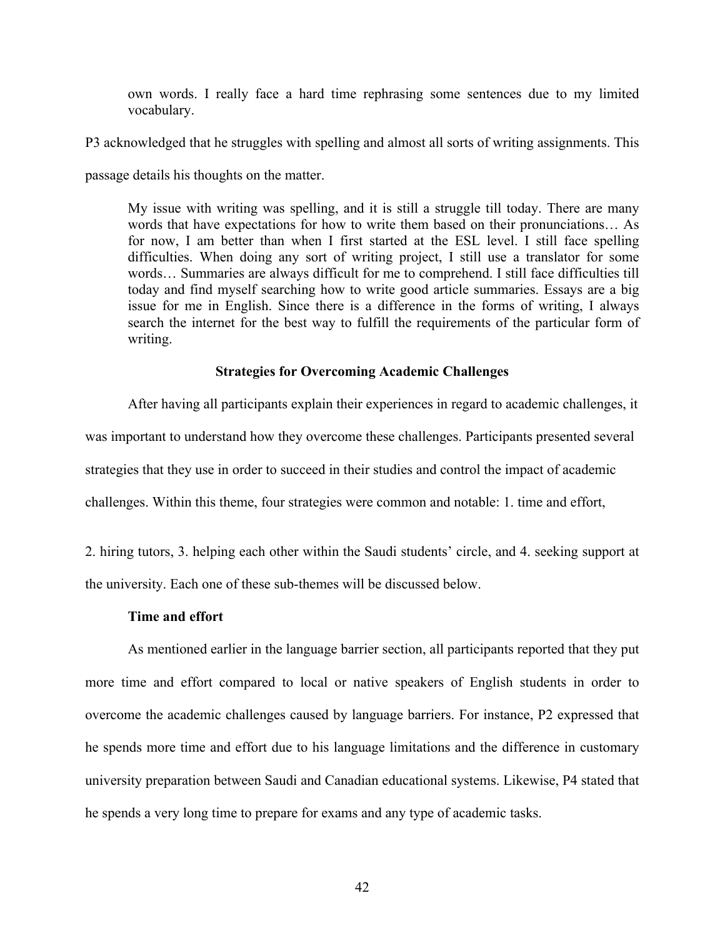own words. I really face a hard time rephrasing some sentences due to my limited vocabulary.

P3 acknowledged that he struggles with spelling and almost all sorts of writing assignments. This

passage details his thoughts on the matter.

My issue with writing was spelling, and it is still a struggle till today. There are many words that have expectations for how to write them based on their pronunciations… As for now, I am better than when I first started at the ESL level. I still face spelling difficulties. When doing any sort of writing project, I still use a translator for some words… Summaries are always difficult for me to comprehend. I still face difficulties till today and find myself searching how to write good article summaries. Essays are a big issue for me in English. Since there is a difference in the forms of writing, I always search the internet for the best way to fulfill the requirements of the particular form of writing.

## **Strategies for Overcoming Academic Challenges**

After having all participants explain their experiences in regard to academic challenges, it was important to understand how they overcome these challenges. Participants presented several strategies that they use in order to succeed in their studies and control the impact of academic challenges. Within this theme, four strategies were common and notable: 1. time and effort,

2. hiring tutors, 3. helping each other within the Saudi students' circle, and 4. seeking support at the university. Each one of these sub-themes will be discussed below.

### **Time and effort**

As mentioned earlier in the language barrier section, all participants reported that they put more time and effort compared to local or native speakers of English students in order to overcome the academic challenges caused by language barriers. For instance, P2 expressed that he spends more time and effort due to his language limitations and the difference in customary university preparation between Saudi and Canadian educational systems. Likewise, P4 stated that he spends a very long time to prepare for exams and any type of academic tasks.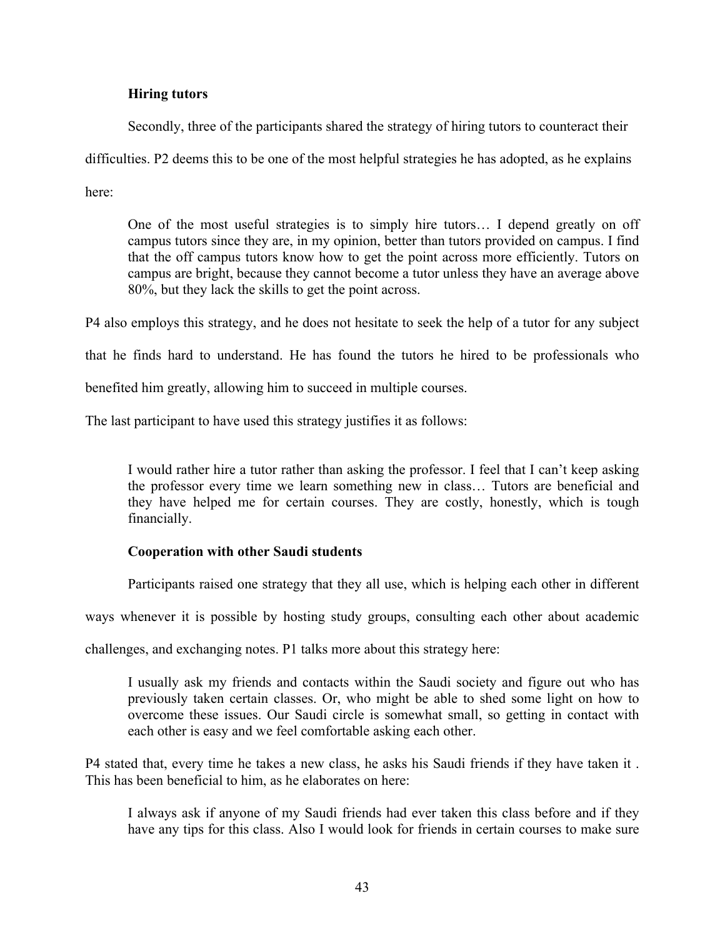# **Hiring tutors**

Secondly, three of the participants shared the strategy of hiring tutors to counteract their

difficulties. P2 deems this to be one of the most helpful strategies he has adopted, as he explains

here:

One of the most useful strategies is to simply hire tutors… I depend greatly on off campus tutors since they are, in my opinion, better than tutors provided on campus. I find that the off campus tutors know how to get the point across more efficiently. Tutors on campus are bright, because they cannot become a tutor unless they have an average above 80%, but they lack the skills to get the point across.

P4 also employs this strategy, and he does not hesitate to seek the help of a tutor for any subject

that he finds hard to understand. He has found the tutors he hired to be professionals who

benefited him greatly, allowing him to succeed in multiple courses.

The last participant to have used this strategy justifies it as follows:

I would rather hire a tutor rather than asking the professor. I feel that I can't keep asking the professor every time we learn something new in class… Tutors are beneficial and they have helped me for certain courses. They are costly, honestly, which is tough financially.

# **Cooperation with other Saudi students**

Participants raised one strategy that they all use, which is helping each other in different

ways whenever it is possible by hosting study groups, consulting each other about academic

challenges, and exchanging notes. P1 talks more about this strategy here:

I usually ask my friends and contacts within the Saudi society and figure out who has previously taken certain classes. Or, who might be able to shed some light on how to overcome these issues. Our Saudi circle is somewhat small, so getting in contact with each other is easy and we feel comfortable asking each other.

P4 stated that, every time he takes a new class, he asks his Saudi friends if they have taken it . This has been beneficial to him, as he elaborates on here:

I always ask if anyone of my Saudi friends had ever taken this class before and if they have any tips for this class. Also I would look for friends in certain courses to make sure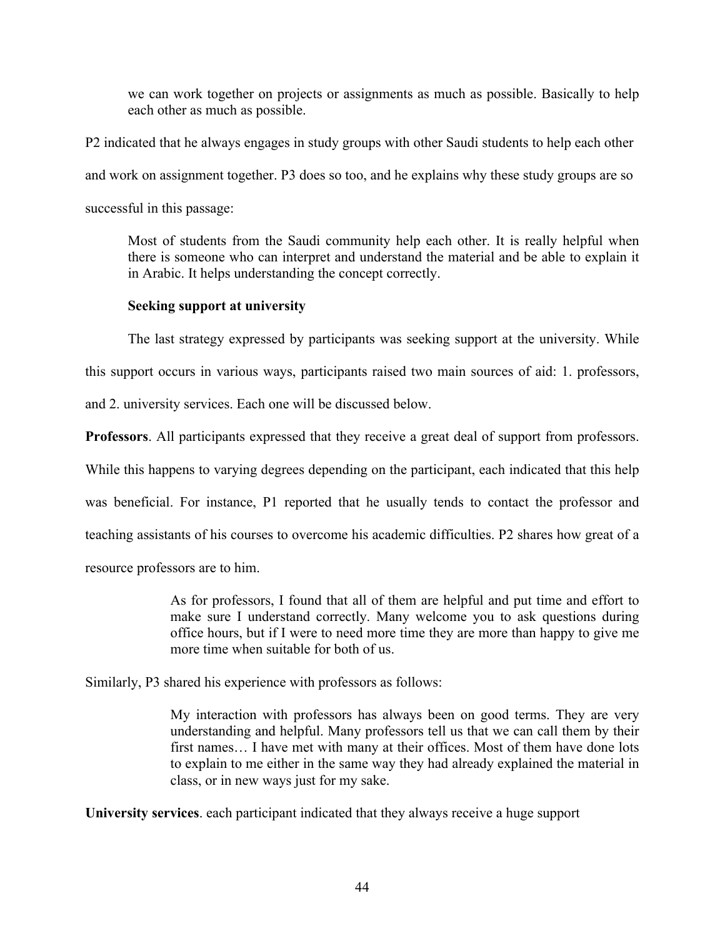we can work together on projects or assignments as much as possible. Basically to help each other as much as possible.

P2 indicated that he always engages in study groups with other Saudi students to help each other and work on assignment together. P3 does so too, and he explains why these study groups are so successful in this passage:

Most of students from the Saudi community help each other. It is really helpful when there is someone who can interpret and understand the material and be able to explain it in Arabic. It helps understanding the concept correctly.

# **Seeking support at university**

The last strategy expressed by participants was seeking support at the university. While

this support occurs in various ways, participants raised two main sources of aid: 1. professors,

and 2. university services. Each one will be discussed below.

**Professors**. All participants expressed that they receive a great deal of support from professors.

While this happens to varying degrees depending on the participant, each indicated that this help

was beneficial. For instance, P1 reported that he usually tends to contact the professor and

teaching assistants of his courses to overcome his academic difficulties. P2 shares how great of a

resource professors are to him.

As for professors, I found that all of them are helpful and put time and effort to make sure I understand correctly. Many welcome you to ask questions during office hours, but if I were to need more time they are more than happy to give me more time when suitable for both of us.

Similarly, P3 shared his experience with professors as follows:

My interaction with professors has always been on good terms. They are very understanding and helpful. Many professors tell us that we can call them by their first names… I have met with many at their offices. Most of them have done lots to explain to me either in the same way they had already explained the material in class, or in new ways just for my sake.

**University services**. each participant indicated that they always receive a huge support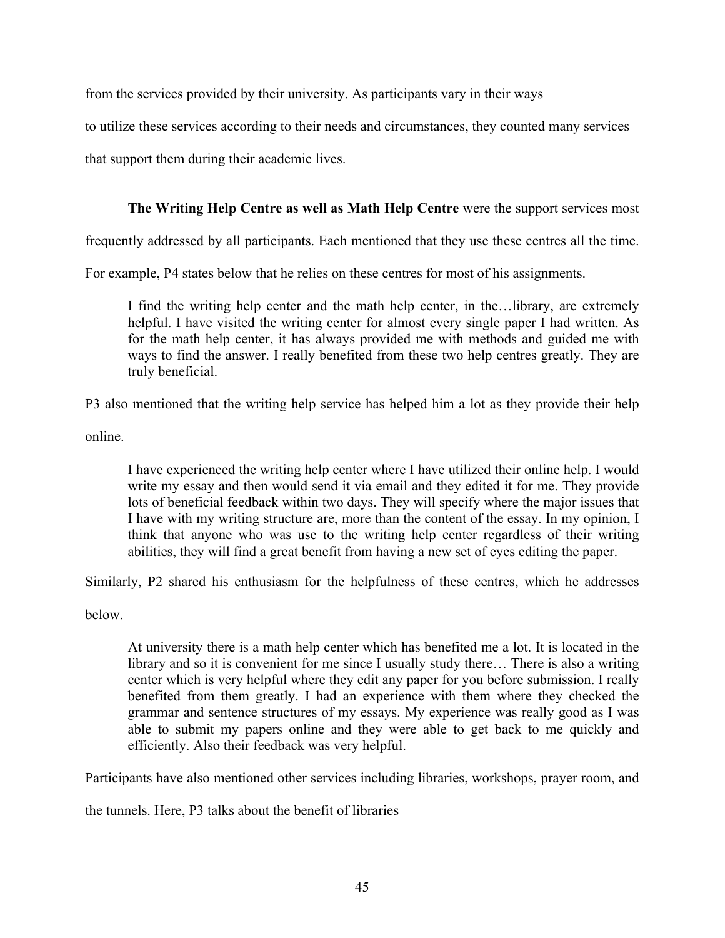from the services provided by their university. As participants vary in their ways

to utilize these services according to their needs and circumstances, they counted many services

that support them during their academic lives.

# **The Writing Help Centre as well as Math Help Centre** were the support services most

frequently addressed by all participants. Each mentioned that they use these centres all the time.

For example, P4 states below that he relies on these centres for most of his assignments.

I find the writing help center and the math help center, in the…library, are extremely helpful. I have visited the writing center for almost every single paper I had written. As for the math help center, it has always provided me with methods and guided me with ways to find the answer. I really benefited from these two help centres greatly. They are truly beneficial.

P3 also mentioned that the writing help service has helped him a lot as they provide their help

online.

I have experienced the writing help center where I have utilized their online help. I would write my essay and then would send it via email and they edited it for me. They provide lots of beneficial feedback within two days. They will specify where the major issues that I have with my writing structure are, more than the content of the essay. In my opinion, I think that anyone who was use to the writing help center regardless of their writing abilities, they will find a great benefit from having a new set of eyes editing the paper.

Similarly, P2 shared his enthusiasm for the helpfulness of these centres, which he addresses

below.

At university there is a math help center which has benefited me a lot. It is located in the library and so it is convenient for me since I usually study there… There is also a writing center which is very helpful where they edit any paper for you before submission. I really benefited from them greatly. I had an experience with them where they checked the grammar and sentence structures of my essays. My experience was really good as I was able to submit my papers online and they were able to get back to me quickly and efficiently. Also their feedback was very helpful.

Participants have also mentioned other services including libraries, workshops, prayer room, and

the tunnels. Here, P3 talks about the benefit of libraries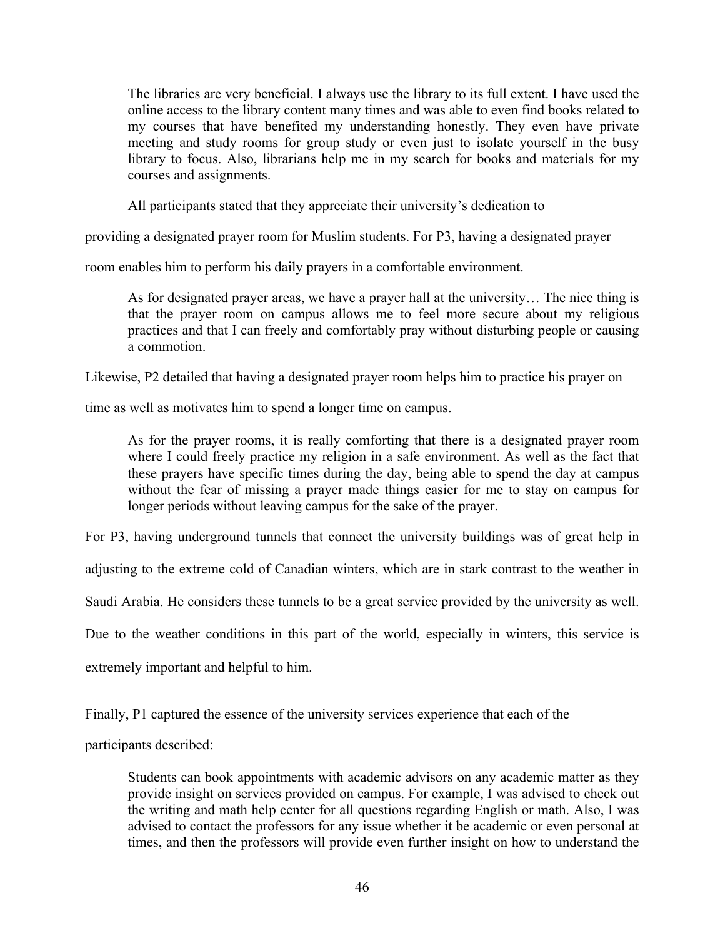The libraries are very beneficial. I always use the library to its full extent. I have used the online access to the library content many times and was able to even find books related to my courses that have benefited my understanding honestly. They even have private meeting and study rooms for group study or even just to isolate yourself in the busy library to focus. Also, librarians help me in my search for books and materials for my courses and assignments.

All participants stated that they appreciate their university's dedication to

providing a designated prayer room for Muslim students. For P3, having a designated prayer

room enables him to perform his daily prayers in a comfortable environment.

As for designated prayer areas, we have a prayer hall at the university… The nice thing is that the prayer room on campus allows me to feel more secure about my religious practices and that I can freely and comfortably pray without disturbing people or causing a commotion.

Likewise, P2 detailed that having a designated prayer room helps him to practice his prayer on

time as well as motivates him to spend a longer time on campus.

As for the prayer rooms, it is really comforting that there is a designated prayer room where I could freely practice my religion in a safe environment. As well as the fact that these prayers have specific times during the day, being able to spend the day at campus without the fear of missing a prayer made things easier for me to stay on campus for longer periods without leaving campus for the sake of the prayer.

For P3, having underground tunnels that connect the university buildings was of great help in

adjusting to the extreme cold of Canadian winters, which are in stark contrast to the weather in

Saudi Arabia. He considers these tunnels to be a great service provided by the university as well.

Due to the weather conditions in this part of the world, especially in winters, this service is

extremely important and helpful to him.

Finally, P1 captured the essence of the university services experience that each of the

participants described:

Students can book appointments with academic advisors on any academic matter as they provide insight on services provided on campus. For example, I was advised to check out the writing and math help center for all questions regarding English or math. Also, I was advised to contact the professors for any issue whether it be academic or even personal at times, and then the professors will provide even further insight on how to understand the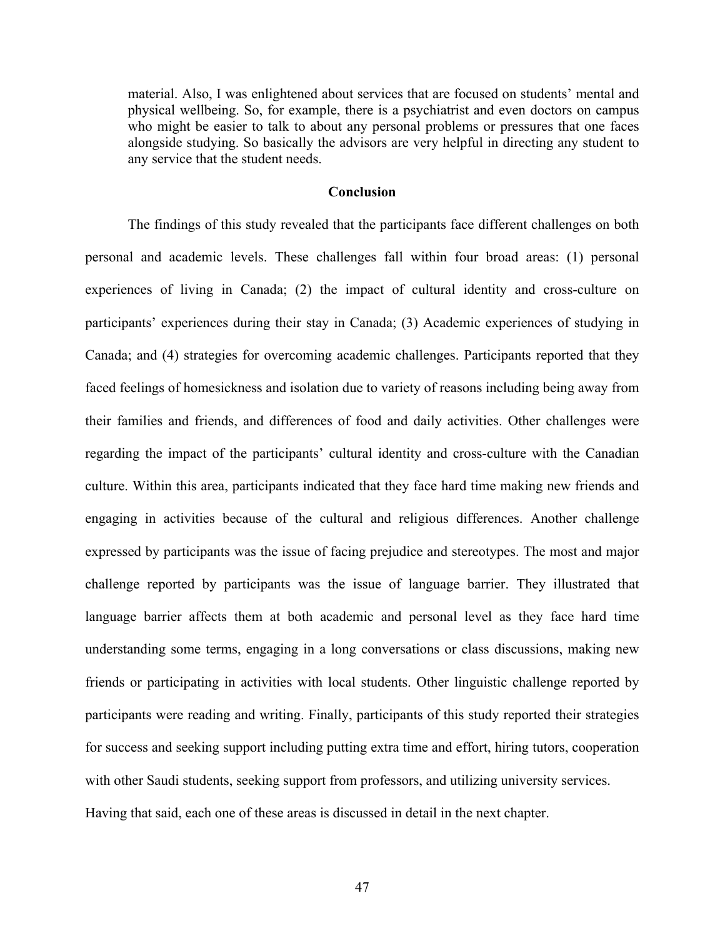material. Also, I was enlightened about services that are focused on students' mental and physical wellbeing. So, for example, there is a psychiatrist and even doctors on campus who might be easier to talk to about any personal problems or pressures that one faces alongside studying. So basically the advisors are very helpful in directing any student to any service that the student needs.

### **Conclusion**

The findings of this study revealed that the participants face different challenges on both personal and academic levels. These challenges fall within four broad areas: (1) personal experiences of living in Canada; (2) the impact of cultural identity and cross-culture on participants' experiences during their stay in Canada; (3) Academic experiences of studying in Canada; and (4) strategies for overcoming academic challenges. Participants reported that they faced feelings of homesickness and isolation due to variety of reasons including being away from their families and friends, and differences of food and daily activities. Other challenges were regarding the impact of the participants' cultural identity and cross-culture with the Canadian culture. Within this area, participants indicated that they face hard time making new friends and engaging in activities because of the cultural and religious differences. Another challenge expressed by participants was the issue of facing prejudice and stereotypes. The most and major challenge reported by participants was the issue of language barrier. They illustrated that language barrier affects them at both academic and personal level as they face hard time understanding some terms, engaging in a long conversations or class discussions, making new friends or participating in activities with local students. Other linguistic challenge reported by participants were reading and writing. Finally, participants of this study reported their strategies for success and seeking support including putting extra time and effort, hiring tutors, cooperation with other Saudi students, seeking support from professors, and utilizing university services. Having that said, each one of these areas is discussed in detail in the next chapter.

47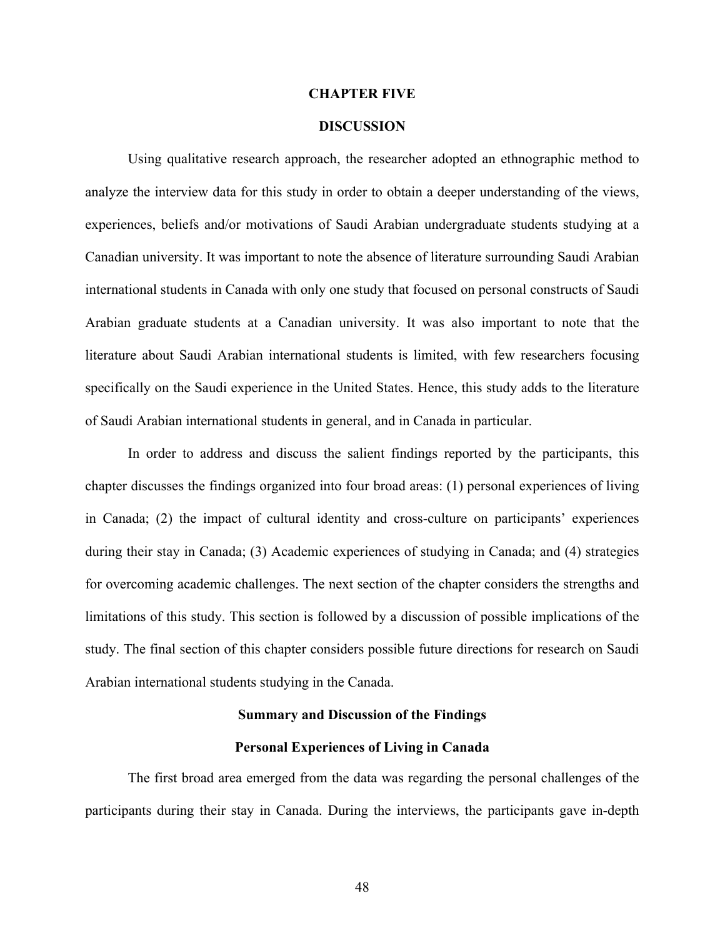### **CHAPTER FIVE**

## **DISCUSSION**

Using qualitative research approach, the researcher adopted an ethnographic method to analyze the interview data for this study in order to obtain a deeper understanding of the views, experiences, beliefs and/or motivations of Saudi Arabian undergraduate students studying at a Canadian university. It was important to note the absence of literature surrounding Saudi Arabian international students in Canada with only one study that focused on personal constructs of Saudi Arabian graduate students at a Canadian university. It was also important to note that the literature about Saudi Arabian international students is limited, with few researchers focusing specifically on the Saudi experience in the United States. Hence, this study adds to the literature of Saudi Arabian international students in general, and in Canada in particular.

In order to address and discuss the salient findings reported by the participants, this chapter discusses the findings organized into four broad areas: (1) personal experiences of living in Canada; (2) the impact of cultural identity and cross-culture on participants' experiences during their stay in Canada; (3) Academic experiences of studying in Canada; and (4) strategies for overcoming academic challenges. The next section of the chapter considers the strengths and limitations of this study. This section is followed by a discussion of possible implications of the study. The final section of this chapter considers possible future directions for research on Saudi Arabian international students studying in the Canada.

## **Summary and Discussion of the Findings**

### **Personal Experiences of Living in Canada**

The first broad area emerged from the data was regarding the personal challenges of the participants during their stay in Canada. During the interviews, the participants gave in-depth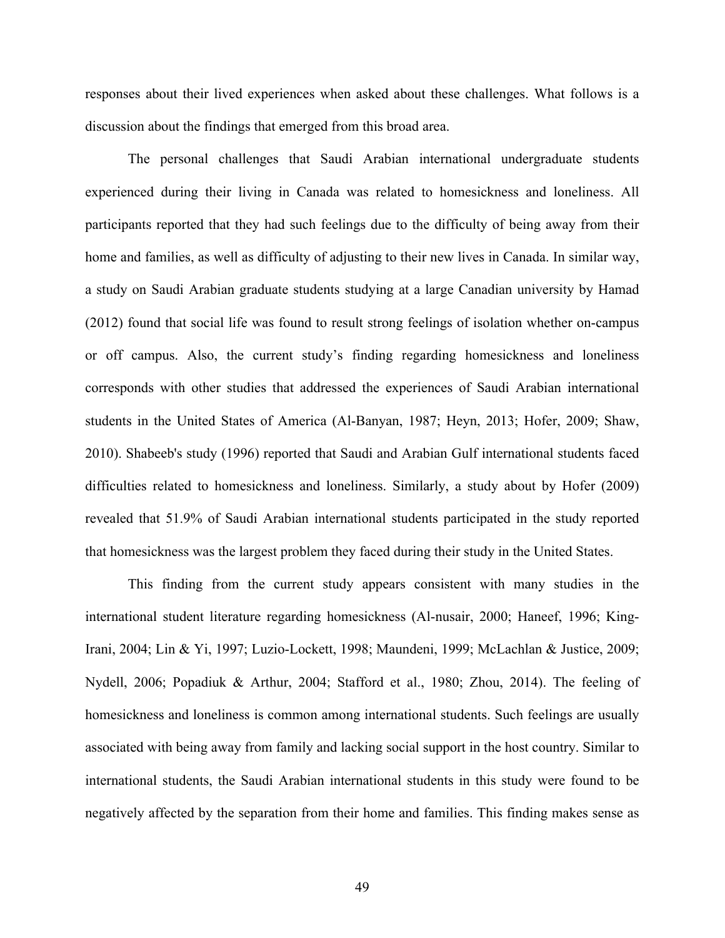responses about their lived experiences when asked about these challenges. What follows is a discussion about the findings that emerged from this broad area.

The personal challenges that Saudi Arabian international undergraduate students experienced during their living in Canada was related to homesickness and loneliness. All participants reported that they had such feelings due to the difficulty of being away from their home and families, as well as difficulty of adjusting to their new lives in Canada. In similar way, a study on Saudi Arabian graduate students studying at a large Canadian university by Hamad (2012) found that social life was found to result strong feelings of isolation whether on-campus or off campus. Also, the current study's finding regarding homesickness and loneliness corresponds with other studies that addressed the experiences of Saudi Arabian international students in the United States of America (Al-Banyan, 1987; Heyn, 2013; Hofer, 2009; Shaw, 2010). Shabeeb's study (1996) reported that Saudi and Arabian Gulf international students faced difficulties related to homesickness and loneliness. Similarly, a study about by Hofer (2009) revealed that 51.9% of Saudi Arabian international students participated in the study reported that homesickness was the largest problem they faced during their study in the United States.

This finding from the current study appears consistent with many studies in the international student literature regarding homesickness (Al-nusair, 2000; Haneef, 1996; King-Irani, 2004; Lin & Yi, 1997; Luzio-Lockett, 1998; Maundeni, 1999; McLachlan & Justice, 2009; Nydell, 2006; Popadiuk & Arthur, 2004; Stafford et al., 1980; Zhou, 2014). The feeling of homesickness and loneliness is common among international students. Such feelings are usually associated with being away from family and lacking social support in the host country. Similar to international students, the Saudi Arabian international students in this study were found to be negatively affected by the separation from their home and families. This finding makes sense as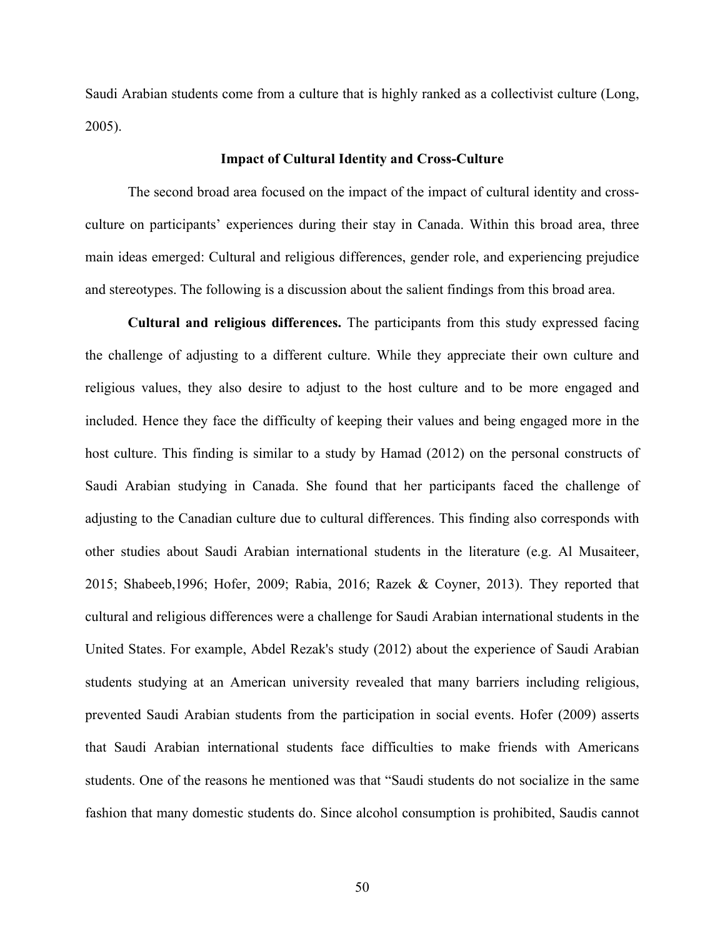Saudi Arabian students come from a culture that is highly ranked as a collectivist culture (Long, 2005).

### **Impact of Cultural Identity and Cross-Culture**

The second broad area focused on the impact of the impact of cultural identity and crossculture on participants' experiences during their stay in Canada. Within this broad area, three main ideas emerged: Cultural and religious differences, gender role, and experiencing prejudice and stereotypes. The following is a discussion about the salient findings from this broad area.

**Cultural and religious differences.** The participants from this study expressed facing the challenge of adjusting to a different culture. While they appreciate their own culture and religious values, they also desire to adjust to the host culture and to be more engaged and included. Hence they face the difficulty of keeping their values and being engaged more in the host culture. This finding is similar to a study by Hamad (2012) on the personal constructs of Saudi Arabian studying in Canada. She found that her participants faced the challenge of adjusting to the Canadian culture due to cultural differences. This finding also corresponds with other studies about Saudi Arabian international students in the literature (e.g. Al Musaiteer, 2015; Shabeeb,1996; Hofer, 2009; Rabia, 2016; Razek & Coyner, 2013). They reported that cultural and religious differences were a challenge for Saudi Arabian international students in the United States. For example, Abdel Rezak's study (2012) about the experience of Saudi Arabian students studying at an American university revealed that many barriers including religious, prevented Saudi Arabian students from the participation in social events. Hofer (2009) asserts that Saudi Arabian international students face difficulties to make friends with Americans students. One of the reasons he mentioned was that "Saudi students do not socialize in the same fashion that many domestic students do. Since alcohol consumption is prohibited, Saudis cannot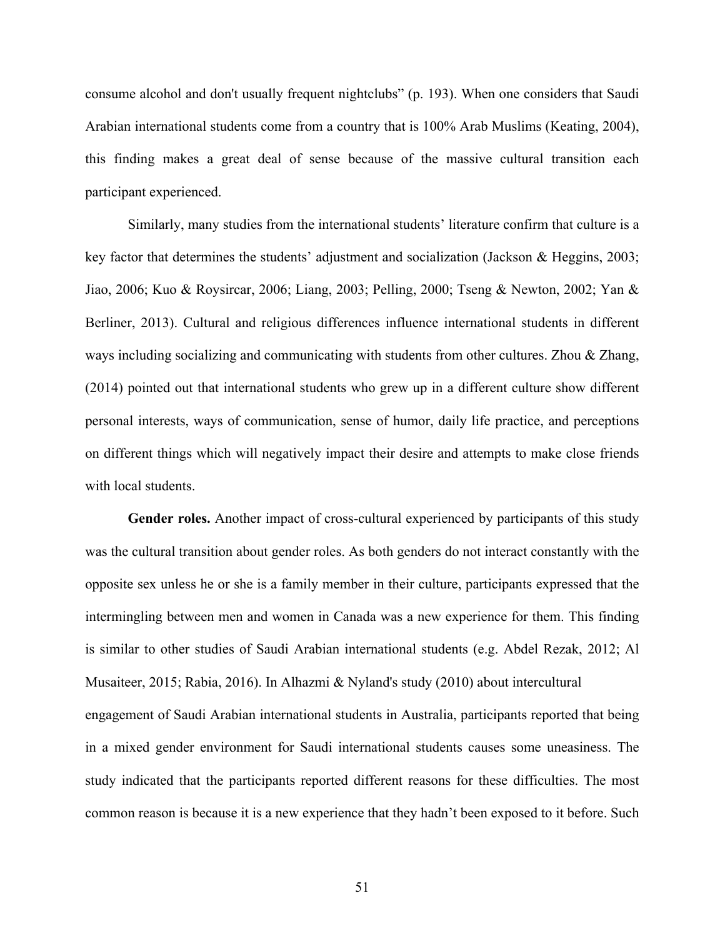consume alcohol and don't usually frequent nightclubs" (p. 193). When one considers that Saudi Arabian international students come from a country that is 100% Arab Muslims (Keating, 2004), this finding makes a great deal of sense because of the massive cultural transition each participant experienced.

Similarly, many studies from the international students' literature confirm that culture is a key factor that determines the students' adjustment and socialization (Jackson & Heggins, 2003; Jiao, 2006; Kuo & Roysircar, 2006; Liang, 2003; Pelling, 2000; Tseng & Newton, 2002; Yan & Berliner, 2013). Cultural and religious differences influence international students in different ways including socializing and communicating with students from other cultures. Zhou & Zhang, (2014) pointed out that international students who grew up in a different culture show different personal interests, ways of communication, sense of humor, daily life practice, and perceptions on different things which will negatively impact their desire and attempts to make close friends with local students.

**Gender roles.** Another impact of cross-cultural experienced by participants of this study was the cultural transition about gender roles. As both genders do not interact constantly with the opposite sex unless he or she is a family member in their culture, participants expressed that the intermingling between men and women in Canada was a new experience for them. This finding is similar to other studies of Saudi Arabian international students (e.g. Abdel Rezak, 2012; Al Musaiteer, 2015; Rabia, 2016). In Alhazmi & Nyland's study (2010) about intercultural engagement of Saudi Arabian international students in Australia, participants reported that being in a mixed gender environment for Saudi international students causes some uneasiness. The study indicated that the participants reported different reasons for these difficulties. The most common reason is because it is a new experience that they hadn't been exposed to it before. Such

51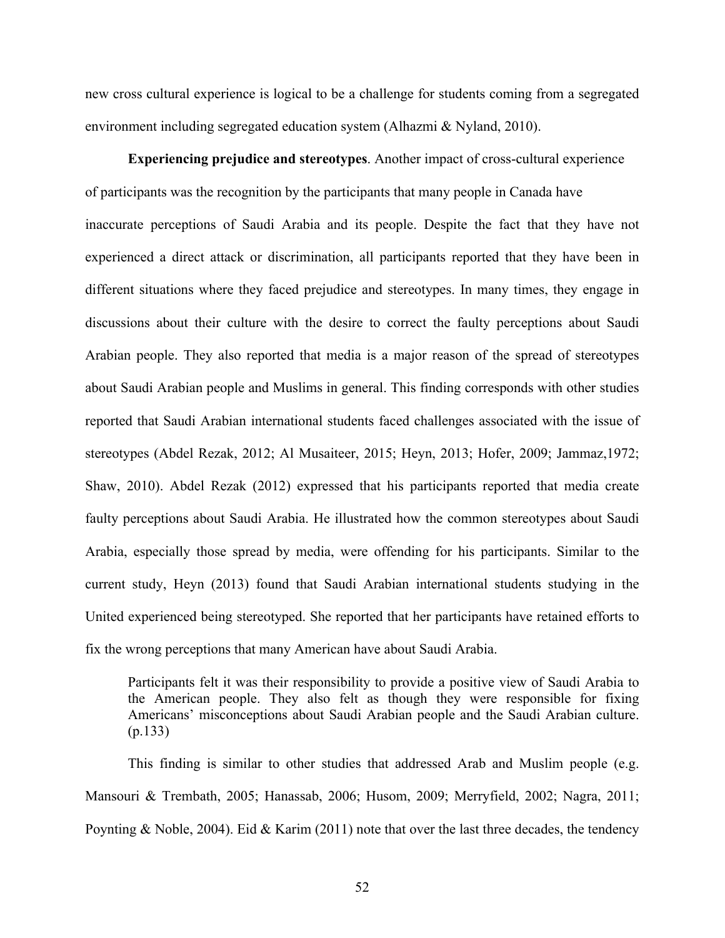new cross cultural experience is logical to be a challenge for students coming from a segregated environment including segregated education system (Alhazmi & Nyland, 2010).

**Experiencing prejudice and stereotypes**. Another impact of cross-cultural experience of participants was the recognition by the participants that many people in Canada have inaccurate perceptions of Saudi Arabia and its people. Despite the fact that they have not experienced a direct attack or discrimination, all participants reported that they have been in different situations where they faced prejudice and stereotypes. In many times, they engage in discussions about their culture with the desire to correct the faulty perceptions about Saudi Arabian people. They also reported that media is a major reason of the spread of stereotypes about Saudi Arabian people and Muslims in general. This finding corresponds with other studies reported that Saudi Arabian international students faced challenges associated with the issue of stereotypes (Abdel Rezak, 2012; Al Musaiteer, 2015; Heyn, 2013; Hofer, 2009; Jammaz,1972; Shaw, 2010). Abdel Rezak (2012) expressed that his participants reported that media create faulty perceptions about Saudi Arabia. He illustrated how the common stereotypes about Saudi Arabia, especially those spread by media, were offending for his participants. Similar to the current study, Heyn (2013) found that Saudi Arabian international students studying in the United experienced being stereotyped. She reported that her participants have retained efforts to fix the wrong perceptions that many American have about Saudi Arabia.

Participants felt it was their responsibility to provide a positive view of Saudi Arabia to the American people. They also felt as though they were responsible for fixing Americans' misconceptions about Saudi Arabian people and the Saudi Arabian culture. (p.133)

This finding is similar to other studies that addressed Arab and Muslim people (e.g. Mansouri & Trembath, 2005; Hanassab, 2006; Husom, 2009; Merryfield, 2002; Nagra, 2011; Poynting & Noble, 2004). Eid & Karim (2011) note that over the last three decades, the tendency

52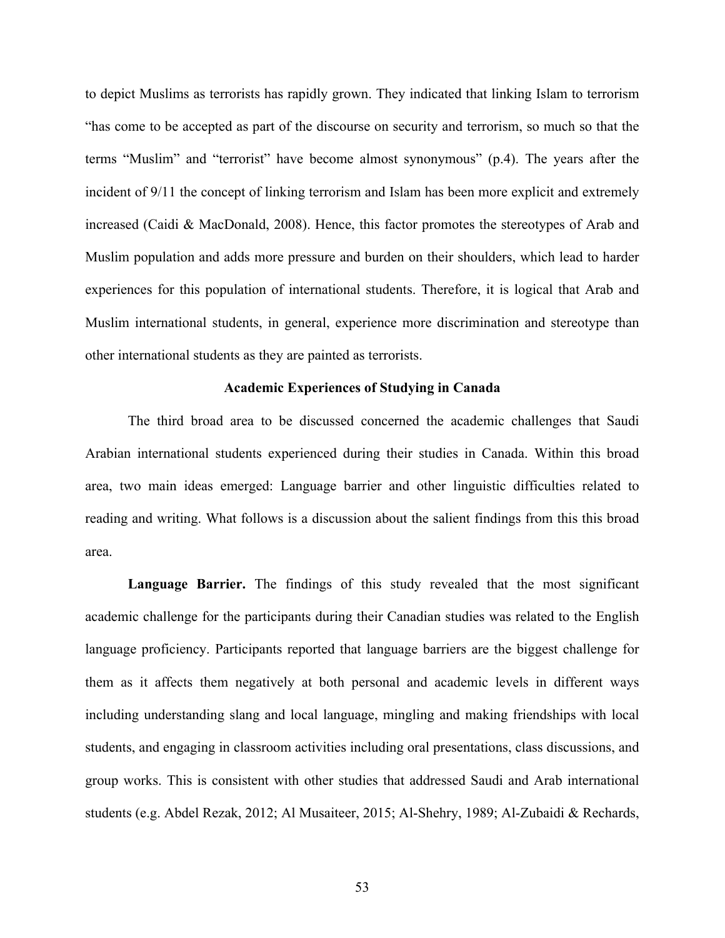to depict Muslims as terrorists has rapidly grown. They indicated that linking Islam to terrorism "has come to be accepted as part of the discourse on security and terrorism, so much so that the terms "Muslim" and "terrorist" have become almost synonymous" (p.4). The years after the incident of 9/11 the concept of linking terrorism and Islam has been more explicit and extremely increased (Caidi & MacDonald, 2008). Hence, this factor promotes the stereotypes of Arab and Muslim population and adds more pressure and burden on their shoulders, which lead to harder experiences for this population of international students. Therefore, it is logical that Arab and Muslim international students, in general, experience more discrimination and stereotype than other international students as they are painted as terrorists.

## **Academic Experiences of Studying in Canada**

The third broad area to be discussed concerned the academic challenges that Saudi Arabian international students experienced during their studies in Canada. Within this broad area, two main ideas emerged: Language barrier and other linguistic difficulties related to reading and writing. What follows is a discussion about the salient findings from this this broad area.

**Language Barrier.** The findings of this study revealed that the most significant academic challenge for the participants during their Canadian studies was related to the English language proficiency. Participants reported that language barriers are the biggest challenge for them as it affects them negatively at both personal and academic levels in different ways including understanding slang and local language, mingling and making friendships with local students, and engaging in classroom activities including oral presentations, class discussions, and group works. This is consistent with other studies that addressed Saudi and Arab international students (e.g. Abdel Rezak, 2012; Al Musaiteer, 2015; Al-Shehry, 1989; Al-Zubaidi & Rechards,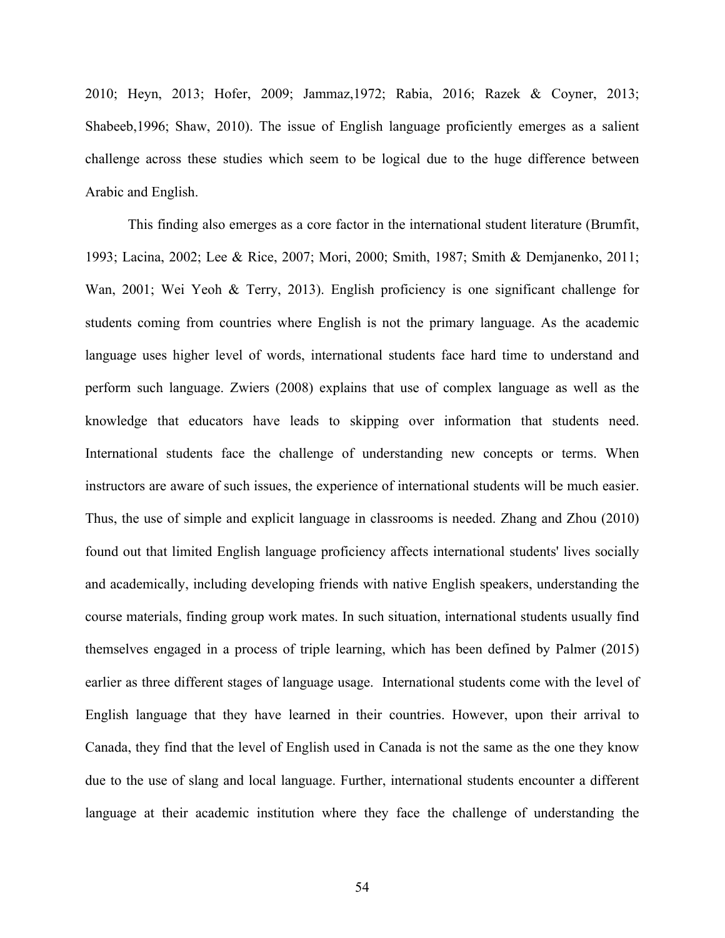2010; Heyn, 2013; Hofer, 2009; Jammaz,1972; Rabia, 2016; Razek & Coyner, 2013; Shabeeb,1996; Shaw, 2010). The issue of English language proficiently emerges as a salient challenge across these studies which seem to be logical due to the huge difference between Arabic and English.

This finding also emerges as a core factor in the international student literature (Brumfit, 1993; Lacina, 2002; Lee & Rice, 2007; Mori, 2000; Smith, 1987; Smith & Demjanenko, 2011; Wan, 2001; Wei Yeoh & Terry, 2013). English proficiency is one significant challenge for students coming from countries where English is not the primary language. As the academic language uses higher level of words, international students face hard time to understand and perform such language. Zwiers (2008) explains that use of complex language as well as the knowledge that educators have leads to skipping over information that students need. International students face the challenge of understanding new concepts or terms. When instructors are aware of such issues, the experience of international students will be much easier. Thus, the use of simple and explicit language in classrooms is needed. Zhang and Zhou (2010) found out that limited English language proficiency affects international students' lives socially and academically, including developing friends with native English speakers, understanding the course materials, finding group work mates. In such situation, international students usually find themselves engaged in a process of triple learning, which has been defined by Palmer (2015) earlier as three different stages of language usage. International students come with the level of English language that they have learned in their countries. However, upon their arrival to Canada, they find that the level of English used in Canada is not the same as the one they know due to the use of slang and local language. Further, international students encounter a different language at their academic institution where they face the challenge of understanding the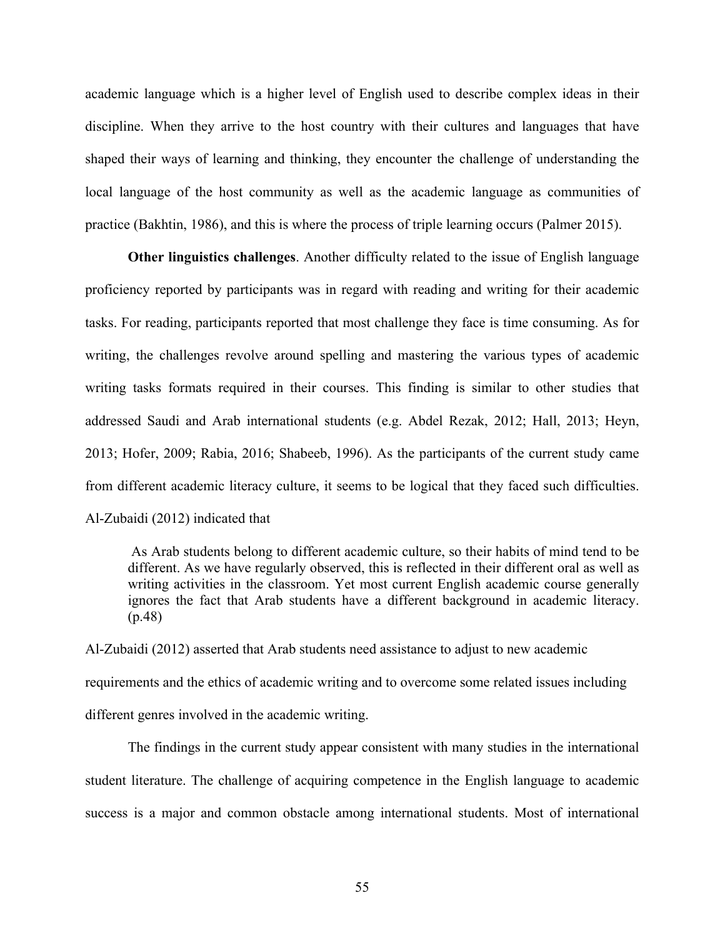academic language which is a higher level of English used to describe complex ideas in their discipline. When they arrive to the host country with their cultures and languages that have shaped their ways of learning and thinking, they encounter the challenge of understanding the local language of the host community as well as the academic language as communities of practice (Bakhtin, 1986), and this is where the process of triple learning occurs (Palmer 2015).

**Other linguistics challenges**. Another difficulty related to the issue of English language proficiency reported by participants was in regard with reading and writing for their academic tasks. For reading, participants reported that most challenge they face is time consuming. As for writing, the challenges revolve around spelling and mastering the various types of academic writing tasks formats required in their courses. This finding is similar to other studies that addressed Saudi and Arab international students (e.g. Abdel Rezak, 2012; Hall, 2013; Heyn, 2013; Hofer, 2009; Rabia, 2016; Shabeeb, 1996). As the participants of the current study came from different academic literacy culture, it seems to be logical that they faced such difficulties. Al-Zubaidi (2012) indicated that

As Arab students belong to different academic culture, so their habits of mind tend to be different. As we have regularly observed, this is reflected in their different oral as well as writing activities in the classroom. Yet most current English academic course generally ignores the fact that Arab students have a different background in academic literacy. (p.48)

Al-Zubaidi (2012) asserted that Arab students need assistance to adjust to new academic requirements and the ethics of academic writing and to overcome some related issues including different genres involved in the academic writing.

The findings in the current study appear consistent with many studies in the international student literature. The challenge of acquiring competence in the English language to academic success is a major and common obstacle among international students. Most of international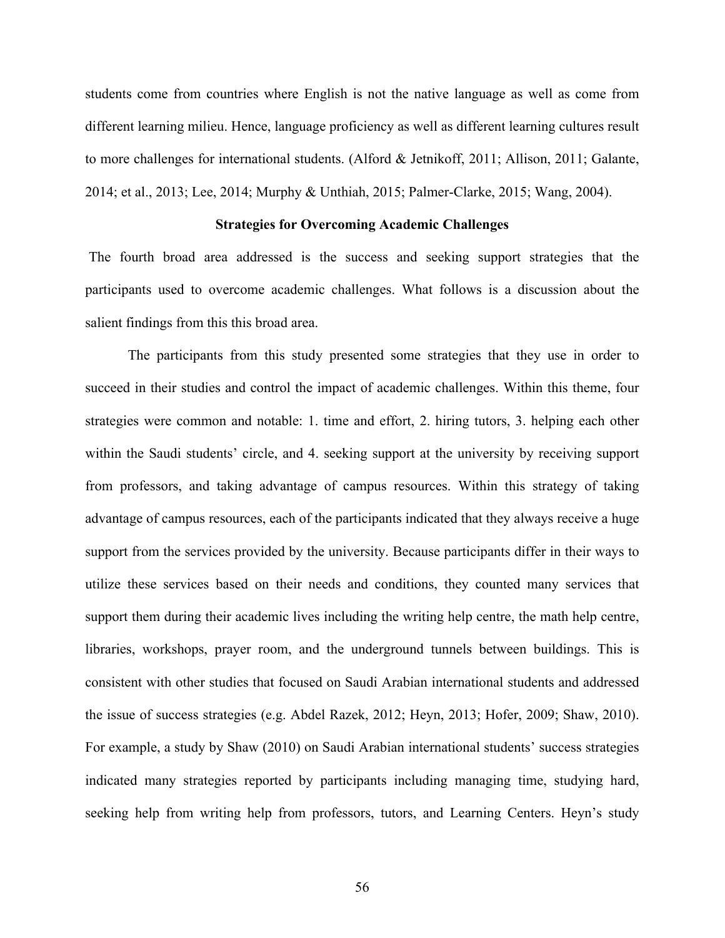students come from countries where English is not the native language as well as come from different learning milieu. Hence, language proficiency as well as different learning cultures result to more challenges for international students. (Alford & Jetnikoff, 2011; Allison, 2011; Galante, 2014; et al., 2013; Lee, 2014; Murphy & Unthiah, 2015; Palmer-Clarke, 2015; Wang, 2004).

## **Strategies for Overcoming Academic Challenges**

The fourth broad area addressed is the success and seeking support strategies that the participants used to overcome academic challenges. What follows is a discussion about the salient findings from this this broad area.

The participants from this study presented some strategies that they use in order to succeed in their studies and control the impact of academic challenges. Within this theme, four strategies were common and notable: 1. time and effort, 2. hiring tutors, 3. helping each other within the Saudi students' circle, and 4. seeking support at the university by receiving support from professors, and taking advantage of campus resources. Within this strategy of taking advantage of campus resources, each of the participants indicated that they always receive a huge support from the services provided by the university. Because participants differ in their ways to utilize these services based on their needs and conditions, they counted many services that support them during their academic lives including the writing help centre, the math help centre, libraries, workshops, prayer room, and the underground tunnels between buildings. This is consistent with other studies that focused on Saudi Arabian international students and addressed the issue of success strategies (e.g. Abdel Razek, 2012; Heyn, 2013; Hofer, 2009; Shaw, 2010). For example, a study by Shaw (2010) on Saudi Arabian international students' success strategies indicated many strategies reported by participants including managing time, studying hard, seeking help from writing help from professors, tutors, and Learning Centers. Heyn's study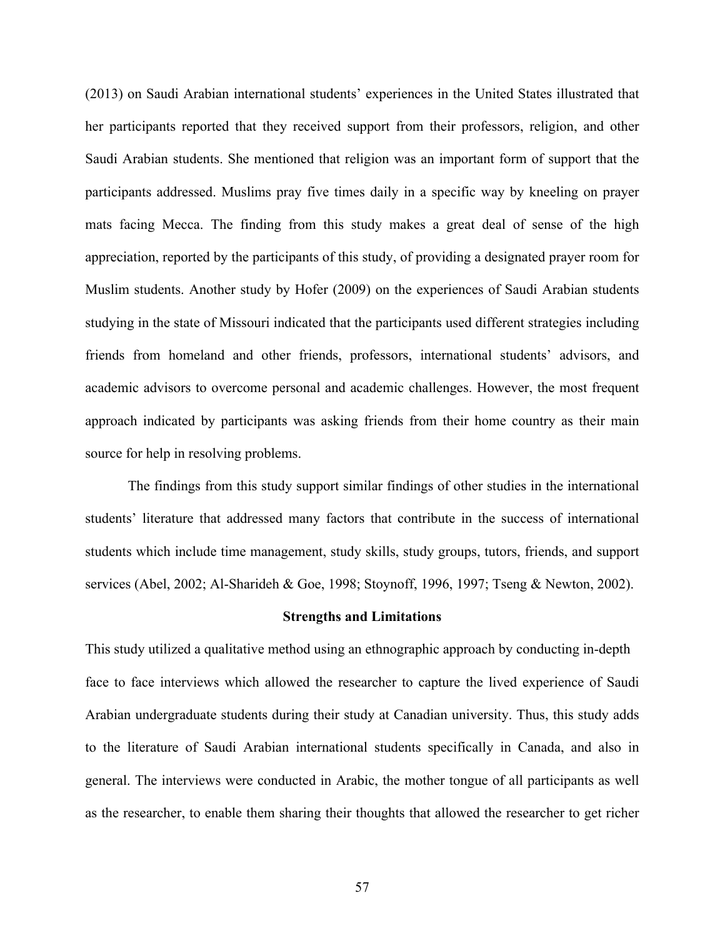(2013) on Saudi Arabian international students' experiences in the United States illustrated that her participants reported that they received support from their professors, religion, and other Saudi Arabian students. She mentioned that religion was an important form of support that the participants addressed. Muslims pray five times daily in a specific way by kneeling on prayer mats facing Mecca. The finding from this study makes a great deal of sense of the high appreciation, reported by the participants of this study, of providing a designated prayer room for Muslim students. Another study by Hofer (2009) on the experiences of Saudi Arabian students studying in the state of Missouri indicated that the participants used different strategies including friends from homeland and other friends, professors, international students' advisors, and academic advisors to overcome personal and academic challenges. However, the most frequent approach indicated by participants was asking friends from their home country as their main source for help in resolving problems.

The findings from this study support similar findings of other studies in the international students' literature that addressed many factors that contribute in the success of international students which include time management, study skills, study groups, tutors, friends, and support services (Abel, 2002; Al-Sharideh & Goe, 1998; Stoynoff, 1996, 1997; Tseng & Newton, 2002).

#### **Strengths and Limitations**

This study utilized a qualitative method using an ethnographic approach by conducting in-depth face to face interviews which allowed the researcher to capture the lived experience of Saudi Arabian undergraduate students during their study at Canadian university. Thus, this study adds to the literature of Saudi Arabian international students specifically in Canada, and also in general. The interviews were conducted in Arabic, the mother tongue of all participants as well as the researcher, to enable them sharing their thoughts that allowed the researcher to get richer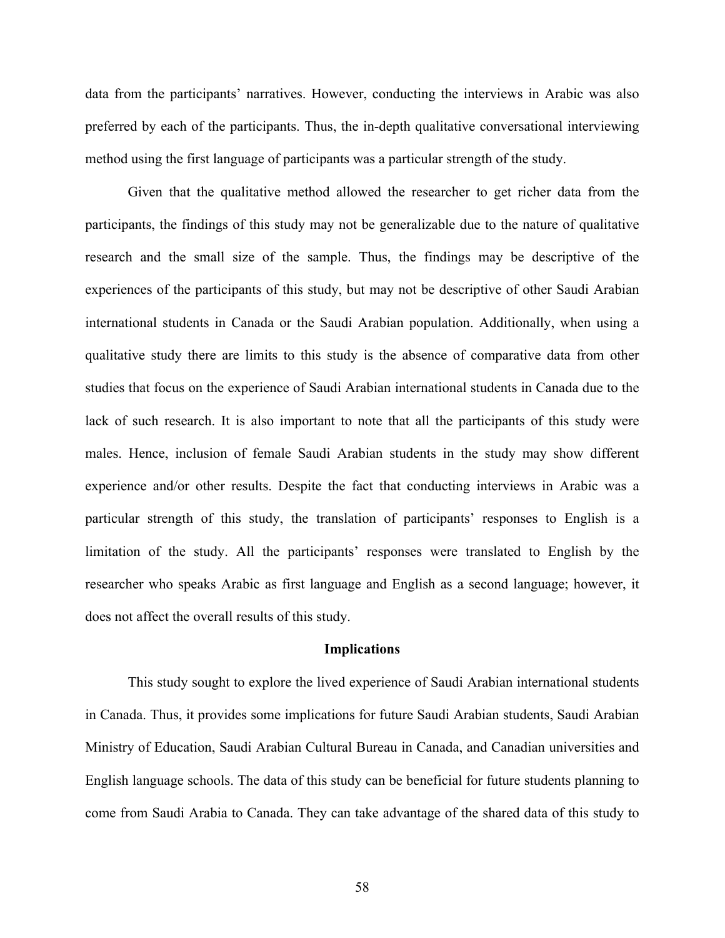data from the participants' narratives. However, conducting the interviews in Arabic was also preferred by each of the participants. Thus, the in-depth qualitative conversational interviewing method using the first language of participants was a particular strength of the study.

Given that the qualitative method allowed the researcher to get richer data from the participants, the findings of this study may not be generalizable due to the nature of qualitative research and the small size of the sample. Thus, the findings may be descriptive of the experiences of the participants of this study, but may not be descriptive of other Saudi Arabian international students in Canada or the Saudi Arabian population. Additionally, when using a qualitative study there are limits to this study is the absence of comparative data from other studies that focus on the experience of Saudi Arabian international students in Canada due to the lack of such research. It is also important to note that all the participants of this study were males. Hence, inclusion of female Saudi Arabian students in the study may show different experience and/or other results. Despite the fact that conducting interviews in Arabic was a particular strength of this study, the translation of participants' responses to English is a limitation of the study. All the participants' responses were translated to English by the researcher who speaks Arabic as first language and English as a second language; however, it does not affect the overall results of this study.

### **Implications**

This study sought to explore the lived experience of Saudi Arabian international students in Canada. Thus, it provides some implications for future Saudi Arabian students, Saudi Arabian Ministry of Education, Saudi Arabian Cultural Bureau in Canada, and Canadian universities and English language schools. The data of this study can be beneficial for future students planning to come from Saudi Arabia to Canada. They can take advantage of the shared data of this study to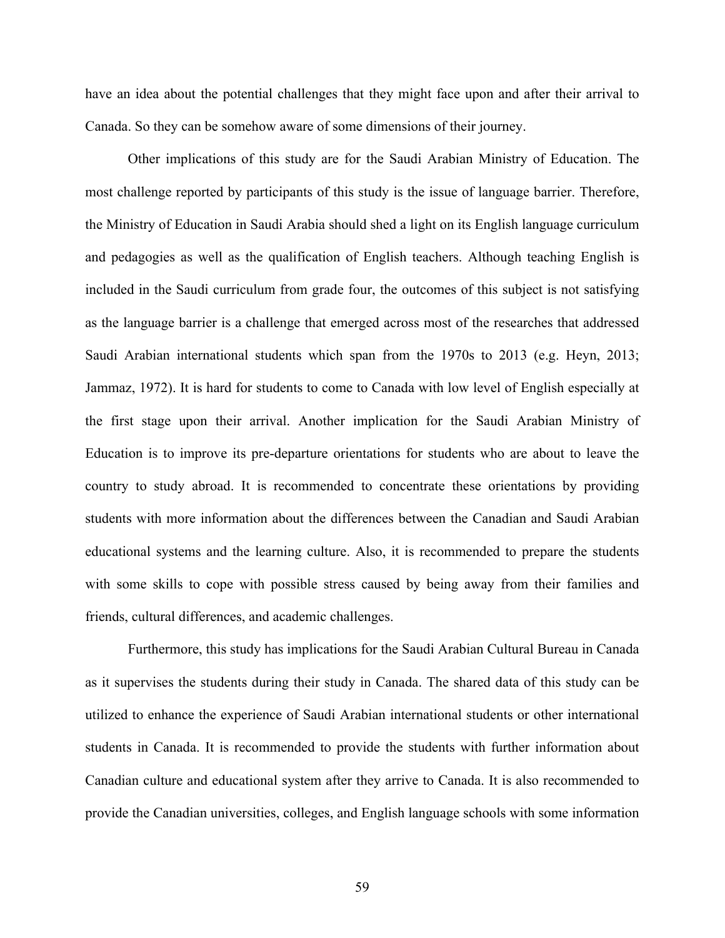have an idea about the potential challenges that they might face upon and after their arrival to Canada. So they can be somehow aware of some dimensions of their journey.

Other implications of this study are for the Saudi Arabian Ministry of Education. The most challenge reported by participants of this study is the issue of language barrier. Therefore, the Ministry of Education in Saudi Arabia should shed a light on its English language curriculum and pedagogies as well as the qualification of English teachers. Although teaching English is included in the Saudi curriculum from grade four, the outcomes of this subject is not satisfying as the language barrier is a challenge that emerged across most of the researches that addressed Saudi Arabian international students which span from the 1970s to 2013 (e.g. Heyn, 2013; Jammaz, 1972). It is hard for students to come to Canada with low level of English especially at the first stage upon their arrival. Another implication for the Saudi Arabian Ministry of Education is to improve its pre-departure orientations for students who are about to leave the country to study abroad. It is recommended to concentrate these orientations by providing students with more information about the differences between the Canadian and Saudi Arabian educational systems and the learning culture. Also, it is recommended to prepare the students with some skills to cope with possible stress caused by being away from their families and friends, cultural differences, and academic challenges.

Furthermore, this study has implications for the Saudi Arabian Cultural Bureau in Canada as it supervises the students during their study in Canada. The shared data of this study can be utilized to enhance the experience of Saudi Arabian international students or other international students in Canada. It is recommended to provide the students with further information about Canadian culture and educational system after they arrive to Canada. It is also recommended to provide the Canadian universities, colleges, and English language schools with some information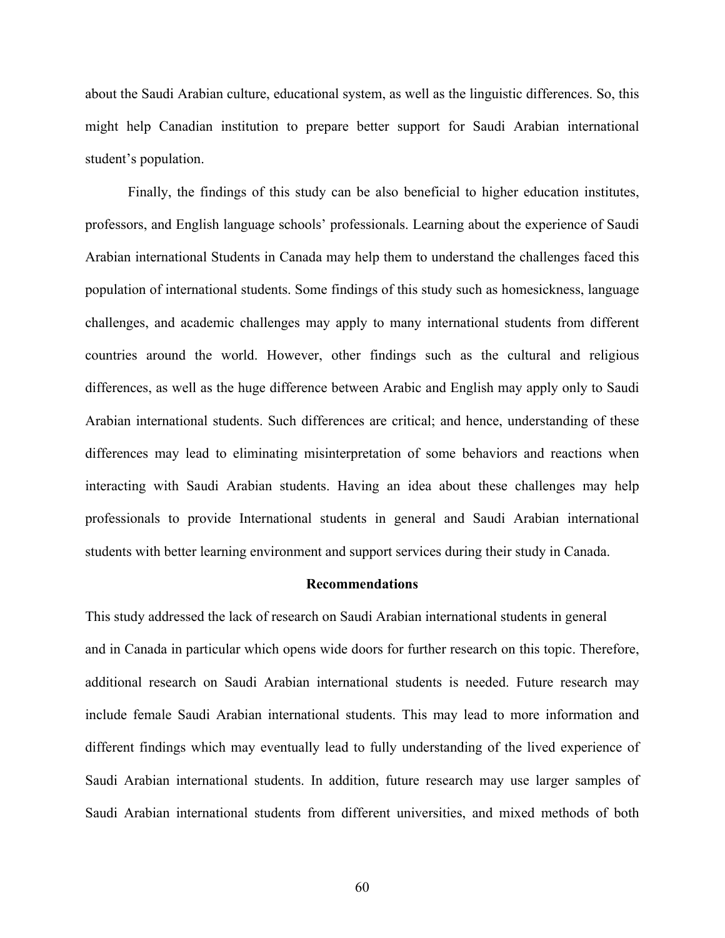about the Saudi Arabian culture, educational system, as well as the linguistic differences. So, this might help Canadian institution to prepare better support for Saudi Arabian international student's population.

Finally, the findings of this study can be also beneficial to higher education institutes, professors, and English language schools' professionals. Learning about the experience of Saudi Arabian international Students in Canada may help them to understand the challenges faced this population of international students. Some findings of this study such as homesickness, language challenges, and academic challenges may apply to many international students from different countries around the world. However, other findings such as the cultural and religious differences, as well as the huge difference between Arabic and English may apply only to Saudi Arabian international students. Such differences are critical; and hence, understanding of these differences may lead to eliminating misinterpretation of some behaviors and reactions when interacting with Saudi Arabian students. Having an idea about these challenges may help professionals to provide International students in general and Saudi Arabian international students with better learning environment and support services during their study in Canada.

### **Recommendations**

This study addressed the lack of research on Saudi Arabian international students in general and in Canada in particular which opens wide doors for further research on this topic. Therefore, additional research on Saudi Arabian international students is needed. Future research may include female Saudi Arabian international students. This may lead to more information and different findings which may eventually lead to fully understanding of the lived experience of Saudi Arabian international students. In addition, future research may use larger samples of Saudi Arabian international students from different universities, and mixed methods of both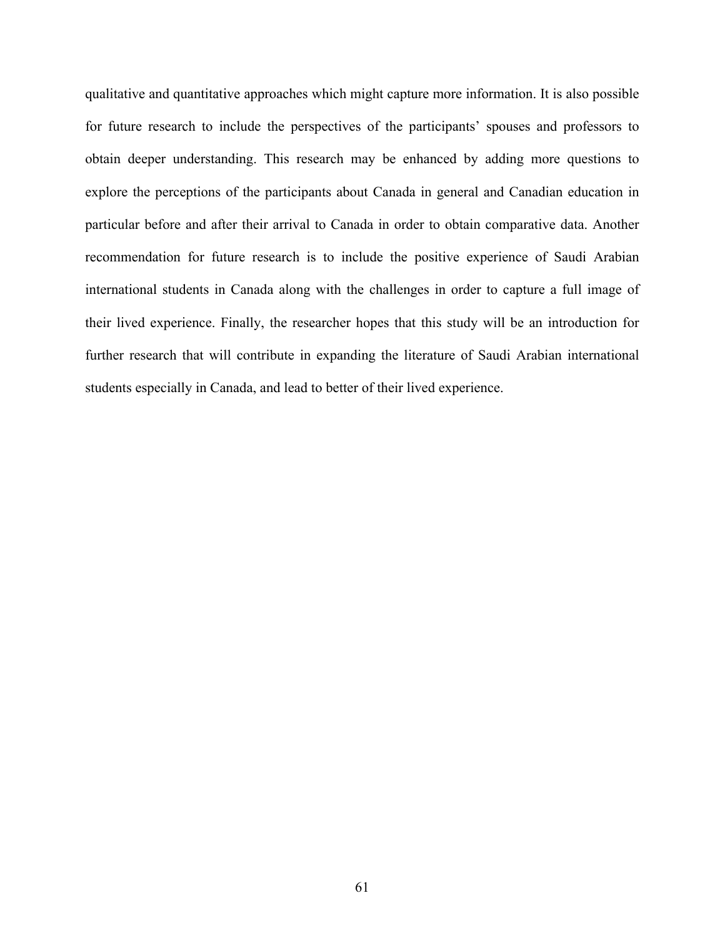qualitative and quantitative approaches which might capture more information. It is also possible for future research to include the perspectives of the participants' spouses and professors to obtain deeper understanding. This research may be enhanced by adding more questions to explore the perceptions of the participants about Canada in general and Canadian education in particular before and after their arrival to Canada in order to obtain comparative data. Another recommendation for future research is to include the positive experience of Saudi Arabian international students in Canada along with the challenges in order to capture a full image of their lived experience. Finally, the researcher hopes that this study will be an introduction for further research that will contribute in expanding the literature of Saudi Arabian international students especially in Canada, and lead to better of their lived experience.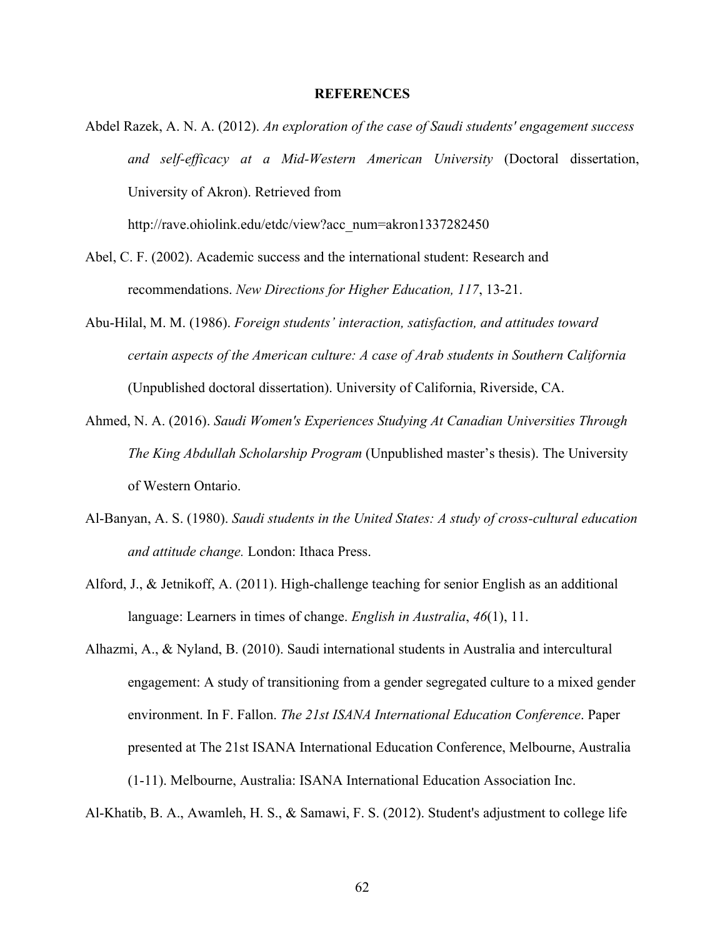### **REFERENCES**

Abdel Razek, A. N. A. (2012). *An exploration of the case of Saudi students' engagement success and self-efficacy at a Mid-Western American University* (Doctoral dissertation, University of Akron). Retrieved from

http://rave.ohiolink.edu/etdc/view?acc\_num=akron1337282450

- Abel, C. F. (2002). Academic success and the international student: Research and recommendations. *New Directions for Higher Education, 117*, 13-21.
- Abu-Hilal, M. M. (1986). *Foreign students' interaction, satisfaction, and attitudes toward certain aspects of the American culture: A case of Arab students in Southern California*  (Unpublished doctoral dissertation). University of California, Riverside, CA.
- Ahmed, N. A. (2016). *Saudi Women's Experiences Studying At Canadian Universities Through The King Abdullah Scholarship Program* (Unpublished master's thesis). The University of Western Ontario.
- Al-Banyan, A. S. (1980). *Saudi students in the United States: A study of cross-cultural education and attitude change.* London: Ithaca Press.
- Alford, J., & Jetnikoff, A. (2011). High-challenge teaching for senior English as an additional language: Learners in times of change. *English in Australia*, *46*(1), 11.
- Alhazmi, A., & Nyland, B. (2010). Saudi international students in Australia and intercultural engagement: A study of transitioning from a gender segregated culture to a mixed gender environment. In F. Fallon. *The 21st ISANA International Education Conference*. Paper presented at The 21st ISANA International Education Conference, Melbourne, Australia (1-11). Melbourne, Australia: ISANA International Education Association Inc.

Al-Khatib, B. A., Awamleh, H. S., & Samawi, F. S. (2012). Student's adjustment to college life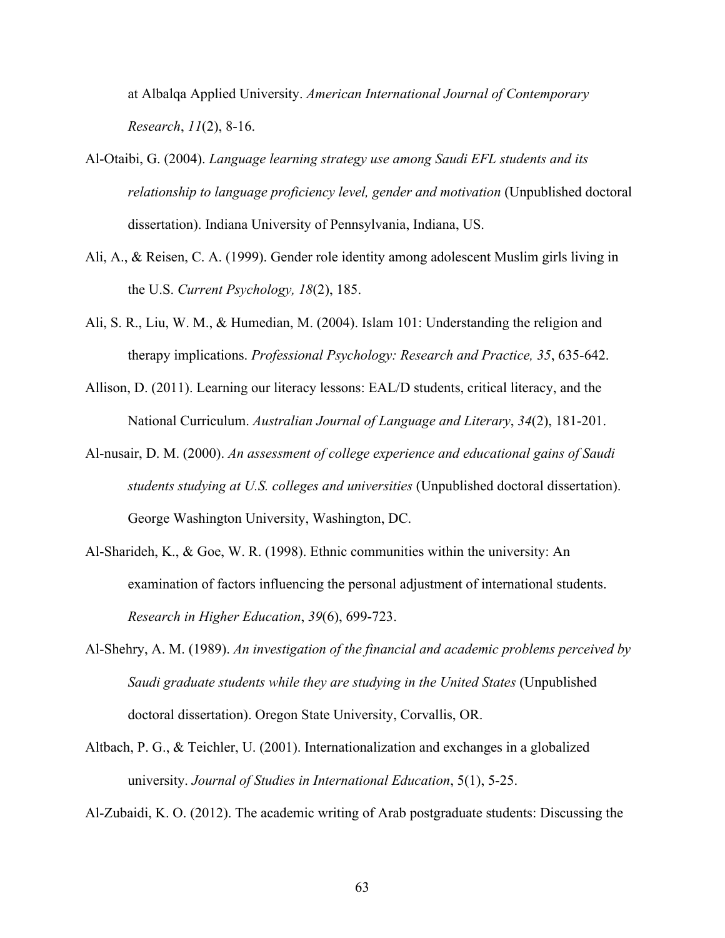at Albalqa Applied University. *American International Journal of Contemporary Research*, *11*(2), 8-16.

- Al-Otaibi, G. (2004). *Language learning strategy use among Saudi EFL students and its relationship to language proficiency level, gender and motivation* (Unpublished doctoral dissertation). Indiana University of Pennsylvania, Indiana, US.
- Ali, A., & Reisen, C. A. (1999). Gender role identity among adolescent Muslim girls living in the U.S. *Current Psychology, 18*(2), 185.
- Ali, S. R., Liu, W. M., & Humedian, M. (2004). Islam 101: Understanding the religion and therapy implications. *Professional Psychology: Research and Practice, 35*, 635-642.
- Allison, D. (2011). Learning our literacy lessons: EAL/D students, critical literacy, and the National Curriculum. *Australian Journal of Language and Literary*, *34*(2), 181-201.
- Al-nusair, D. M. (2000). *An assessment of college experience and educational gains of Saudi students studying at U.S. colleges and universities* (Unpublished doctoral dissertation). George Washington University, Washington, DC.
- Al-Sharideh, K., & Goe, W. R. (1998). Ethnic communities within the university: An examination of factors influencing the personal adjustment of international students. *Research in Higher Education*, *39*(6), 699-723.
- Al-Shehry, A. M. (1989). *An investigation of the financial and academic problems perceived by Saudi graduate students while they are studying in the United States* (Unpublished doctoral dissertation). Oregon State University, Corvallis, OR.
- Altbach, P. G., & Teichler, U. (2001). Internationalization and exchanges in a globalized university. *Journal of Studies in International Education*, 5(1), 5-25.

Al-Zubaidi, K. O. (2012). The academic writing of Arab postgraduate students: Discussing the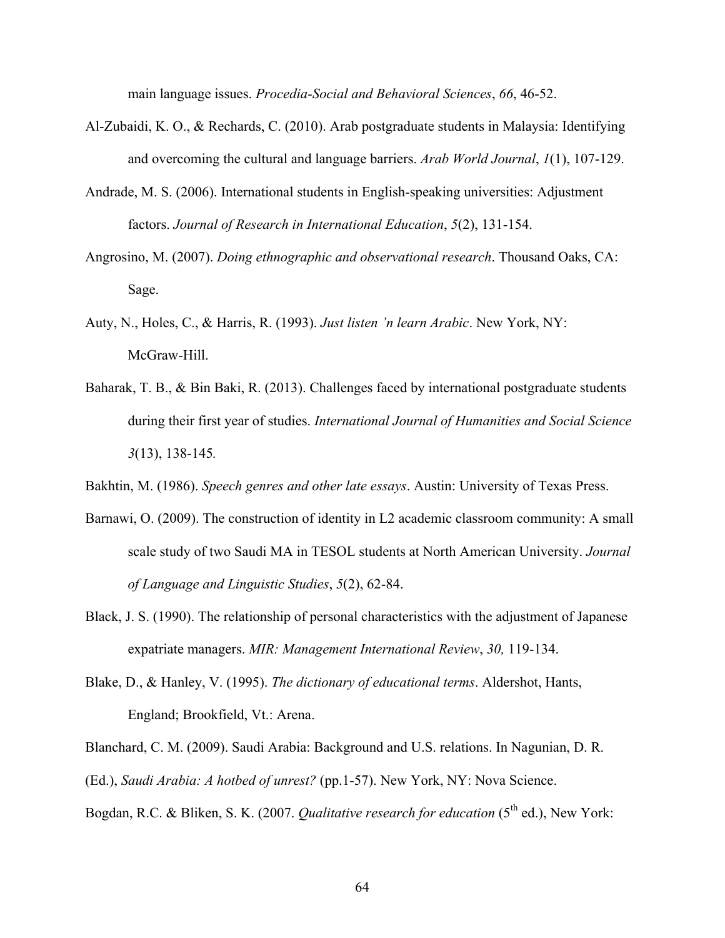main language issues. *Procedia-Social and Behavioral Sciences*, *66*, 46-52.

- Al-Zubaidi, K. O., & Rechards, C. (2010). Arab postgraduate students in Malaysia: Identifying and overcoming the cultural and language barriers. *Arab World Journal*, *1*(1), 107-129.
- Andrade, M. S. (2006). International students in English-speaking universities: Adjustment factors. *Journal of Research in International Education*, *5*(2), 131-154.
- Angrosino, M. (2007). *Doing ethnographic and observational research*. Thousand Oaks, CA: Sage.
- Auty, N., Holes, C., & Harris, R. (1993). *Just listen 'n learn Arabic*. New York, NY: McGraw-Hill.
- Baharak, T. B., & Bin Baki, R. (2013). Challenges faced by international postgraduate students during their first year of studies. *International Journal of Humanities and Social Science 3*(13), 138-145*.*
- Bakhtin, M. (1986). *Speech genres and other late essays*. Austin: University of Texas Press.
- Barnawi, O. (2009). The construction of identity in L2 academic classroom community: A small scale study of two Saudi MA in TESOL students at North American University. *Journal of Language and Linguistic Studies*, *5*(2), 62-84.
- Black, J. S. (1990). The relationship of personal characteristics with the adjustment of Japanese expatriate managers. *MIR: Management International Review*, *30,* 119-134.
- Blake, D., & Hanley, V. (1995). *The dictionary of educational terms*. Aldershot, Hants, England; Brookfield, Vt.: Arena.

Blanchard, C. M. (2009). Saudi Arabia: Background and U.S. relations. In Nagunian, D. R.

- (Ed.), *Saudi Arabia: A hotbed of unrest?* (pp.1-57). New York, NY: Nova Science.
- Bogdan, R.C. & Bliken, S. K. (2007. *Qualitative research for education* (5<sup>th</sup> ed.), New York: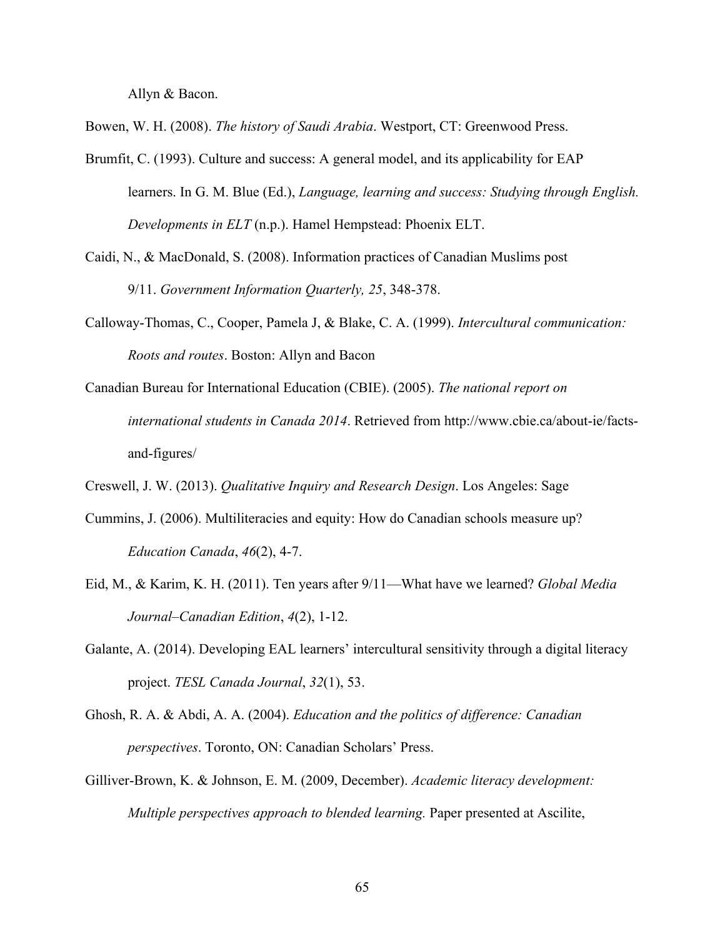Allyn & Bacon.

Bowen, W. H. (2008). *The history of Saudi Arabia*. Westport, CT: Greenwood Press.

- Brumfit, C. (1993). Culture and success: A general model, and its applicability for EAP learners. In G. M. Blue (Ed.), *Language, learning and success: Studying through English. Developments in ELT* (n.p.). Hamel Hempstead: Phoenix ELT.
- Caidi, N., & MacDonald, S. (2008). Information practices of Canadian Muslims post 9/11. *Government Information Quarterly, 25*, 348-378.
- Calloway-Thomas, C., Cooper, Pamela J, & Blake, C. A. (1999). *Intercultural communication: Roots and routes*. Boston: Allyn and Bacon
- Canadian Bureau for International Education (CBIE). (2005). *The national report on international students in Canada 2014*. Retrieved from http://www.cbie.ca/about-ie/factsand-figures/
- Creswell, J. W. (2013). *Qualitative Inquiry and Research Design*. Los Angeles: Sage
- Cummins, J. (2006). Multiliteracies and equity: How do Canadian schools measure up? *Education Canada*, *46*(2), 4-7.
- Eid, M., & Karim, K. H. (2011). Ten years after 9/11—What have we learned? *Global Media Journal–Canadian Edition*, *4*(2), 1-12.
- Galante, A. (2014). Developing EAL learners' intercultural sensitivity through a digital literacy project. *TESL Canada Journal*, *32*(1), 53.
- Ghosh, R. A. & Abdi, A. A. (2004). *Education and the politics of difference: Canadian perspectives*. Toronto, ON: Canadian Scholars' Press.
- Gilliver-Brown, K. & Johnson, E. M. (2009, December). *Academic literacy development: Multiple perspectives approach to blended learning.* Paper presented at Ascilite,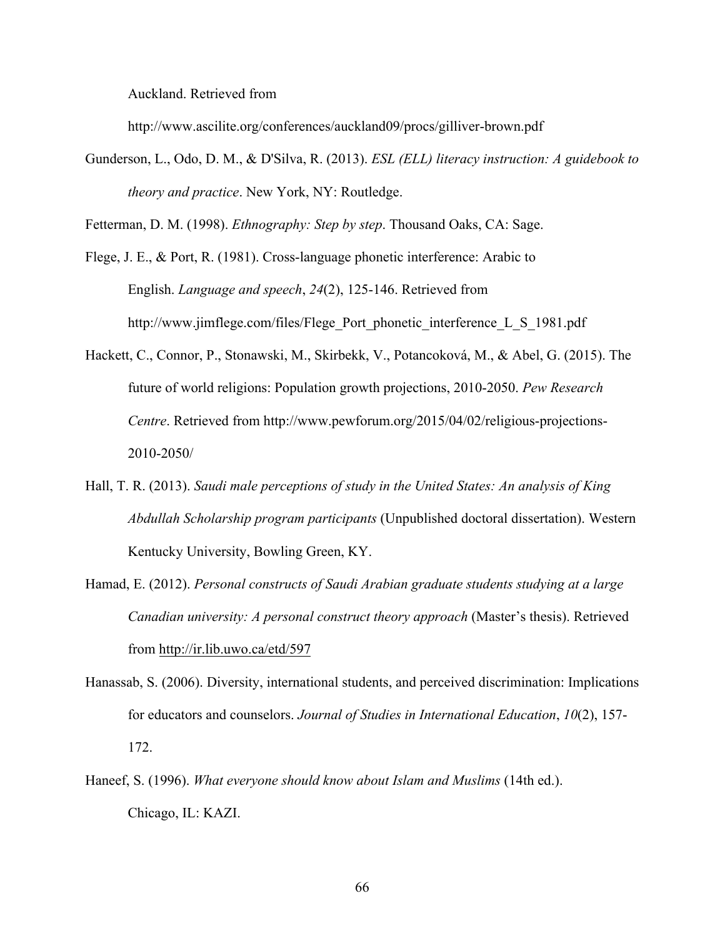Auckland. Retrieved from

http://www.ascilite.org/conferences/auckland09/procs/gilliver-brown.pdf

Gunderson, L., Odo, D. M., & D'Silva, R. (2013). *ESL (ELL) literacy instruction: A guidebook to theory and practice*. New York, NY: Routledge.

Fetterman, D. M. (1998). *Ethnography: Step by step*. Thousand Oaks, CA: Sage.

- Flege, J. E., & Port, R. (1981). Cross-language phonetic interference: Arabic to English. *Language and speech*, *24*(2), 125-146. Retrieved from http://www.jimflege.com/files/Flege\_Port\_phonetic\_interference\_L\_S\_1981.pdf
- Hackett, C., Connor, P., Stonawski, M., Skirbekk, V., Potancoková, M., & Abel, G. (2015). The future of world religions: Population growth projections, 2010-2050. *Pew Research Centre*. Retrieved from http://www.pewforum.org/2015/04/02/religious-projections-2010-2050/
- Hall, T. R. (2013). *Saudi male perceptions of study in the United States: An analysis of King Abdullah Scholarship program participants* (Unpublished doctoral dissertation). Western Kentucky University, Bowling Green, KY.
- Hamad, E. (2012). *Personal constructs of Saudi Arabian graduate students studying at a large Canadian university: A personal construct theory approach* (Master's thesis). Retrieved from http://ir.lib.uwo.ca/etd/597
- Hanassab, S. (2006). Diversity, international students, and perceived discrimination: Implications for educators and counselors. *Journal of Studies in International Education*, *10*(2), 157- 172.
- Haneef, S. (1996). *What everyone should know about Islam and Muslims* (14th ed.). Chicago, IL: KAZI.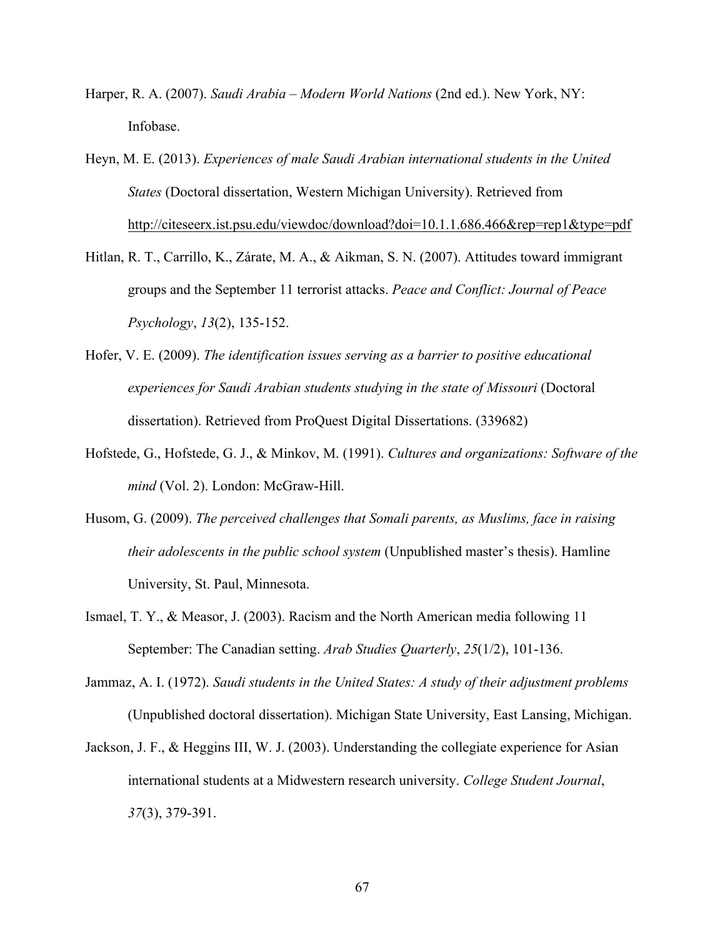- Harper, R. A. (2007). *Saudi Arabia – Modern World Nations* (2nd ed.). New York, NY: Infobase.
- Heyn, M. E. (2013). *Experiences of male Saudi Arabian international students in the United States* (Doctoral dissertation, Western Michigan University). Retrieved from http://citeseerx.ist.psu.edu/viewdoc/download?doi=10.1.1.686.466&rep=rep1&type=pdf
- Hitlan, R. T., Carrillo, K., Zárate, M. A., & Aikman, S. N. (2007). Attitudes toward immigrant groups and the September 11 terrorist attacks. *Peace and Conflict: Journal of Peace Psychology*, *13*(2), 135-152.
- Hofer, V. E. (2009). *The identification issues serving as a barrier to positive educational experiences for Saudi Arabian students studying in the state of Missouri* (Doctoral dissertation). Retrieved from ProQuest Digital Dissertations. (339682)
- Hofstede, G., Hofstede, G. J., & Minkov, M. (1991). *Cultures and organizations: Software of the mind* (Vol. 2). London: McGraw-Hill.
- Husom, G. (2009). *The perceived challenges that Somali parents, as Muslims, face in raising their adolescents in the public school system* (Unpublished master's thesis). Hamline University, St. Paul, Minnesota.
- Ismael, T. Y., & Measor, J. (2003). Racism and the North American media following 11 September: The Canadian setting. *Arab Studies Quarterly*, *25*(1/2), 101-136.
- Jammaz, A. I. (1972). *Saudi students in the United States: A study of their adjustment problems* (Unpublished doctoral dissertation). Michigan State University, East Lansing, Michigan.
- Jackson, J. F., & Heggins III, W. J. (2003). Understanding the collegiate experience for Asian international students at a Midwestern research university. *College Student Journal*, *37*(3), 379-391.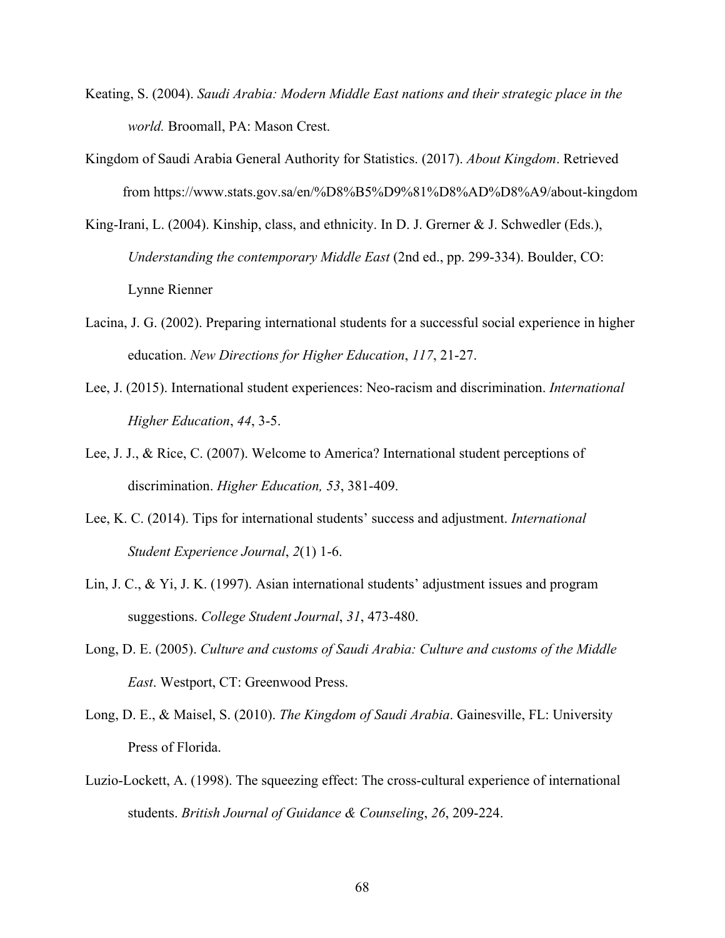- Keating, S. (2004). *Saudi Arabia: Modern Middle East nations and their strategic place in the world.* Broomall, PA: Mason Crest.
- Kingdom of Saudi Arabia General Authority for Statistics. (2017). *About Kingdom*. Retrieved from https://www.stats.gov.sa/en/%D8%B5%D9%81%D8%AD%D8%A9/about-kingdom
- King-Irani, L. (2004). Kinship, class, and ethnicity. In D. J. Grerner & J. Schwedler (Eds.), *Understanding the contemporary Middle East* (2nd ed., pp. 299-334). Boulder, CO: Lynne Rienner
- Lacina, J. G. (2002). Preparing international students for a successful social experience in higher education. *New Directions for Higher Education*, *117*, 21-27.
- Lee, J. (2015). International student experiences: Neo-racism and discrimination. *International Higher Education*, *44*, 3-5.
- Lee, J. J., & Rice, C. (2007). Welcome to America? International student perceptions of discrimination. *Higher Education, 53*, 381-409.
- Lee, K. C. (2014). Tips for international students' success and adjustment. *International Student Experience Journal*, *2*(1) 1-6.
- Lin, J. C., & Yi, J. K. (1997). Asian international students' adjustment issues and program suggestions. *College Student Journal*, *31*, 473-480.
- Long, D. E. (2005). *Culture and customs of Saudi Arabia: Culture and customs of the Middle East*. Westport, CT: Greenwood Press.
- Long, D. E., & Maisel, S. (2010). *The Kingdom of Saudi Arabia*. Gainesville, FL: University Press of Florida.
- Luzio-Lockett, A. (1998). The squeezing effect: The cross-cultural experience of international students. *British Journal of Guidance & Counseling*, *26*, 209-224.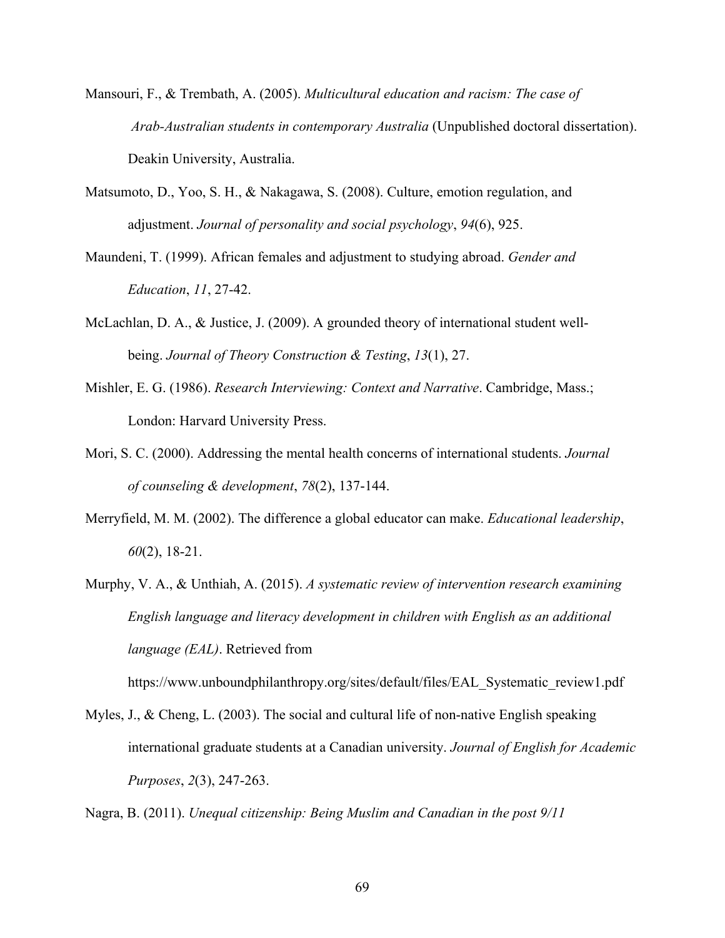- Mansouri, F., & Trembath, A. (2005). *Multicultural education and racism: The case of Arab-Australian students in contemporary Australia* (Unpublished doctoral dissertation). Deakin University, Australia.
- Matsumoto, D., Yoo, S. H., & Nakagawa, S. (2008). Culture, emotion regulation, and adjustment. *Journal of personality and social psychology*, *94*(6), 925.
- Maundeni, T. (1999). African females and adjustment to studying abroad. *Gender and Education*, *11*, 27-42.
- McLachlan, D. A., & Justice, J. (2009). A grounded theory of international student wellbeing. *Journal of Theory Construction & Testing*, *13*(1), 27.
- Mishler, E. G. (1986). *Research Interviewing: Context and Narrative*. Cambridge, Mass.; London: Harvard University Press.
- Mori, S. C. (2000). Addressing the mental health concerns of international students. *Journal of counseling & development*, *78*(2), 137-144.
- Merryfield, M. M. (2002). The difference a global educator can make. *Educational leadership*, *60*(2), 18-21.
- Murphy, V. A., & Unthiah, A. (2015). *A systematic review of intervention research examining English language and literacy development in children with English as an additional language (EAL)*. Retrieved from

https://www.unboundphilanthropy.org/sites/default/files/EAL\_Systematic\_review1.pdf

Myles, J., & Cheng, L. (2003). The social and cultural life of non-native English speaking international graduate students at a Canadian university. *Journal of English for Academic Purposes*, *2*(3), 247-263.

Nagra, B. (2011). *Unequal citizenship: Being Muslim and Canadian in the post 9/11*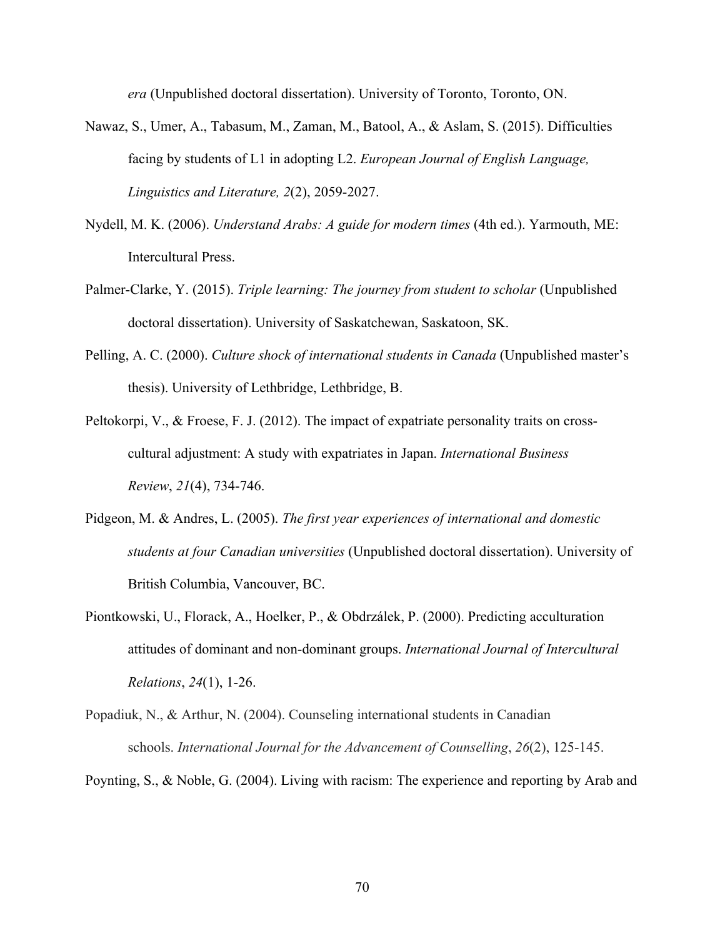*era* (Unpublished doctoral dissertation). University of Toronto, Toronto, ON.

- Nawaz, S., Umer, A., Tabasum, M., Zaman, M., Batool, A., & Aslam, S. (2015). Difficulties facing by students of L1 in adopting L2. *European Journal of English Language, Linguistics and Literature, 2*(2), 2059-2027.
- Nydell, M. K. (2006). *Understand Arabs: A guide for modern times* (4th ed.). Yarmouth, ME: Intercultural Press.
- Palmer-Clarke, Y. (2015). *Triple learning: The journey from student to scholar* (Unpublished doctoral dissertation). University of Saskatchewan, Saskatoon, SK.
- Pelling, A. C. (2000). *Culture shock of international students in Canada* (Unpublished master's thesis). University of Lethbridge, Lethbridge, B.
- Peltokorpi, V., & Froese, F. J. (2012). The impact of expatriate personality traits on crosscultural adjustment: A study with expatriates in Japan. *International Business Review*, *21*(4), 734-746.
- Pidgeon, M. & Andres, L. (2005). *The first year experiences of international and domestic students at four Canadian universities* (Unpublished doctoral dissertation). University of British Columbia, Vancouver, BC.
- Piontkowski, U., Florack, A., Hoelker, P., & Obdrzálek, P. (2000). Predicting acculturation attitudes of dominant and non-dominant groups. *International Journal of Intercultural Relations*, *24*(1), 1-26.
- Popadiuk, N., & Arthur, N. (2004). Counseling international students in Canadian schools. *International Journal for the Advancement of Counselling*, *26*(2), 125-145.

Poynting, S., & Noble, G. (2004). Living with racism: The experience and reporting by Arab and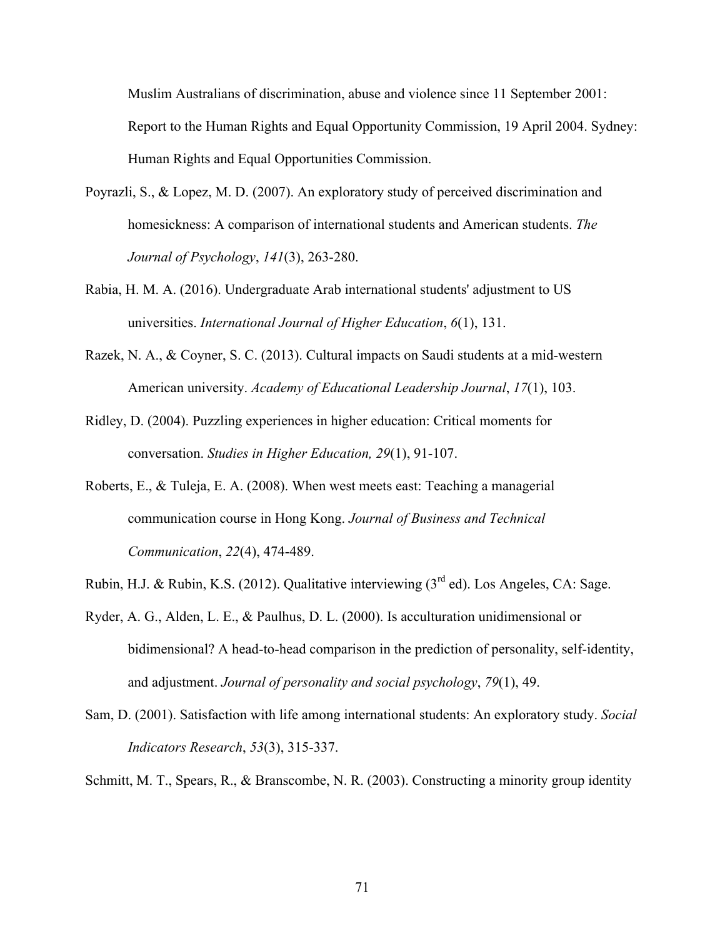Muslim Australians of discrimination, abuse and violence since 11 September 2001: Report to the Human Rights and Equal Opportunity Commission, 19 April 2004. Sydney: Human Rights and Equal Opportunities Commission.

- Poyrazli, S., & Lopez, M. D. (2007). An exploratory study of perceived discrimination and homesickness: A comparison of international students and American students. *The Journal of Psychology*, *141*(3), 263-280.
- Rabia, H. M. A. (2016). Undergraduate Arab international students' adjustment to US universities. *International Journal of Higher Education*, *6*(1), 131.
- Razek, N. A., & Coyner, S. C. (2013). Cultural impacts on Saudi students at a mid-western American university. *Academy of Educational Leadership Journal*, *17*(1), 103.
- Ridley, D. (2004). Puzzling experiences in higher education: Critical moments for conversation. *Studies in Higher Education, 29*(1), 91-107.
- Roberts, E., & Tuleja, E. A. (2008). When west meets east: Teaching a managerial communication course in Hong Kong. *Journal of Business and Technical Communication*, *22*(4), 474-489.
- Rubin, H.J. & Rubin, K.S. (2012). Qualitative interviewing (3<sup>rd</sup> ed). Los Angeles, CA: Sage.
- Ryder, A. G., Alden, L. E., & Paulhus, D. L. (2000). Is acculturation unidimensional or bidimensional? A head-to-head comparison in the prediction of personality, self-identity, and adjustment. *Journal of personality and social psychology*, *79*(1), 49.
- Sam, D. (2001). Satisfaction with life among international students: An exploratory study. *Social Indicators Research*, *53*(3), 315-337.
- Schmitt, M. T., Spears, R., & Branscombe, N. R. (2003). Constructing a minority group identity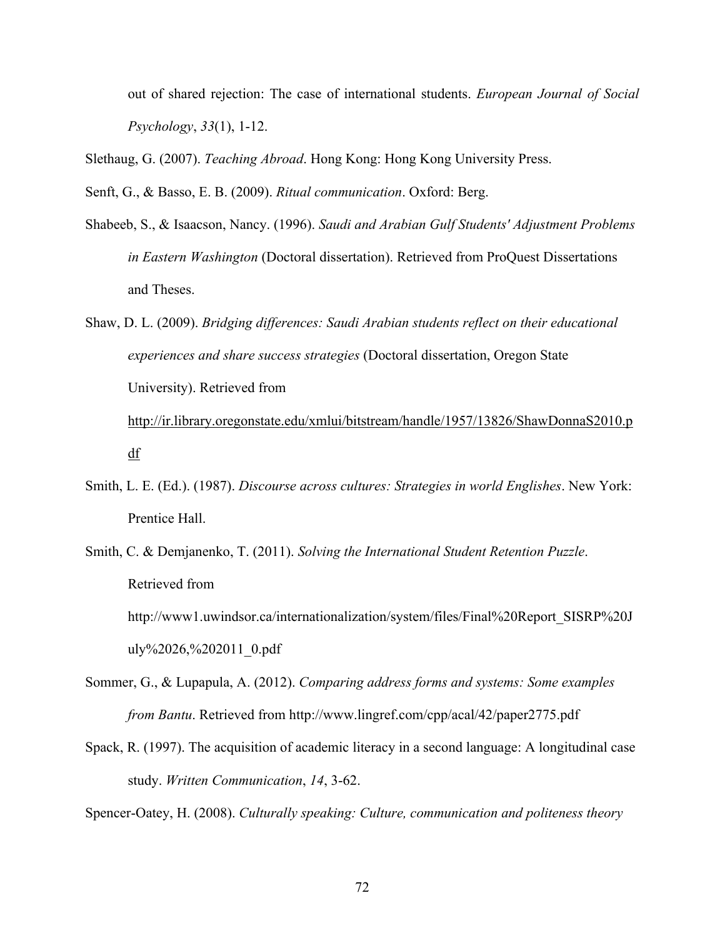out of shared rejection: The case of international students. *European Journal of Social Psychology*, *33*(1), 1-12.

Slethaug, G. (2007). *Teaching Abroad*. Hong Kong: Hong Kong University Press.

Senft, G., & Basso, E. B. (2009). *Ritual communication*. Oxford: Berg.

- Shabeeb, S., & Isaacson, Nancy. (1996). *Saudi and Arabian Gulf Students' Adjustment Problems in Eastern Washington* (Doctoral dissertation). Retrieved from ProQuest Dissertations and Theses.
- Shaw, D. L. (2009). *Bridging differences: Saudi Arabian students reflect on their educational experiences and share success strategies* (Doctoral dissertation, Oregon State University). Retrieved from

http://ir.library.oregonstate.edu/xmlui/bitstream/handle/1957/13826/ShawDonnaS2010.p df

- Smith, L. E. (Ed.). (1987). *Discourse across cultures: Strategies in world Englishes*. New York: Prentice Hall.
- Smith, C. & Demjanenko, T. (2011). *Solving the International Student Retention Puzzle*. Retrieved from http://www1.uwindsor.ca/internationalization/system/files/Final%20Report\_SISRP%20J uly%2026,%202011\_0.pdf
- Sommer, G., & Lupapula, A. (2012). *Comparing address forms and systems: Some examples from Bantu*. Retrieved from http://www.lingref.com/cpp/acal/42/paper2775.pdf
- Spack, R. (1997). The acquisition of academic literacy in a second language: A longitudinal case study. *Written Communication*, *14*, 3-62.

Spencer-Oatey, H. (2008). *Culturally speaking: Culture, communication and politeness theory*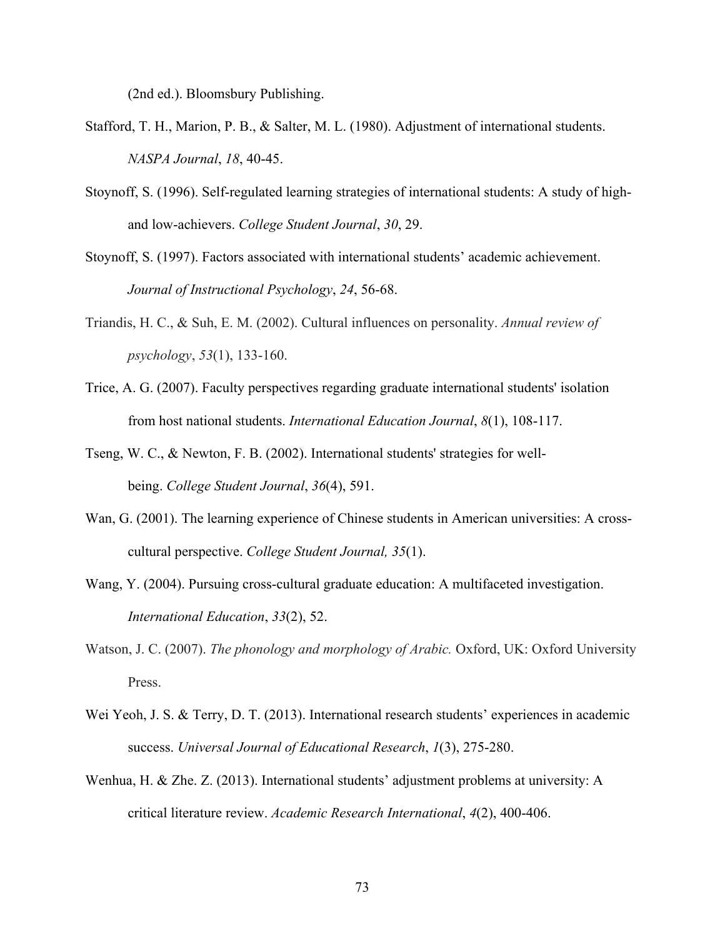(2nd ed.). Bloomsbury Publishing.

- Stafford, T. H., Marion, P. B., & Salter, M. L. (1980). Adjustment of international students. *NASPA Journal*, *18*, 40-45.
- Stoynoff, S. (1996). Self-regulated learning strategies of international students: A study of highand low-achievers. *College Student Journal*, *30*, 29.
- Stoynoff, S. (1997). Factors associated with international students' academic achievement. *Journal of Instructional Psychology*, *24*, 56-68.
- Triandis, H. C., & Suh, E. M. (2002). Cultural influences on personality. *Annual review of psychology*, *53*(1), 133-160.
- Trice, A. G. (2007). Faculty perspectives regarding graduate international students' isolation from host national students. *International Education Journal*, *8*(1), 108-117.
- Tseng, W. C., & Newton, F. B. (2002). International students' strategies for wellbeing. *College Student Journal*, *36*(4), 591.
- Wan, G. (2001). The learning experience of Chinese students in American universities: A crosscultural perspective. *College Student Journal, 35*(1).
- Wang, Y. (2004). Pursuing cross-cultural graduate education: A multifaceted investigation. *International Education*, *33*(2), 52.
- Watson, J. C. (2007). *The phonology and morphology of Arabic.* Oxford, UK: Oxford University Press.
- Wei Yeoh, J. S. & Terry, D. T. (2013). International research students' experiences in academic success. *Universal Journal of Educational Research*, *1*(3), 275-280.
- Wenhua, H. & Zhe. Z. (2013). International students' adjustment problems at university: A critical literature review. *Academic Research International*, *4*(2), 400-406.